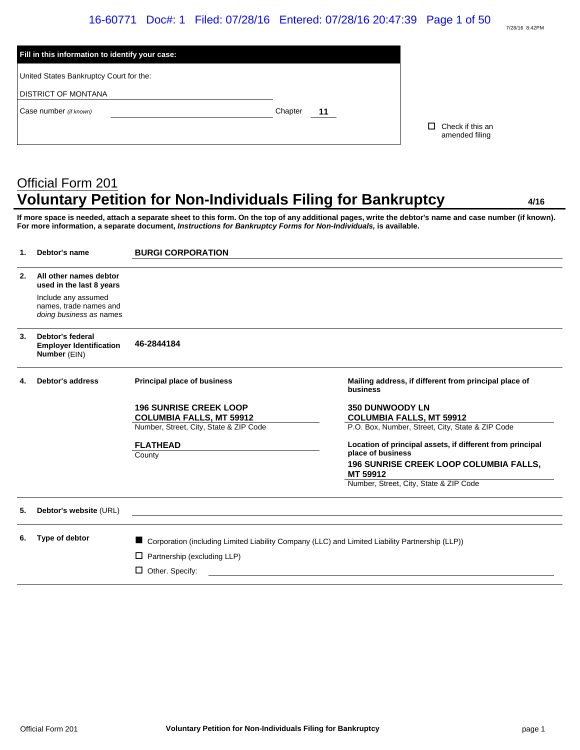# 16-60771 Doc#: 1 Filed: 07/28/16 Entered: 07/28/16 20:47:39 Page 1 of 50

| Chapter<br>11 |                                    |
|---------------|------------------------------------|
|               | Check if this an<br>amended filing |
|               |                                    |

# Official Form 201 **Voluntary Petition for Non-Individuals Filing for Bankruptcy 4/16**

7/28/16 8:42PM

**If more space is needed, attach a separate sheet to this form. On the top of any additional pages, write the debtor's name and case number (if known). For more information, a separate document,** *Instructions for Bankruptcy Forms for Non-Individuals,* **is available.**

| 1. | Debtor's name                                                            | <b>BURGI CORPORATION</b>                                                                        |                                                                   |
|----|--------------------------------------------------------------------------|-------------------------------------------------------------------------------------------------|-------------------------------------------------------------------|
| 2. | All other names debtor<br>used in the last 8 years                       |                                                                                                 |                                                                   |
|    | Include any assumed<br>names, trade names and<br>doing business as names |                                                                                                 |                                                                   |
| 3. | Debtor's federal<br><b>Employer Identification</b><br>Number (EIN)       | 46-2844184                                                                                      |                                                                   |
| 4. | <b>Debtor's address</b>                                                  | Principal place of business                                                                     | Mailing address, if different from principal place of<br>business |
|    |                                                                          | <b>196 SUNRISE CREEK LOOP</b><br><b>COLUMBIA FALLS, MT 59912</b>                                | <b>350 DUNWOODY LN</b><br><b>COLUMBIA FALLS, MT 59912</b>         |
|    |                                                                          | Number, Street, City, State & ZIP Code                                                          | P.O. Box, Number, Street, City, State & ZIP Code                  |
|    |                                                                          | <b>FLATHEAD</b>                                                                                 | Location of principal assets, if different from principal         |
|    |                                                                          | County                                                                                          | place of business                                                 |
|    |                                                                          |                                                                                                 | <b>196 SUNRISE CREEK LOOP COLUMBIA FALLS,</b><br>MT 59912         |
|    |                                                                          |                                                                                                 | Number, Street, City, State & ZIP Code                            |
| 5. | Debtor's website (URL)                                                   |                                                                                                 |                                                                   |
| 6. | Type of debtor                                                           | Corporation (including Limited Liability Company (LLC) and Limited Liability Partnership (LLP)) |                                                                   |
|    |                                                                          | Partnership (excluding LLP)<br>□                                                                |                                                                   |
|    |                                                                          | □                                                                                               |                                                                   |
|    |                                                                          | Other. Specify:                                                                                 |                                                                   |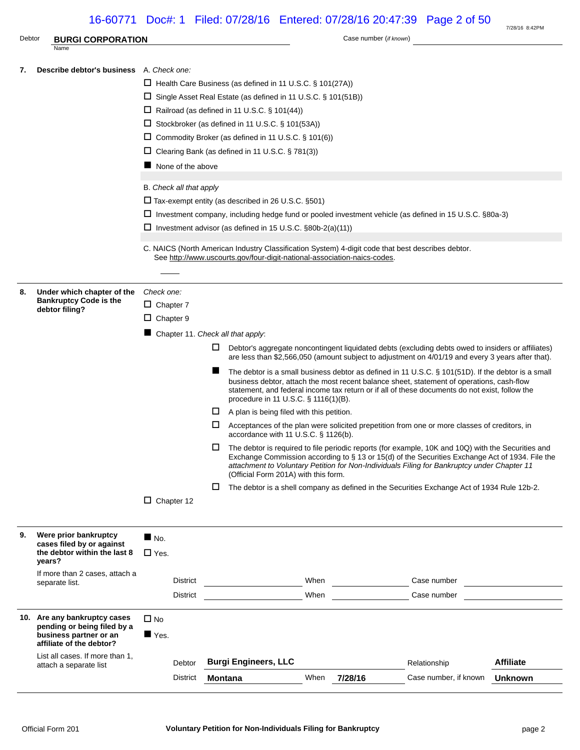# 16-60771 Doc#: 1 Filed: 07/28/16 Entered: 07/28/16 20:47:39 Page 2 of 50

| Debtor | <b>BURGI CORPORATION</b>                                            |                         |                                                                          |                                           | Case number (if known)                                                                                                                                                                                                                                                                               | 7/28/16 8:42PM   |
|--------|---------------------------------------------------------------------|-------------------------|--------------------------------------------------------------------------|-------------------------------------------|------------------------------------------------------------------------------------------------------------------------------------------------------------------------------------------------------------------------------------------------------------------------------------------------------|------------------|
|        | Name                                                                |                         |                                                                          |                                           |                                                                                                                                                                                                                                                                                                      |                  |
| 7.     | <b>Describe debtor's business</b> A. Check one:                     |                         |                                                                          |                                           |                                                                                                                                                                                                                                                                                                      |                  |
|        |                                                                     |                         | $\Box$ Health Care Business (as defined in 11 U.S.C. § 101(27A))         |                                           |                                                                                                                                                                                                                                                                                                      |                  |
|        |                                                                     |                         | $\Box$ Single Asset Real Estate (as defined in 11 U.S.C. § 101(51B))     |                                           |                                                                                                                                                                                                                                                                                                      |                  |
|        |                                                                     |                         | $\Box$ Railroad (as defined in 11 U.S.C. § 101(44))                      |                                           |                                                                                                                                                                                                                                                                                                      |                  |
|        |                                                                     |                         | $\Box$ Stockbroker (as defined in 11 U.S.C. § 101(53A))                  |                                           |                                                                                                                                                                                                                                                                                                      |                  |
|        |                                                                     |                         | □ Commodity Broker (as defined in 11 U.S.C. § 101(6))                    |                                           |                                                                                                                                                                                                                                                                                                      |                  |
|        |                                                                     |                         | $\Box$ Clearing Bank (as defined in 11 U.S.C. § 781(3))                  |                                           |                                                                                                                                                                                                                                                                                                      |                  |
|        |                                                                     | None of the above       |                                                                          |                                           |                                                                                                                                                                                                                                                                                                      |                  |
|        |                                                                     | B. Check all that apply |                                                                          |                                           |                                                                                                                                                                                                                                                                                                      |                  |
|        |                                                                     |                         | $\Box$ Tax-exempt entity (as described in 26 U.S.C. §501)                |                                           |                                                                                                                                                                                                                                                                                                      |                  |
|        |                                                                     |                         |                                                                          |                                           | □ Investment company, including hedge fund or pooled investment vehicle (as defined in 15 U.S.C. §80a-3)                                                                                                                                                                                             |                  |
|        |                                                                     |                         | □ Investment advisor (as defined in 15 U.S.C. §80b-2(a)(11))             |                                           |                                                                                                                                                                                                                                                                                                      |                  |
|        |                                                                     |                         |                                                                          |                                           |                                                                                                                                                                                                                                                                                                      |                  |
|        |                                                                     |                         | See http://www.uscourts.gov/four-digit-national-association-naics-codes. |                                           | C. NAICS (North American Industry Classification System) 4-digit code that best describes debtor.                                                                                                                                                                                                    |                  |
|        |                                                                     |                         |                                                                          |                                           |                                                                                                                                                                                                                                                                                                      |                  |
| 8.     | Under which chapter of the                                          | Check one:              |                                                                          |                                           |                                                                                                                                                                                                                                                                                                      |                  |
|        | <b>Bankruptcy Code is the</b><br>debtor filing?                     | $\Box$ Chapter 7        |                                                                          |                                           |                                                                                                                                                                                                                                                                                                      |                  |
|        |                                                                     | $\Box$ Chapter 9        |                                                                          |                                           |                                                                                                                                                                                                                                                                                                      |                  |
|        |                                                                     |                         | Chapter 11. Check all that apply:                                        |                                           |                                                                                                                                                                                                                                                                                                      |                  |
|        |                                                                     |                         | ப                                                                        |                                           | Debtor's aggregate noncontingent liquidated debts (excluding debts owed to insiders or affiliates)<br>are less than \$2,566,050 (amount subject to adjustment on 4/01/19 and every 3 years after that).                                                                                              |                  |
|        |                                                                     |                         |                                                                          | procedure in 11 U.S.C. § 1116(1)(B).      | The debtor is a small business debtor as defined in 11 U.S.C. § 101(51D). If the debtor is a small<br>business debtor, attach the most recent balance sheet, statement of operations, cash-flow<br>statement, and federal income tax return or if all of these documents do not exist, follow the    |                  |
|        |                                                                     |                         | ш                                                                        | A plan is being filed with this petition. |                                                                                                                                                                                                                                                                                                      |                  |
|        |                                                                     |                         | ப                                                                        | accordance with 11 U.S.C. § 1126(b).      | Acceptances of the plan were solicited prepetition from one or more classes of creditors, in                                                                                                                                                                                                         |                  |
|        |                                                                     |                         | $\mathbf{L}$                                                             | (Official Form 201A) with this form.      | The debtor is required to file periodic reports (for example, 10K and 10Q) with the Securities and<br>Exchange Commission according to § 13 or 15(d) of the Securities Exchange Act of 1934. File the<br>attachment to Voluntary Petition for Non-Individuals Filing for Bankruptcy under Chapter 11 |                  |
|        |                                                                     |                         | П                                                                        |                                           | The debtor is a shell company as defined in the Securities Exchange Act of 1934 Rule 12b-2.                                                                                                                                                                                                          |                  |
|        |                                                                     | $\Box$ Chapter 12       |                                                                          |                                           |                                                                                                                                                                                                                                                                                                      |                  |
| 9.     | Were prior bankruptcy                                               | $\blacksquare$ No.      |                                                                          |                                           |                                                                                                                                                                                                                                                                                                      |                  |
|        | cases filed by or against<br>the debtor within the last 8<br>years? | $\Box$ Yes.             |                                                                          |                                           |                                                                                                                                                                                                                                                                                                      |                  |
|        | If more than 2 cases, attach a<br>separate list.                    | <b>District</b>         |                                                                          | When                                      | Case number                                                                                                                                                                                                                                                                                          |                  |
|        |                                                                     | <b>District</b>         |                                                                          | When                                      | Case number                                                                                                                                                                                                                                                                                          |                  |
|        |                                                                     |                         |                                                                          |                                           |                                                                                                                                                                                                                                                                                                      |                  |
|        | 10. Are any bankruptcy cases<br>pending or being filed by a         | $\Box$ No               |                                                                          |                                           |                                                                                                                                                                                                                                                                                                      |                  |
|        | business partner or an<br>affiliate of the debtor?                  | $\blacksquare$ Yes.     |                                                                          |                                           |                                                                                                                                                                                                                                                                                                      |                  |
|        | List all cases. If more than 1,<br>attach a separate list           | Debtor                  | <b>Burgi Engineers, LLC</b>                                              |                                           | Relationship                                                                                                                                                                                                                                                                                         | <b>Affiliate</b> |
|        |                                                                     | <b>District</b>         | Montana                                                                  | When                                      | 7/28/16<br>Case number, if known                                                                                                                                                                                                                                                                     | <b>Unknown</b>   |
|        |                                                                     |                         |                                                                          |                                           |                                                                                                                                                                                                                                                                                                      |                  |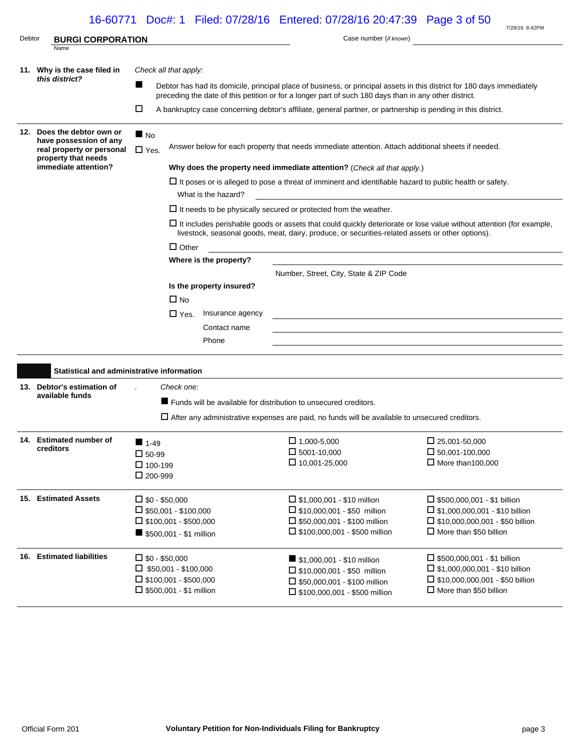# 16-60771 Doc#: 1 Filed: 07/28/16 Entered: 07/28/16 20:47:39 Page 3 of 50

| Debtor | <b>BURGI CORPORATION</b>                            |                                   |                                                                | Case number (if known)                                                                                                                                                                                                           | 7/28/16 8:42PM                                                          |  |  |  |  |
|--------|-----------------------------------------------------|-----------------------------------|----------------------------------------------------------------|----------------------------------------------------------------------------------------------------------------------------------------------------------------------------------------------------------------------------------|-------------------------------------------------------------------------|--|--|--|--|
|        | Name                                                |                                   |                                                                |                                                                                                                                                                                                                                  |                                                                         |  |  |  |  |
|        | 11. Why is the case filed in                        |                                   | Check all that apply:                                          |                                                                                                                                                                                                                                  |                                                                         |  |  |  |  |
|        | this district?                                      | ■                                 |                                                                | Debtor has had its domicile, principal place of business, or principal assets in this district for 180 days immediately<br>preceding the date of this petition or for a longer part of such 180 days than in any other district. |                                                                         |  |  |  |  |
|        |                                                     | □                                 |                                                                | A bankruptcy case concerning debtor's affiliate, general partner, or partnership is pending in this district.                                                                                                                    |                                                                         |  |  |  |  |
|        | 12. Does the debtor own or                          | $\blacksquare$ No                 |                                                                |                                                                                                                                                                                                                                  |                                                                         |  |  |  |  |
|        | have possession of any<br>real property or personal | $\Box$ Yes.                       |                                                                | Answer below for each property that needs immediate attention. Attach additional sheets if needed.                                                                                                                               |                                                                         |  |  |  |  |
|        | property that needs<br>immediate attention?         |                                   |                                                                | Why does the property need immediate attention? (Check all that apply.)                                                                                                                                                          |                                                                         |  |  |  |  |
|        |                                                     |                                   | What is the hazard?                                            | $\Box$ It poses or is alleged to pose a threat of imminent and identifiable hazard to public health or safety.                                                                                                                   |                                                                         |  |  |  |  |
|        |                                                     |                                   |                                                                | $\Box$ It needs to be physically secured or protected from the weather.                                                                                                                                                          |                                                                         |  |  |  |  |
|        |                                                     |                                   |                                                                | $\Box$ It includes perishable goods or assets that could quickly deteriorate or lose value without attention (for example,<br>livestock, seasonal goods, meat, dairy, produce, or securities-related assets or other options).   |                                                                         |  |  |  |  |
|        |                                                     |                                   | $\Box$ Other                                                   |                                                                                                                                                                                                                                  |                                                                         |  |  |  |  |
|        |                                                     |                                   | Where is the property?                                         |                                                                                                                                                                                                                                  |                                                                         |  |  |  |  |
|        |                                                     |                                   |                                                                | Number, Street, City, State & ZIP Code                                                                                                                                                                                           |                                                                         |  |  |  |  |
|        |                                                     |                                   | Is the property insured?                                       |                                                                                                                                                                                                                                  |                                                                         |  |  |  |  |
|        |                                                     |                                   | $\Box$ No                                                      |                                                                                                                                                                                                                                  |                                                                         |  |  |  |  |
|        |                                                     |                                   | Insurance agency<br>$\Box$ Yes.                                | and the control of the control of the control of the control of the control of the control of the control of the                                                                                                                 |                                                                         |  |  |  |  |
|        |                                                     |                                   | Contact name                                                   |                                                                                                                                                                                                                                  |                                                                         |  |  |  |  |
|        |                                                     |                                   | Phone                                                          |                                                                                                                                                                                                                                  |                                                                         |  |  |  |  |
|        | Statistical and administrative information          |                                   |                                                                |                                                                                                                                                                                                                                  |                                                                         |  |  |  |  |
|        | 13. Debtor's estimation of                          |                                   | Check one:                                                     |                                                                                                                                                                                                                                  |                                                                         |  |  |  |  |
|        | available funds                                     |                                   |                                                                | ■ Funds will be available for distribution to unsecured creditors.                                                                                                                                                               |                                                                         |  |  |  |  |
|        |                                                     |                                   |                                                                | $\Box$ After any administrative expenses are paid, no funds will be available to unsecured creditors.                                                                                                                            |                                                                         |  |  |  |  |
|        |                                                     |                                   |                                                                |                                                                                                                                                                                                                                  |                                                                         |  |  |  |  |
|        | 14. Estimated number of<br>creditors                | $1-49$                            |                                                                | $\Box$ 1,000-5,000                                                                                                                                                                                                               | $\Box$ 25,001-50,000                                                    |  |  |  |  |
|        |                                                     | $\square$ 50-99<br>$\Box$ 100-199 |                                                                | $\square$ 5001-10,000<br>$\Box$ 10,001-25,000                                                                                                                                                                                    | $\square$ 50,001-100,000<br>$\Box$ More than 100,000                    |  |  |  |  |
|        |                                                     | $\Box$ 200-999                    |                                                                |                                                                                                                                                                                                                                  |                                                                         |  |  |  |  |
|        | 15. Estimated Assets                                | $\square$ \$0 - \$50,000          |                                                                | $\Box$ \$1,000,001 - \$10 million                                                                                                                                                                                                | $\Box$ \$500.000.001 - \$1 billion                                      |  |  |  |  |
|        |                                                     |                                   | $\square$ \$50,001 - \$100,000                                 | $\Box$ \$10,000,001 - \$50 million                                                                                                                                                                                               | $\Box$ \$1,000,000,001 - \$10 billion                                   |  |  |  |  |
|        |                                                     |                                   | $\Box$ \$100,001 - \$500,000<br>\$500,001 - \$1 million        | $\Box$ \$50,000,001 - \$100 million<br>$\Box$ \$100,000,001 - \$500 million                                                                                                                                                      | $\Box$ \$10,000,000,001 - \$50 billion<br>$\Box$ More than \$50 billion |  |  |  |  |
| 16.    | <b>Estimated liabilities</b>                        | $\square$ \$0 - \$50,000          |                                                                | \$1,000,001 - \$10 million                                                                                                                                                                                                       | $\Box$ \$500,000,001 - \$1 billion                                      |  |  |  |  |
|        |                                                     |                                   | $\Box$ \$50,001 - \$100,000                                    | $\Box$ \$10,000,001 - \$50 million                                                                                                                                                                                               | $\Box$ \$1,000,000,001 - \$10 billion                                   |  |  |  |  |
|        |                                                     |                                   | $\Box$ \$100,001 - \$500,000<br>$\Box$ \$500,001 - \$1 million | $\square$ \$50,000,001 - \$100 million<br>$\square$ \$100,000,001 - \$500 million                                                                                                                                                | $\Box$ \$10,000,000,001 - \$50 billion<br>$\Box$ More than \$50 billion |  |  |  |  |
|        |                                                     |                                   |                                                                |                                                                                                                                                                                                                                  |                                                                         |  |  |  |  |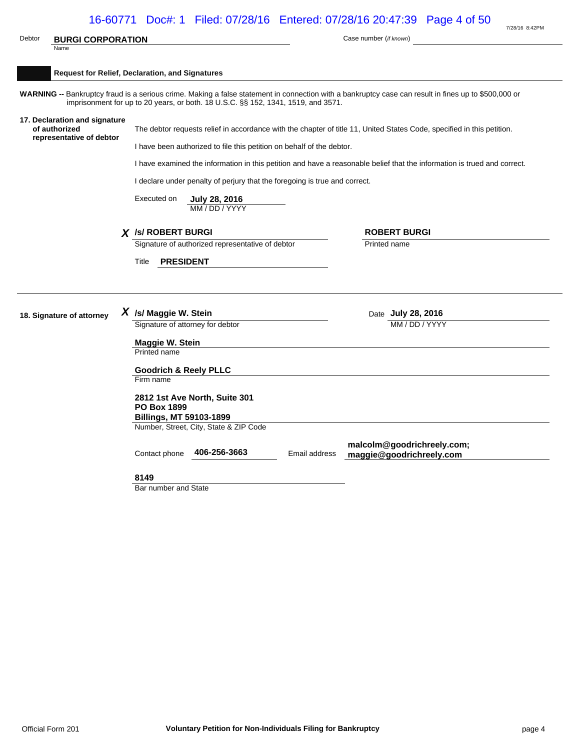|        |                                                                            |                    | 16-60771 Doc#: 1 Filed: 07/28/16 Entered: 07/28/16 20:47:39 Page 4 of 50                                                                                                                                                                  |               |                                      | 7/28/16 8:42PM |
|--------|----------------------------------------------------------------------------|--------------------|-------------------------------------------------------------------------------------------------------------------------------------------------------------------------------------------------------------------------------------------|---------------|--------------------------------------|----------------|
| Debtor | <b>BURGI CORPORATION</b>                                                   |                    |                                                                                                                                                                                                                                           |               | Case number (if known)               |                |
|        | Name                                                                       |                    |                                                                                                                                                                                                                                           |               |                                      |                |
|        | <b>Request for Relief, Declaration, and Signatures</b>                     |                    |                                                                                                                                                                                                                                           |               |                                      |                |
|        |                                                                            |                    |                                                                                                                                                                                                                                           |               |                                      |                |
|        |                                                                            |                    | WARNING -- Bankruptcy fraud is a serious crime. Making a false statement in connection with a bankruptcy case can result in fines up to \$500,000 or<br>imprisonment for up to 20 years, or both. 18 U.S.C. §§ 152, 1341, 1519, and 3571. |               |                                      |                |
|        | 17. Declaration and signature<br>of authorized<br>representative of debtor |                    | The debtor requests relief in accordance with the chapter of title 11, United States Code, specified in this petition.                                                                                                                    |               |                                      |                |
|        |                                                                            |                    | I have been authorized to file this petition on behalf of the debtor.                                                                                                                                                                     |               |                                      |                |
|        |                                                                            |                    | I have examined the information in this petition and have a reasonable belief that the information is trued and correct.                                                                                                                  |               |                                      |                |
|        |                                                                            |                    | I declare under penalty of perjury that the foregoing is true and correct.                                                                                                                                                                |               |                                      |                |
|        |                                                                            |                    |                                                                                                                                                                                                                                           |               |                                      |                |
|        |                                                                            | Executed on        | July 28, 2016<br>MM / DD / YYYY                                                                                                                                                                                                           |               |                                      |                |
|        |                                                                            |                    |                                                                                                                                                                                                                                           |               |                                      |                |
|        |                                                                            |                    | X /s/ ROBERT BURGI                                                                                                                                                                                                                        |               | <b>ROBERT BURGI</b>                  |                |
|        |                                                                            |                    | Signature of authorized representative of debtor                                                                                                                                                                                          |               | Printed name                         |                |
|        |                                                                            | Title              | <b>PRESIDENT</b>                                                                                                                                                                                                                          |               |                                      |                |
|        |                                                                            |                    |                                                                                                                                                                                                                                           |               |                                      |                |
|        |                                                                            |                    |                                                                                                                                                                                                                                           |               |                                      |                |
|        |                                                                            |                    |                                                                                                                                                                                                                                           |               |                                      |                |
|        | 18. Signature of attorney                                                  |                    | $X$ /s/ Maggie W. Stein<br>Signature of attorney for debtor                                                                                                                                                                               |               | Date July 28, 2016<br>MM / DD / YYYY |                |
|        |                                                                            |                    |                                                                                                                                                                                                                                           |               |                                      |                |
|        |                                                                            | Printed name       | Maggie W. Stein                                                                                                                                                                                                                           |               |                                      |                |
|        |                                                                            |                    |                                                                                                                                                                                                                                           |               |                                      |                |
|        |                                                                            |                    | <b>Goodrich &amp; Reely PLLC</b>                                                                                                                                                                                                          |               |                                      |                |
|        |                                                                            | Firm name          |                                                                                                                                                                                                                                           |               |                                      |                |
|        |                                                                            |                    | 2812 1st Ave North, Suite 301                                                                                                                                                                                                             |               |                                      |                |
|        |                                                                            | <b>PO Box 1899</b> |                                                                                                                                                                                                                                           |               |                                      |                |
|        |                                                                            |                    | Billings, MT 59103-1899                                                                                                                                                                                                                   |               |                                      |                |
|        |                                                                            |                    | Number, Street, City, State & ZIP Code                                                                                                                                                                                                    |               |                                      |                |
|        |                                                                            |                    |                                                                                                                                                                                                                                           |               | malcolm@goodrichreely.com;           |                |
|        |                                                                            | Contact phone      | 406-256-3663                                                                                                                                                                                                                              | Email address | maggie@goodrichreely.com             |                |
|        |                                                                            | 8149               |                                                                                                                                                                                                                                           |               |                                      |                |
|        |                                                                            |                    | Bar number and State                                                                                                                                                                                                                      |               |                                      |                |
|        |                                                                            |                    |                                                                                                                                                                                                                                           |               |                                      |                |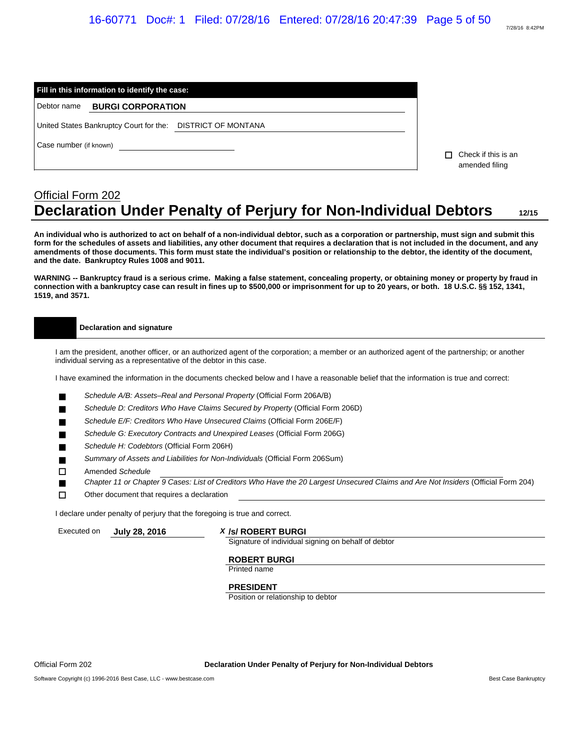| Fill in this information to identify the case:                 |                                       |
|----------------------------------------------------------------|---------------------------------------|
| Debtor name BURGI CORPORATION                                  |                                       |
| DISTRICT OF MONTANA<br>United States Bankruptcy Court for the: |                                       |
| Case number (if known)                                         | Check if this is an<br>amended filing |

# Official Form 202 **Declaration Under Penalty of Perjury for Non-Individual Debtors 12/15**

**An individual who is authorized to act on behalf of a non-individual debtor, such as a corporation or partnership, must sign and submit this form for the schedules of assets and liabilities, any other document that requires a declaration that is not included in the document, and any amendments of those documents. This form must state the individual's position or relationship to the debtor, the identity of the document, and the date. Bankruptcy Rules 1008 and 9011.**

**WARNING -- Bankruptcy fraud is a serious crime. Making a false statement, concealing property, or obtaining money or property by fraud in connection with a bankruptcy case can result in fines up to \$500,000 or imprisonment for up to 20 years, or both. 18 U.S.C. §§ 152, 1341, 1519, and 3571.**

#### **Declaration and signature**

I am the president, another officer, or an authorized agent of the corporation; a member or an authorized agent of the partnership; or another individual serving as a representative of the debtor in this case.

I have examined the information in the documents checked below and I have a reasonable belief that the information is true and correct:

- *Schedule A/B: Assets–Real and Personal Property* (Official Form 206A/B)
- *Schedule D: Creditors Who Have Claims Secured by Property* (Official Form 206D)
- *Schedule E/F: Creditors Who Have Unsecured Claims* (Official Form 206E/F)
- *Schedule G: Executory Contracts and Unexpired Leases* (Official Form 206G)
- *Schedule H: Codebtors* (Official Form 206H)
- *Summary of Assets and Liabilities for Non-Individuals* (Official Form 206Sum)
- Amended *Schedule*
- *Chapter 11 or Chapter 9 Cases: List of Creditors Who Have the 20 Largest Unsecured Claims and Are Not Insiders* (Official Form 204)
- $\Box$  Other document that requires a declaration

I declare under penalty of perjury that the foregoing is true and correct.

#### Executed on **July 28, 2016** *X* **/s/ ROBERT BURGI**

Signature of individual signing on behalf of debtor

#### **ROBERT BURGI**

Printed name

#### **PRESIDENT**

Position or relationship to debtor

Official Form 202 **Declaration Under Penalty of Perjury for Non-Individual Debtors**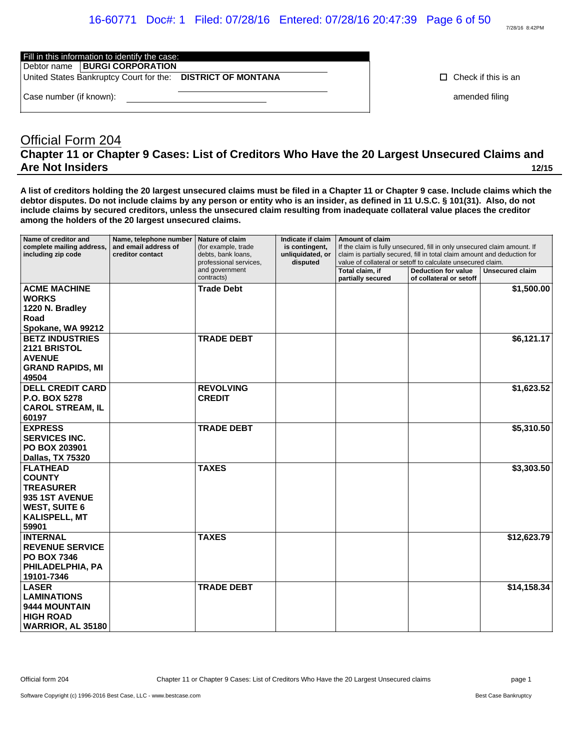# 16-60771 Doc#: 1 Filed: 07/28/16 Entered: 07/28/16 20:47:39 Page 6 of 50

Fill in this information to identify the case:

Debtor name | **BURGI CORPORATION** 

United States Bankruptcy Court for the: **DISTRICT OF MONTANA Check if this is an** 

Case number (if known): **amended filing**  $\blacksquare$ 

# Official Form 204 **Chapter 11 or Chapter 9 Cases: List of Creditors Who Have the 20 Largest Unsecured Claims and Are Not Insiders 12/15**

**A list of creditors holding the 20 largest unsecured claims must be filed in a Chapter 11 or Chapter 9 case. Include claims which the debtor disputes. Do not include claims by any person or entity who is an insider, as defined in 11 U.S.C. § 101(31). Also, do not include claims by secured creditors, unless the unsecured claim resulting from inadequate collateral value places the creditor among the holders of the 20 largest unsecured claims.**

| Name of creditor and<br>complete mailing address,<br>including zip code                                                         | Name, telephone number<br>and email address of<br>creditor contact | Nature of claim<br>(for example, trade<br>debts, bank loans,<br>professional services. | Indicate if claim<br>is contingent,<br>unliquidated, or<br>disputed | Amount of claim                      | If the claim is fully unsecured, fill in only unsecured claim amount. If<br>claim is partially secured, fill in total claim amount and deduction for<br>value of collateral or setoff to calculate unsecured claim. |                 |
|---------------------------------------------------------------------------------------------------------------------------------|--------------------------------------------------------------------|----------------------------------------------------------------------------------------|---------------------------------------------------------------------|--------------------------------------|---------------------------------------------------------------------------------------------------------------------------------------------------------------------------------------------------------------------|-----------------|
|                                                                                                                                 |                                                                    | and government<br>contracts)                                                           |                                                                     | Total claim, if<br>partially secured | <b>Deduction for value</b><br>of collateral or setoff                                                                                                                                                               | Unsecured claim |
| <b>ACME MACHINE</b><br><b>WORKS</b><br>1220 N. Bradley<br>Road<br>Spokane, WA 99212                                             |                                                                    | <b>Trade Debt</b>                                                                      |                                                                     |                                      |                                                                                                                                                                                                                     | \$1,500.00      |
| <b>BETZ INDUSTRIES</b><br><b>2121 BRISTOL</b><br><b>AVENUE</b><br><b>GRAND RAPIDS, MI</b><br>49504                              |                                                                    | <b>TRADE DEBT</b>                                                                      |                                                                     |                                      |                                                                                                                                                                                                                     | \$6,121.17      |
| <b>DELL CREDIT CARD</b><br><b>P.O. BOX 5278</b><br><b>CAROL STREAM, IL</b><br>60197                                             |                                                                    | <b>REVOLVING</b><br><b>CREDIT</b>                                                      |                                                                     |                                      |                                                                                                                                                                                                                     | \$1,623.52      |
| <b>EXPRESS</b><br><b>SERVICES INC.</b><br><b>PO BOX 203901</b><br>Dallas, TX 75320                                              |                                                                    | <b>TRADE DEBT</b>                                                                      |                                                                     |                                      |                                                                                                                                                                                                                     | \$5,310.50      |
| <b>FLATHEAD</b><br><b>COUNTY</b><br><b>TREASURER</b><br>935 1ST AVENUE<br><b>WEST, SUITE 6</b><br><b>KALISPELL, MT</b><br>59901 |                                                                    | <b>TAXES</b>                                                                           |                                                                     |                                      |                                                                                                                                                                                                                     | \$3,303.50      |
| <b>INTERNAL</b><br><b>REVENUE SERVICE</b><br><b>PO BOX 7346</b><br>PHILADELPHIA, PA<br>19101-7346                               |                                                                    | <b>TAXES</b>                                                                           |                                                                     |                                      |                                                                                                                                                                                                                     | \$12,623.79     |
| <b>LASER</b><br><b>LAMINATIONS</b><br>9444 MOUNTAIN<br><b>HIGH ROAD</b><br>WARRIOR, AL 35180                                    |                                                                    | <b>TRADE DEBT</b>                                                                      |                                                                     |                                      |                                                                                                                                                                                                                     | \$14,158.34     |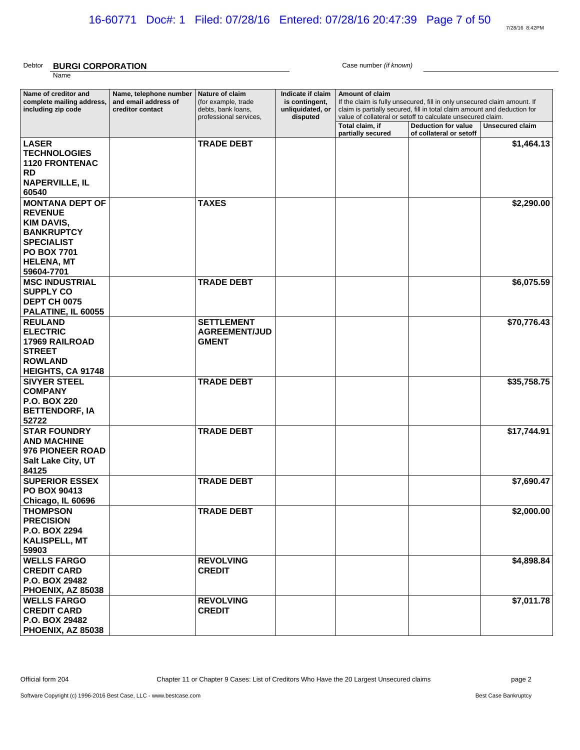7/28/16 8:42PM

#### Debtor **BURGI CORPORATION** Case number *(if known)* Name

| Name of creditor and<br>complete mailing address,<br>including zip code                                                                                          | Name, telephone number<br>and email address of<br>creditor contact | Nature of claim<br>(for example, trade<br>debts, bank loans,<br>professional services. | Indicate if claim<br>is contingent,<br>unliquidated, or | <b>Amount of claim</b>               | If the claim is fully unsecured, fill in only unsecured claim amount. If<br>claim is partially secured, fill in total claim amount and deduction for |                        |
|------------------------------------------------------------------------------------------------------------------------------------------------------------------|--------------------------------------------------------------------|----------------------------------------------------------------------------------------|---------------------------------------------------------|--------------------------------------|------------------------------------------------------------------------------------------------------------------------------------------------------|------------------------|
|                                                                                                                                                                  |                                                                    |                                                                                        | disputed                                                | Total claim, if<br>partially secured | value of collateral or setoff to calculate unsecured claim.<br><b>Deduction for value</b><br>of collateral or setoff                                 | <b>Unsecured claim</b> |
| <b>LASER</b><br><b>TECHNOLOGIES</b><br><b>1120 FRONTENAC</b><br><b>RD</b><br><b>NAPERVILLE, IL</b><br>60540                                                      |                                                                    | <b>TRADE DEBT</b>                                                                      |                                                         |                                      |                                                                                                                                                      | \$1,464.13             |
| <b>MONTANA DEPT OF</b><br><b>REVENUE</b><br><b>KIM DAVIS,</b><br><b>BANKRUPTCY</b><br><b>SPECIALIST</b><br><b>PO BOX 7701</b><br><b>HELENA, MT</b><br>59604-7701 |                                                                    | <b>TAXES</b>                                                                           |                                                         |                                      |                                                                                                                                                      | \$2,290.00             |
| <b>MSC INDUSTRIAL</b><br><b>SUPPLY CO</b><br><b>DEPT CH 0075</b><br>PALATINE, IL 60055                                                                           |                                                                    | <b>TRADE DEBT</b>                                                                      |                                                         |                                      |                                                                                                                                                      | \$6,075.59             |
| <b>REULAND</b><br><b>ELECTRIC</b><br>17969 RAILROAD<br><b>STREET</b><br><b>ROWLAND</b><br><b>HEIGHTS, CA 91748</b>                                               |                                                                    | <b>SETTLEMENT</b><br><b>AGREEMENT/JUD</b><br><b>GMENT</b>                              |                                                         |                                      |                                                                                                                                                      | \$70,776.43            |
| <b>SIVYER STEEL</b><br><b>COMPANY</b><br><b>P.O. BOX 220</b><br><b>BETTENDORF, IA</b><br>52722                                                                   |                                                                    | <b>TRADE DEBT</b>                                                                      |                                                         |                                      |                                                                                                                                                      | \$35,758.75            |
| <b>STAR FOUNDRY</b><br><b>AND MACHINE</b><br>976 PIONEER ROAD<br>Salt Lake City, UT<br>84125                                                                     |                                                                    | <b>TRADE DEBT</b>                                                                      |                                                         |                                      |                                                                                                                                                      | \$17,744.91            |
| <b>SUPERIOR ESSEX</b><br><b>PO BOX 90413</b><br>Chicago, IL 60696                                                                                                |                                                                    | <b>TRADE DEBT</b>                                                                      |                                                         |                                      |                                                                                                                                                      | \$7,690.47             |
| <b>THOMPSON</b><br><b>PRECISION</b><br><b>P.O. BOX 2294</b><br>KALISPELL, MT<br>59903                                                                            |                                                                    | <b>TRADE DEBT</b>                                                                      |                                                         |                                      |                                                                                                                                                      | \$2,000.00             |
| <b>WELLS FARGO</b><br><b>CREDIT CARD</b><br><b>P.O. BOX 29482</b><br><b>PHOENIX, AZ 85038</b>                                                                    |                                                                    | <b>REVOLVING</b><br><b>CREDIT</b>                                                      |                                                         |                                      |                                                                                                                                                      | \$4,898.84             |
| <b>WELLS FARGO</b><br><b>CREDIT CARD</b><br><b>P.O. BOX 29482</b><br><b>PHOENIX, AZ 85038</b>                                                                    |                                                                    | <b>REVOLVING</b><br><b>CREDIT</b>                                                      |                                                         |                                      |                                                                                                                                                      | \$7,011.78             |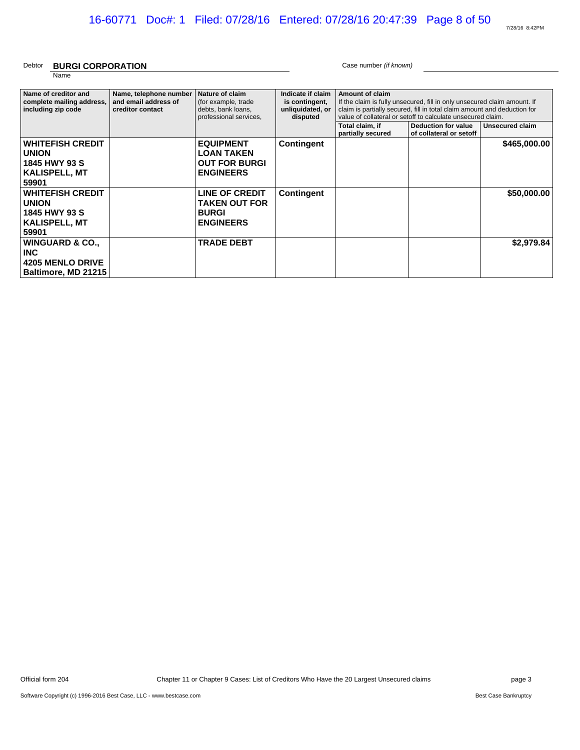7/28/16 8:42PM

#### Debtor **BURGI CORPORATION** Case number *(if known)* Name

| Name of creditor and       | Name, telephone number | Nature of claim        | Indicate if claim | <b>Amount of claim</b> |                                                                          |                 |
|----------------------------|------------------------|------------------------|-------------------|------------------------|--------------------------------------------------------------------------|-----------------|
| complete mailing address,  | and email address of   | (for example, trade    | is contingent,    |                        | If the claim is fully unsecured, fill in only unsecured claim amount. If |                 |
| including zip code         | creditor contact       | debts, bank loans,     | unliquidated, or  |                        | claim is partially secured, fill in total claim amount and deduction for |                 |
|                            |                        | professional services, | disputed          |                        | value of collateral or setoff to calculate unsecured claim.              |                 |
|                            |                        |                        |                   | Total claim, if        | Deduction for value                                                      | Unsecured claim |
|                            |                        |                        |                   | partially secured      | of collateral or setoff                                                  |                 |
| <b>WHITEFISH CREDIT</b>    |                        | <b>EQUIPMENT</b>       | <b>Contingent</b> |                        |                                                                          | \$465,000.00    |
| <b>UNION</b>               |                        | <b>LOAN TAKEN</b>      |                   |                        |                                                                          |                 |
|                            |                        |                        |                   |                        |                                                                          |                 |
| 1845 HWY 93 S              |                        | <b>OUT FOR BURGI</b>   |                   |                        |                                                                          |                 |
| <b>KALISPELL, MT</b>       |                        | <b>ENGINEERS</b>       |                   |                        |                                                                          |                 |
| 59901                      |                        |                        |                   |                        |                                                                          |                 |
| <b>WHITEFISH CREDIT</b>    |                        | <b>LINE OF CREDIT</b>  |                   |                        |                                                                          | \$50,000,00     |
|                            |                        |                        | <b>Contingent</b> |                        |                                                                          |                 |
| <b>UNION</b>               |                        | <b>TAKEN OUT FOR</b>   |                   |                        |                                                                          |                 |
| 1845 HWY 93 S              |                        | <b>BURGI</b>           |                   |                        |                                                                          |                 |
| KALISPELL, MT              |                        | <b>ENGINEERS</b>       |                   |                        |                                                                          |                 |
| 59901                      |                        |                        |                   |                        |                                                                          |                 |
|                            |                        |                        |                   |                        |                                                                          |                 |
| <b>WINGUARD &amp; CO.,</b> |                        | <b>TRADE DEBT</b>      |                   |                        |                                                                          | \$2,979.84      |
| <b>INC</b>                 |                        |                        |                   |                        |                                                                          |                 |
| <b>4205 MENLO DRIVE</b>    |                        |                        |                   |                        |                                                                          |                 |
|                            |                        |                        |                   |                        |                                                                          |                 |
| Baltimore, MD 21215        |                        |                        |                   |                        |                                                                          |                 |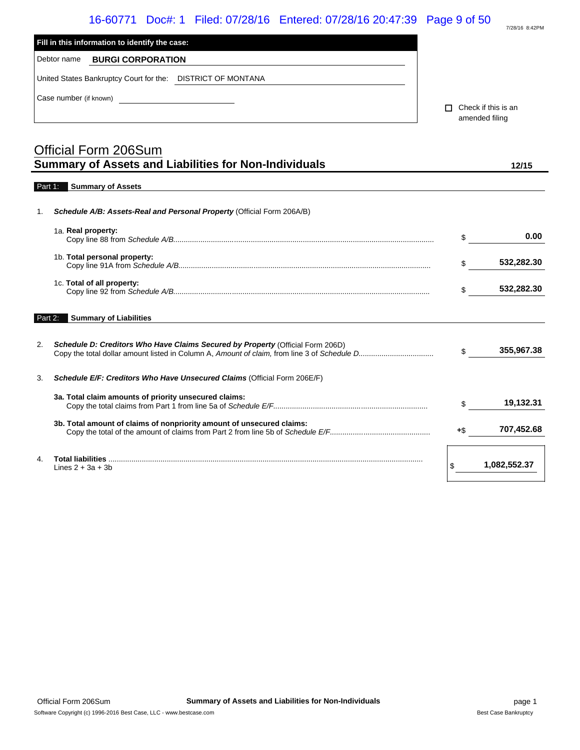|         | 16-60771 Doc#: 1 Filed: 07/28/16 Entered: 07/28/16 20:47:39 Page 9 of 50                    |     | 7/28/16 8:42PM                        |
|---------|---------------------------------------------------------------------------------------------|-----|---------------------------------------|
|         | Fill in this information to identify the case:                                              |     |                                       |
|         | Debtor name<br><b>BURGI CORPORATION</b>                                                     |     |                                       |
|         | United States Bankruptcy Court for the: DISTRICT OF MONTANA                                 |     |                                       |
|         | Case number (if known)<br><u> 1990 - Jan Barbara Barbara, prima popula</u>                  | п   | Check if this is an<br>amended filing |
|         | <b>Official Form 206Sum</b><br><b>Summary of Assets and Liabilities for Non-Individuals</b> |     | 12/15                                 |
|         | Part 1: Summary of Assets                                                                   |     |                                       |
| 1.      | Schedule A/B: Assets-Real and Personal Property (Official Form 206A/B)                      |     |                                       |
|         | 1a. Real property:                                                                          | \$  | 0.00                                  |
|         | 1b. Total personal property:                                                                | \$  | 532,282.30                            |
|         | 1c. Total of all property:                                                                  | \$  | 532,282.30                            |
| Part 2: | <b>Summary of Liabilities</b>                                                               |     |                                       |
| 2.      | Schedule D: Creditors Who Have Claims Secured by Property (Official Form 206D)              | \$  | 355,967.38                            |
| 3.      | Schedule E/F: Creditors Who Have Unsecured Claims (Official Form 206E/F)                    |     |                                       |
|         | 3a. Total claim amounts of priority unsecured claims:                                       | \$  | 19,132.31                             |
|         | 3b. Total amount of claims of nonpriority amount of unsecured claims:                       | +\$ | 707,452.68                            |
| 4.      | Lines $2 + 3a + 3b$                                                                         | \$  | 1,082,552.37                          |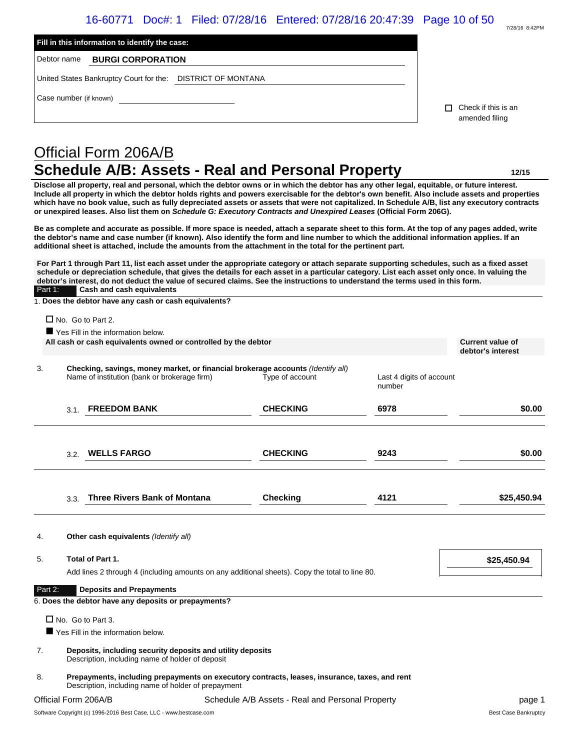| 7/28/16 8:42PM |
|----------------|

| additional sheet is attached, include the amounts from the attachment in the total for the pertinent part.<br>For Part 1 through Part 11, list each asset under the appropriate category or attach separate supporting schedules, such as a fixed asset<br>schedule or depreciation schedule, that gives the details for each asset in a particular category. List each asset only once. In valuing the<br>debtor's interest, do not deduct the value of secured claims. See the instructions to understand the terms used in this form.<br>Cash and cash equivalents<br>1. Does the debtor have any cash or cash equivalents?<br>$\Box$ No. Go to Part 2.<br>Yes Fill in the information below.<br>All cash or cash equivalents owned or controlled by the debtor<br>Checking, savings, money market, or financial brokerage accounts (Identify all)<br>Name of institution (bank or brokerage firm)<br><b>FREEDOM BANK</b> | Type of account<br><b>CHECKING</b> | Last 4 digits of account<br>number<br>6978                  | <b>Current value of</b><br>debtor's interest                                                                                                                                                 | \$0.00                                                                                                                                                                                                                                                                                                                                                                                                                                                                                                                                                                                                                                                                                                                                                            |
|------------------------------------------------------------------------------------------------------------------------------------------------------------------------------------------------------------------------------------------------------------------------------------------------------------------------------------------------------------------------------------------------------------------------------------------------------------------------------------------------------------------------------------------------------------------------------------------------------------------------------------------------------------------------------------------------------------------------------------------------------------------------------------------------------------------------------------------------------------------------------------------------------------------------------|------------------------------------|-------------------------------------------------------------|----------------------------------------------------------------------------------------------------------------------------------------------------------------------------------------------|-------------------------------------------------------------------------------------------------------------------------------------------------------------------------------------------------------------------------------------------------------------------------------------------------------------------------------------------------------------------------------------------------------------------------------------------------------------------------------------------------------------------------------------------------------------------------------------------------------------------------------------------------------------------------------------------------------------------------------------------------------------------|
|                                                                                                                                                                                                                                                                                                                                                                                                                                                                                                                                                                                                                                                                                                                                                                                                                                                                                                                              |                                    |                                                             |                                                                                                                                                                                              |                                                                                                                                                                                                                                                                                                                                                                                                                                                                                                                                                                                                                                                                                                                                                                   |
|                                                                                                                                                                                                                                                                                                                                                                                                                                                                                                                                                                                                                                                                                                                                                                                                                                                                                                                              |                                    |                                                             |                                                                                                                                                                                              |                                                                                                                                                                                                                                                                                                                                                                                                                                                                                                                                                                                                                                                                                                                                                                   |
|                                                                                                                                                                                                                                                                                                                                                                                                                                                                                                                                                                                                                                                                                                                                                                                                                                                                                                                              |                                    |                                                             |                                                                                                                                                                                              |                                                                                                                                                                                                                                                                                                                                                                                                                                                                                                                                                                                                                                                                                                                                                                   |
|                                                                                                                                                                                                                                                                                                                                                                                                                                                                                                                                                                                                                                                                                                                                                                                                                                                                                                                              |                                    |                                                             |                                                                                                                                                                                              |                                                                                                                                                                                                                                                                                                                                                                                                                                                                                                                                                                                                                                                                                                                                                                   |
|                                                                                                                                                                                                                                                                                                                                                                                                                                                                                                                                                                                                                                                                                                                                                                                                                                                                                                                              |                                    |                                                             |                                                                                                                                                                                              |                                                                                                                                                                                                                                                                                                                                                                                                                                                                                                                                                                                                                                                                                                                                                                   |
|                                                                                                                                                                                                                                                                                                                                                                                                                                                                                                                                                                                                                                                                                                                                                                                                                                                                                                                              |                                    |                                                             |                                                                                                                                                                                              |                                                                                                                                                                                                                                                                                                                                                                                                                                                                                                                                                                                                                                                                                                                                                                   |
|                                                                                                                                                                                                                                                                                                                                                                                                                                                                                                                                                                                                                                                                                                                                                                                                                                                                                                                              |                                    |                                                             |                                                                                                                                                                                              |                                                                                                                                                                                                                                                                                                                                                                                                                                                                                                                                                                                                                                                                                                                                                                   |
|                                                                                                                                                                                                                                                                                                                                                                                                                                                                                                                                                                                                                                                                                                                                                                                                                                                                                                                              |                                    |                                                             |                                                                                                                                                                                              |                                                                                                                                                                                                                                                                                                                                                                                                                                                                                                                                                                                                                                                                                                                                                                   |
|                                                                                                                                                                                                                                                                                                                                                                                                                                                                                                                                                                                                                                                                                                                                                                                                                                                                                                                              |                                    |                                                             |                                                                                                                                                                                              |                                                                                                                                                                                                                                                                                                                                                                                                                                                                                                                                                                                                                                                                                                                                                                   |
|                                                                                                                                                                                                                                                                                                                                                                                                                                                                                                                                                                                                                                                                                                                                                                                                                                                                                                                              |                                    |                                                             |                                                                                                                                                                                              |                                                                                                                                                                                                                                                                                                                                                                                                                                                                                                                                                                                                                                                                                                                                                                   |
|                                                                                                                                                                                                                                                                                                                                                                                                                                                                                                                                                                                                                                                                                                                                                                                                                                                                                                                              |                                    |                                                             |                                                                                                                                                                                              |                                                                                                                                                                                                                                                                                                                                                                                                                                                                                                                                                                                                                                                                                                                                                                   |
|                                                                                                                                                                                                                                                                                                                                                                                                                                                                                                                                                                                                                                                                                                                                                                                                                                                                                                                              |                                    |                                                             |                                                                                                                                                                                              | 12/15                                                                                                                                                                                                                                                                                                                                                                                                                                                                                                                                                                                                                                                                                                                                                             |
| Official Form 206A/B                                                                                                                                                                                                                                                                                                                                                                                                                                                                                                                                                                                                                                                                                                                                                                                                                                                                                                         |                                    |                                                             |                                                                                                                                                                                              |                                                                                                                                                                                                                                                                                                                                                                                                                                                                                                                                                                                                                                                                                                                                                                   |
|                                                                                                                                                                                                                                                                                                                                                                                                                                                                                                                                                                                                                                                                                                                                                                                                                                                                                                                              |                                    |                                                             |                                                                                                                                                                                              |                                                                                                                                                                                                                                                                                                                                                                                                                                                                                                                                                                                                                                                                                                                                                                   |
|                                                                                                                                                                                                                                                                                                                                                                                                                                                                                                                                                                                                                                                                                                                                                                                                                                                                                                                              |                                    |                                                             |                                                                                                                                                                                              |                                                                                                                                                                                                                                                                                                                                                                                                                                                                                                                                                                                                                                                                                                                                                                   |
|                                                                                                                                                                                                                                                                                                                                                                                                                                                                                                                                                                                                                                                                                                                                                                                                                                                                                                                              |                                    |                                                             |                                                                                                                                                                                              |                                                                                                                                                                                                                                                                                                                                                                                                                                                                                                                                                                                                                                                                                                                                                                   |
|                                                                                                                                                                                                                                                                                                                                                                                                                                                                                                                                                                                                                                                                                                                                                                                                                                                                                                                              |                                    |                                                             |                                                                                                                                                                                              |                                                                                                                                                                                                                                                                                                                                                                                                                                                                                                                                                                                                                                                                                                                                                                   |
| Debtor name<br><b>BURGI CORPORATION</b>                                                                                                                                                                                                                                                                                                                                                                                                                                                                                                                                                                                                                                                                                                                                                                                                                                                                                      |                                    |                                                             |                                                                                                                                                                                              |                                                                                                                                                                                                                                                                                                                                                                                                                                                                                                                                                                                                                                                                                                                                                                   |
|                                                                                                                                                                                                                                                                                                                                                                                                                                                                                                                                                                                                                                                                                                                                                                                                                                                                                                                              |                                    |                                                             |                                                                                                                                                                                              |                                                                                                                                                                                                                                                                                                                                                                                                                                                                                                                                                                                                                                                                                                                                                                   |
| Fill in this information to identify the case:                                                                                                                                                                                                                                                                                                                                                                                                                                                                                                                                                                                                                                                                                                                                                                                                                                                                               |                                    |                                                             |                                                                                                                                                                                              |                                                                                                                                                                                                                                                                                                                                                                                                                                                                                                                                                                                                                                                                                                                                                                   |
|                                                                                                                                                                                                                                                                                                                                                                                                                                                                                                                                                                                                                                                                                                                                                                                                                                                                                                                              | Case number (if known)             | United States Bankruptcy Court for the: DISTRICT OF MONTANA | Schedule A/B: Assets - Real and Personal Property<br>the debtor's name and case number (if known). Also identify the form and line number to which the additional information applies. If an | $\Box$ Check if this is an<br>amended filing<br>Disclose all property, real and personal, which the debtor owns or in which the debtor has any other legal, equitable, or future interest.<br>Include all property in which the debtor holds rights and powers exercisable for the debtor's own benefit. Also include assets and properties<br>which have no book value, such as fully depreciated assets or assets that were not capitalized. In Schedule A/B, list any executory contracts<br>or unexpired leases. Also list them on Schedule G: Executory Contracts and Unexpired Leases (Official Form 206G).<br>Be as complete and accurate as possible. If more space is needed, attach a separate sheet to this form. At the top of any pages added, write |

| 3.2. | <b>WELLS FARGO</b>           | <b>CHECKING</b> | 9243 | \$0.00      |
|------|------------------------------|-----------------|------|-------------|
| 3.3. | Three Rivers Bank of Montana | Checking        | 4121 | \$25,450.94 |

| 4.      | Other cash equivalents (Identify all)                                                          |             |
|---------|------------------------------------------------------------------------------------------------|-------------|
| 5.      | Total of Part 1.                                                                               | \$25,450.94 |
|         | Add lines 2 through 4 (including amounts on any additional sheets). Copy the total to line 80. |             |
| Part 2: | <b>Deposits and Prepayments</b>                                                                |             |
|         | 6. Does the debtor have any deposits or prepayments?                                           |             |
|         | $\Box$ No. Go to Part 3.                                                                       |             |
|         | $\blacksquare$ Yes Fill in the information below.                                              |             |

- 7. **Deposits, including security deposits and utility deposits** Description, including name of holder of deposit
- 8. **Prepayments, including prepayments on executory contracts, leases, insurance, taxes, and rent** Description, including name of holder of prepayment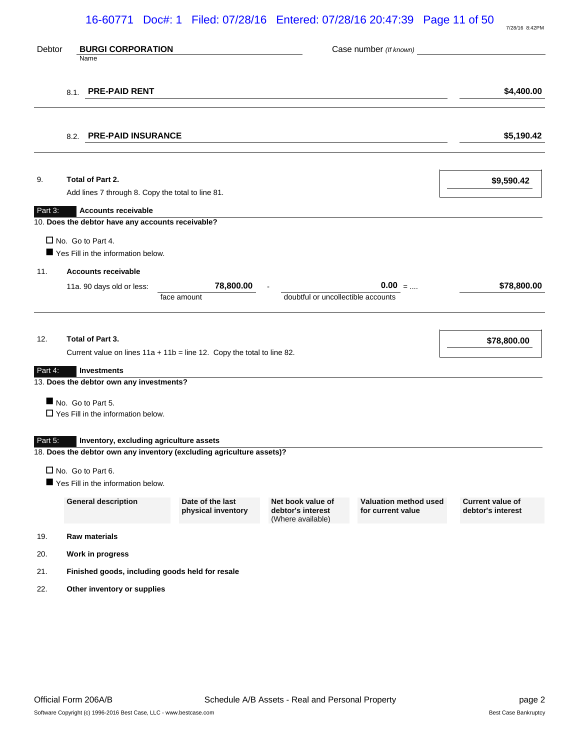# 16-60771 Doc#: 1 Filed: 07/28/16 Entered: 07/28/16 20:47:39 Page 11 of 50

| Debtor  | <b>BURGI CORPORATION</b><br>Name                                                                                                                  |                                        |                                                             | Case number (If known)                            |                                              |
|---------|---------------------------------------------------------------------------------------------------------------------------------------------------|----------------------------------------|-------------------------------------------------------------|---------------------------------------------------|----------------------------------------------|
|         | <b>PRE-PAID RENT</b><br>8.1.                                                                                                                      |                                        |                                                             |                                                   | \$4,400.00                                   |
|         | <b>PRE-PAID INSURANCE</b><br>8.2.                                                                                                                 |                                        |                                                             |                                                   | \$5,190.42                                   |
| 9.      | Total of Part 2.<br>Add lines 7 through 8. Copy the total to line 81.                                                                             |                                        |                                                             |                                                   | \$9,590.42                                   |
| Part 3: | <b>Accounts receivable</b>                                                                                                                        |                                        |                                                             |                                                   |                                              |
| 11.     | 10. Does the debtor have any accounts receivable?<br>$\Box$ No. Go to Part 4.<br>Yes Fill in the information below.<br><b>Accounts receivable</b> |                                        |                                                             |                                                   |                                              |
|         | 11a. 90 days old or less:                                                                                                                         | 78,800.00<br>face amount               | doubtful or uncollectible accounts                          | $0.00 = $                                         | \$78,800.00                                  |
| 12.     | Total of Part 3.<br>Current value on lines $11a + 11b =$ line 12. Copy the total to line 82.                                                      |                                        |                                                             |                                                   | \$78,800.00                                  |
| Part 4: | Investments                                                                                                                                       |                                        |                                                             |                                                   |                                              |
|         | 13. Does the debtor own any investments?<br>No. Go to Part 5.<br>$\Box$ Yes Fill in the information below.                                        |                                        |                                                             |                                                   |                                              |
| Part 5: | Inventory, excluding agriculture assets<br>18. Does the debtor own any inventory (excluding agriculture assets)?                                  |                                        |                                                             |                                                   |                                              |
|         | No. Go to Part 6.<br>Yes Fill in the information below.                                                                                           |                                        |                                                             |                                                   |                                              |
|         | <b>General description</b>                                                                                                                        | Date of the last<br>physical inventory | Net book value of<br>debtor's interest<br>(Where available) | <b>Valuation method used</b><br>for current value | <b>Current value of</b><br>debtor's interest |
| 19.     | <b>Raw materials</b>                                                                                                                              |                                        |                                                             |                                                   |                                              |
| 20.     | Work in progress                                                                                                                                  |                                        |                                                             |                                                   |                                              |
| 21.     | Finished goods, including goods held for resale                                                                                                   |                                        |                                                             |                                                   |                                              |
| 22.     | Other inventory or supplies                                                                                                                       |                                        |                                                             |                                                   |                                              |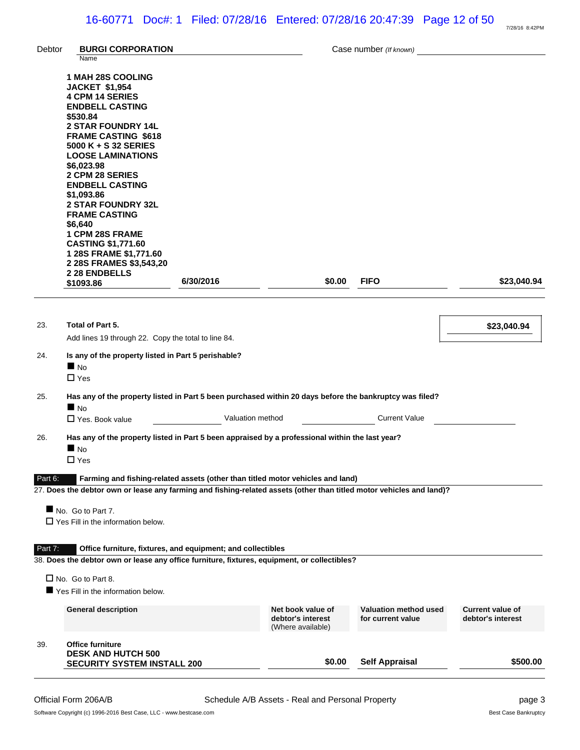| Debtor  | <b>BURGI CORPORATION</b>                                                                                                                                                                                                                                                                                                                                                                                                                                           |                  |                                                             | Case number (If known)                            |                                              |
|---------|--------------------------------------------------------------------------------------------------------------------------------------------------------------------------------------------------------------------------------------------------------------------------------------------------------------------------------------------------------------------------------------------------------------------------------------------------------------------|------------------|-------------------------------------------------------------|---------------------------------------------------|----------------------------------------------|
|         | Name<br><b>1 MAH 28S COOLING</b><br><b>JACKET \$1,954</b><br><b>4 CPM 14 SERIES</b><br><b>ENDBELL CASTING</b><br>\$530.84<br><b>2 STAR FOUNDRY 14L</b><br><b>FRAME CASTING \$618</b><br>5000 K + S 32 SERIES<br><b>LOOSE LAMINATIONS</b><br>\$6,023.98<br>2 CPM 28 SERIES<br><b>ENDBELL CASTING</b><br>\$1,093.86<br><b>2 STAR FOUNDRY 32L</b><br><b>FRAME CASTING</b><br>\$6,640<br><b>1 CPM 28S FRAME</b><br><b>CASTING \$1,771.60</b><br>1 28S FRAME \$1,771.60 |                  |                                                             |                                                   |                                              |
|         | 2 28S FRAMES \$3,543,20<br>2 28 ENDBELLS<br>\$1093.86                                                                                                                                                                                                                                                                                                                                                                                                              | 6/30/2016        | \$0.00                                                      | <b>FIFO</b>                                       | \$23,040.94                                  |
| 23.     | Total of Part 5.<br>Add lines 19 through 22. Copy the total to line 84.                                                                                                                                                                                                                                                                                                                                                                                            |                  |                                                             |                                                   | \$23,040.94                                  |
| 24.     | Is any of the property listed in Part 5 perishable?<br>N <sub>O</sub><br>$\Box$ Yes                                                                                                                                                                                                                                                                                                                                                                                |                  |                                                             |                                                   |                                              |
| 25.     | Has any of the property listed in Part 5 been purchased within 20 days before the bankruptcy was filed?<br>$\blacksquare$ No<br>$\Box$ Yes. Book value                                                                                                                                                                                                                                                                                                             | Valuation method |                                                             | <b>Current Value</b>                              |                                              |
| 26.     | Has any of the property listed in Part 5 been appraised by a professional within the last year?<br>$\blacksquare$ No<br>$\Box$ Yes                                                                                                                                                                                                                                                                                                                                 |                  |                                                             |                                                   |                                              |
| Part 6: | Farming and fishing-related assets (other than titled motor vehicles and land)<br>27. Does the debtor own or lease any farming and fishing-related assets (other than titled motor vehicles and land)?                                                                                                                                                                                                                                                             |                  |                                                             |                                                   |                                              |
|         | No. Go to Part 7.<br>$\Box$ Yes Fill in the information below.                                                                                                                                                                                                                                                                                                                                                                                                     |                  |                                                             |                                                   |                                              |
| Part 7: | Office furniture, fixtures, and equipment; and collectibles<br>38. Does the debtor own or lease any office furniture, fixtures, equipment, or collectibles?                                                                                                                                                                                                                                                                                                        |                  |                                                             |                                                   |                                              |
|         | $\Box$ No. Go to Part 8.<br>Yes Fill in the information below.                                                                                                                                                                                                                                                                                                                                                                                                     |                  |                                                             |                                                   |                                              |
|         | <b>General description</b>                                                                                                                                                                                                                                                                                                                                                                                                                                         |                  | Net book value of<br>debtor's interest<br>(Where available) | <b>Valuation method used</b><br>for current value | <b>Current value of</b><br>debtor's interest |
| 39.     | <b>Office furniture</b><br><b>DESK AND HUTCH 500</b><br><b>SECURITY SYSTEM INSTALL 200</b>                                                                                                                                                                                                                                                                                                                                                                         |                  | \$0.00                                                      | <b>Self Appraisal</b>                             | \$500.00                                     |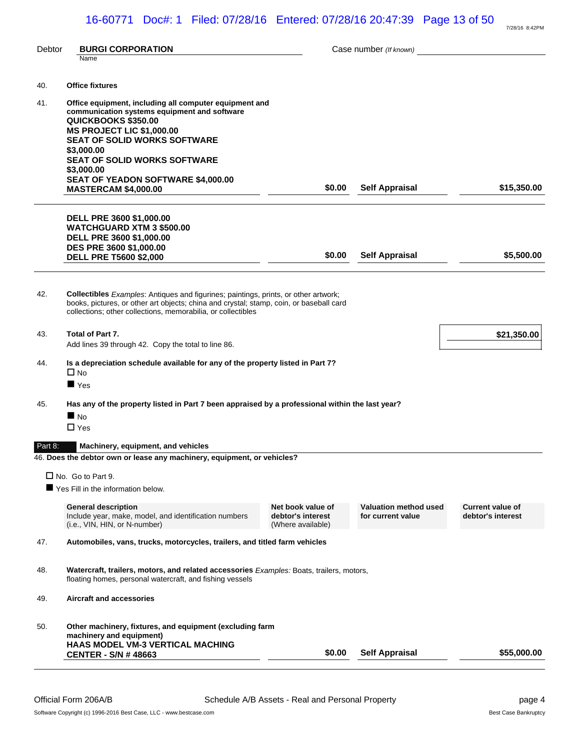| Debtor  | <b>BURGI CORPORATION</b>                                                                                                                                |                                        | Case number (If known) |                         |
|---------|---------------------------------------------------------------------------------------------------------------------------------------------------------|----------------------------------------|------------------------|-------------------------|
|         | Name                                                                                                                                                    |                                        |                        |                         |
| 40.     | <b>Office fixtures</b>                                                                                                                                  |                                        |                        |                         |
|         |                                                                                                                                                         |                                        |                        |                         |
| 41.     | Office equipment, including all computer equipment and<br>communication systems equipment and software                                                  |                                        |                        |                         |
|         | QUICKBOOKS \$350.00                                                                                                                                     |                                        |                        |                         |
|         | <b>MS PROJECT LIC \$1,000.00</b><br><b>SEAT OF SOLID WORKS SOFTWARE</b>                                                                                 |                                        |                        |                         |
|         | \$3,000.00                                                                                                                                              |                                        |                        |                         |
|         | <b>SEAT OF SOLID WORKS SOFTWARE</b>                                                                                                                     |                                        |                        |                         |
|         | \$3,000.00<br><b>SEAT OF YEADON SOFTWARE \$4,000.00</b>                                                                                                 |                                        |                        |                         |
|         | <b>MASTERCAM \$4,000.00</b>                                                                                                                             | \$0.00                                 | <b>Self Appraisal</b>  | \$15,350.00             |
|         |                                                                                                                                                         |                                        |                        |                         |
|         | <b>DELL PRE 3600 \$1,000.00</b>                                                                                                                         |                                        |                        |                         |
|         | <b>WATCHGUARD XTM 3 \$500.00</b>                                                                                                                        |                                        |                        |                         |
|         | DELL PRE 3600 \$1,000.00                                                                                                                                |                                        |                        |                         |
|         | DES PRE 3600 \$1,000.00<br><b>DELL PRE T5600 \$2,000</b>                                                                                                | \$0.00                                 | <b>Self Appraisal</b>  | \$5,500.00              |
|         |                                                                                                                                                         |                                        |                        |                         |
|         |                                                                                                                                                         |                                        |                        |                         |
| 42.     | Collectibles Examples: Antiques and figurines; paintings, prints, or other artwork;                                                                     |                                        |                        |                         |
|         | books, pictures, or other art objects; china and crystal; stamp, coin, or baseball card<br>collections; other collections, memorabilia, or collectibles |                                        |                        |                         |
|         |                                                                                                                                                         |                                        |                        |                         |
| 43.     | Total of Part 7.                                                                                                                                        |                                        |                        | \$21,350.00             |
|         | Add lines 39 through 42. Copy the total to line 86.                                                                                                     |                                        |                        |                         |
| 44.     | Is a depreciation schedule available for any of the property listed in Part 7?                                                                          |                                        |                        |                         |
|         | $\square$ No                                                                                                                                            |                                        |                        |                         |
|         | $\blacksquare$ Yes                                                                                                                                      |                                        |                        |                         |
| 45.     | Has any of the property listed in Part 7 been appraised by a professional within the last year?                                                         |                                        |                        |                         |
|         | N <sub>0</sub>                                                                                                                                          |                                        |                        |                         |
|         | $\Box$ Yes                                                                                                                                              |                                        |                        |                         |
| Part 8: | Machinery, equipment, and vehicles                                                                                                                      |                                        |                        |                         |
|         | 46. Does the debtor own or lease any machinery, equipment, or vehicles?                                                                                 |                                        |                        |                         |
|         |                                                                                                                                                         |                                        |                        |                         |
|         | $\Box$ No. Go to Part 9.                                                                                                                                |                                        |                        |                         |
|         | Yes Fill in the information below.                                                                                                                      |                                        |                        |                         |
|         | <b>General description</b>                                                                                                                              | Net book value of                      | Valuation method used  | <b>Current value of</b> |
|         | Include year, make, model, and identification numbers<br>(i.e., VIN, HIN, or N-number)                                                                  | debtor's interest<br>(Where available) | for current value      | debtor's interest       |
|         | Automobiles, vans, trucks, motorcycles, trailers, and titled farm vehicles                                                                              |                                        |                        |                         |
| 47.     |                                                                                                                                                         |                                        |                        |                         |
|         |                                                                                                                                                         |                                        |                        |                         |
| 48.     | Watercraft, trailers, motors, and related accessories Examples: Boats, trailers, motors,<br>floating homes, personal watercraft, and fishing vessels    |                                        |                        |                         |
|         |                                                                                                                                                         |                                        |                        |                         |
| 49.     | <b>Aircraft and accessories</b>                                                                                                                         |                                        |                        |                         |
|         |                                                                                                                                                         |                                        |                        |                         |
| 50.     | Other machinery, fixtures, and equipment (excluding farm                                                                                                |                                        |                        |                         |
|         | machinery and equipment)<br><b>HAAS MODEL VM-3 VERTICAL MACHING</b>                                                                                     |                                        |                        |                         |
|         | <b>CENTER - S/N # 48663</b>                                                                                                                             | \$0.00                                 | <b>Self Appraisal</b>  | \$55,000.00             |
|         |                                                                                                                                                         |                                        |                        |                         |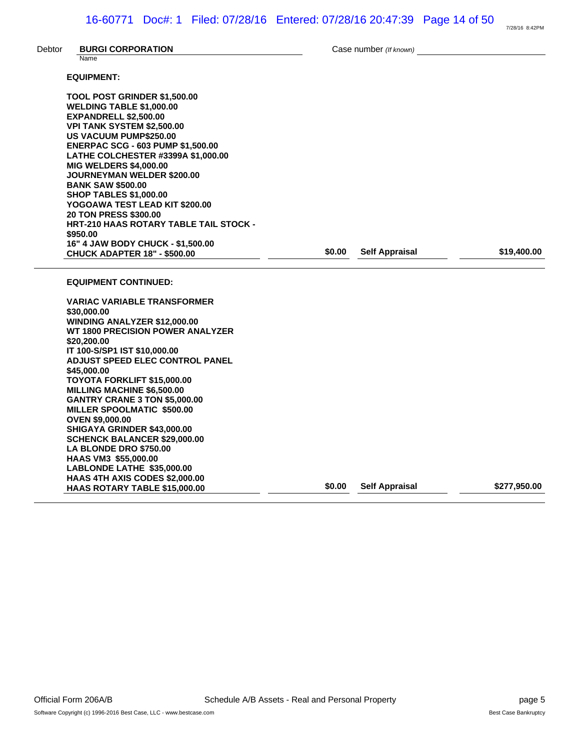| Debtor | <b>BURGI CORPORATION</b><br>Name                                                                                                                                                                                                                                                                                                                                                                                                                                                                                                                                                                 |        | Case number (If known) |              |
|--------|--------------------------------------------------------------------------------------------------------------------------------------------------------------------------------------------------------------------------------------------------------------------------------------------------------------------------------------------------------------------------------------------------------------------------------------------------------------------------------------------------------------------------------------------------------------------------------------------------|--------|------------------------|--------------|
|        | <b>EQUIPMENT:</b>                                                                                                                                                                                                                                                                                                                                                                                                                                                                                                                                                                                |        |                        |              |
|        | TOOL POST GRINDER \$1,500.00<br><b>WELDING TABLE \$1,000.00</b><br><b>EXPANDRELL \$2,500.00</b><br>VPI TANK SYSTEM \$2,500.00<br><b>US VACUUM PUMP\$250.00</b><br><b>ENERPAC SCG - 603 PUMP \$1,500.00</b><br>LATHE COLCHESTER #3399A \$1,000.00<br><b>MIG WELDERS \$4,000.00</b><br><b>JOURNEYMAN WELDER \$200.00</b><br><b>BANK SAW \$500.00</b><br><b>SHOP TABLES \$1,000.00</b><br>YOGOAWA TEST LEAD KIT \$200.00<br>20 TON PRESS \$300.00<br><b>HRT-210 HAAS ROTARY TABLE TAIL STOCK -</b><br>\$950.00<br>16" 4 JAW BODY CHUCK - \$1,500.00                                                 |        |                        |              |
|        | <b>CHUCK ADAPTER 18" - \$500.00</b>                                                                                                                                                                                                                                                                                                                                                                                                                                                                                                                                                              | \$0.00 | <b>Self Appraisal</b>  | \$19,400.00  |
|        | <b>EQUIPMENT CONTINUED:</b>                                                                                                                                                                                                                                                                                                                                                                                                                                                                                                                                                                      |        |                        |              |
|        | <b>VARIAC VARIABLE TRANSFORMER</b><br>\$30,000.00<br>WINDING ANALYZER \$12,000.00<br><b>WT 1800 PRECISION POWER ANALYZER</b><br>\$20,200.00<br>IT 100-S/SP1 IST \$10,000.00<br>ADJUST SPEED ELEC CONTROL PANEL<br>\$45,000,00<br>TOYOTA FORKLIFT \$15,000.00<br><b>MILLING MACHINE \$6,500.00</b><br><b>GANTRY CRANE 3 TON \$5,000.00</b><br>MILLER SPOOLMATIC \$500.00<br><b>OVEN \$9,000.00</b><br>SHIGAYA GRINDER \$43,000.00<br><b>SCHENCK BALANCER \$29,000.00</b><br>LA BLONDE DRO \$750.00<br>HAAS VM3 \$55,000.00<br>LABLONDE LATHE \$35,000.00<br><b>HAAS 4TH AXIS CODES \$2,000.00</b> |        |                        |              |
|        | HAAS ROTARY TABLE \$15,000.00                                                                                                                                                                                                                                                                                                                                                                                                                                                                                                                                                                    | \$0.00 | <b>Self Appraisal</b>  | \$277,950.00 |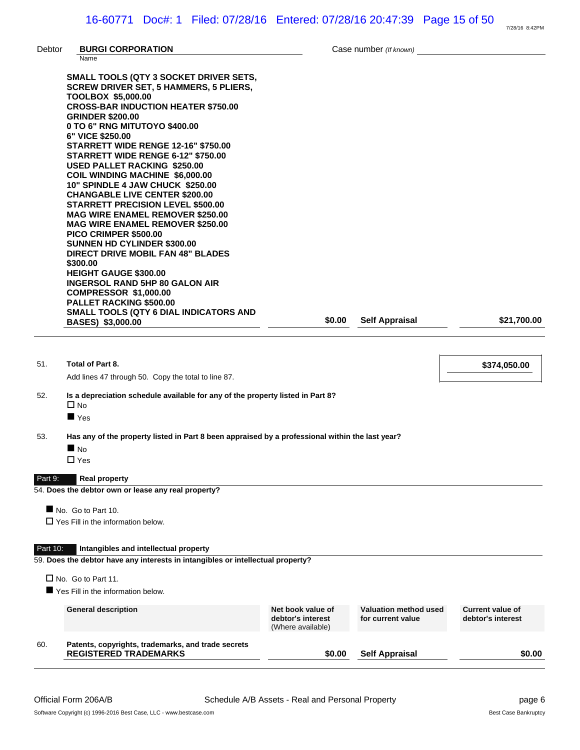|          |                                                                                                                                                                                                                                                                                                                                                                                                                                                                                                                                                                                                                                                                                                                                                                                                                                                                                                                                                                  |                                                             |                                                   | 7/28/16 8:42PM                               |
|----------|------------------------------------------------------------------------------------------------------------------------------------------------------------------------------------------------------------------------------------------------------------------------------------------------------------------------------------------------------------------------------------------------------------------------------------------------------------------------------------------------------------------------------------------------------------------------------------------------------------------------------------------------------------------------------------------------------------------------------------------------------------------------------------------------------------------------------------------------------------------------------------------------------------------------------------------------------------------|-------------------------------------------------------------|---------------------------------------------------|----------------------------------------------|
| Debtor   | <b>BURGI CORPORATION</b><br>Name                                                                                                                                                                                                                                                                                                                                                                                                                                                                                                                                                                                                                                                                                                                                                                                                                                                                                                                                 |                                                             | Case number (If known)                            |                                              |
|          | SMALL TOOLS (QTY 3 SOCKET DRIVER SETS,<br><b>SCREW DRIVER SET, 5 HAMMERS, 5 PLIERS,</b><br><b>TOOLBOX \$5,000.00</b><br><b>CROSS-BAR INDUCTION HEATER \$750.00</b><br><b>GRINDER \$200.00</b><br>0 TO 6" RNG MITUTOYO \$400.00<br>6" VICE \$250.00<br><b>STARRETT WIDE RENGE 12-16" \$750.00</b><br>STARRETT WIDE RENGE 6-12" \$750.00<br><b>USED PALLET RACKING \$250.00</b><br><b>COIL WINDING MACHINE \$6,000.00</b><br>10" SPINDLE 4 JAW CHUCK \$250.00<br><b>CHANGABLE LIVE CENTER \$200.00</b><br><b>STARRETT PRECISION LEVEL \$500.00</b><br><b>MAG WIRE ENAMEL REMOVER \$250.00</b><br><b>MAG WIRE ENAMEL REMOVER \$250.00</b><br>PICO CRIMPER \$500.00<br><b>SUNNEN HD CYLINDER \$300.00</b><br><b>DIRECT DRIVE MOBIL FAN 48" BLADES</b><br>\$300.00<br><b>HEIGHT GAUGE \$300.00</b><br><b>INGERSOL RAND 5HP 80 GALON AIR</b><br><b>COMPRESSOR \$1,000.00</b><br>PALLET RACKING \$500.00<br>SMALL TOOLS (QTY 6 DIAL INDICATORS AND<br>BASES) \$3,000.00 | \$0.00                                                      | <b>Self Appraisal</b>                             | \$21,700.00                                  |
| 51.      | Total of Part 8.<br>Add lines 47 through 50. Copy the total to line 87.                                                                                                                                                                                                                                                                                                                                                                                                                                                                                                                                                                                                                                                                                                                                                                                                                                                                                          |                                                             |                                                   | \$374,050.00                                 |
| 52.      | Is a depreciation schedule available for any of the property listed in Part 8?<br>$\Box$ No                                                                                                                                                                                                                                                                                                                                                                                                                                                                                                                                                                                                                                                                                                                                                                                                                                                                      |                                                             |                                                   |                                              |
|          | $\blacksquare$ Yes                                                                                                                                                                                                                                                                                                                                                                                                                                                                                                                                                                                                                                                                                                                                                                                                                                                                                                                                               |                                                             |                                                   |                                              |
| 53.      | Has any of the property listed in Part 8 been appraised by a professional within the last year?                                                                                                                                                                                                                                                                                                                                                                                                                                                                                                                                                                                                                                                                                                                                                                                                                                                                  |                                                             |                                                   |                                              |
|          | $\blacksquare$ No<br>$\Box$ Yes                                                                                                                                                                                                                                                                                                                                                                                                                                                                                                                                                                                                                                                                                                                                                                                                                                                                                                                                  |                                                             |                                                   |                                              |
| Part 9:  | <b>Real property</b>                                                                                                                                                                                                                                                                                                                                                                                                                                                                                                                                                                                                                                                                                                                                                                                                                                                                                                                                             |                                                             |                                                   |                                              |
|          | 54. Does the debtor own or lease any real property?                                                                                                                                                                                                                                                                                                                                                                                                                                                                                                                                                                                                                                                                                                                                                                                                                                                                                                              |                                                             |                                                   |                                              |
|          | No. Go to Part 10.<br>$\Box$ Yes Fill in the information below.                                                                                                                                                                                                                                                                                                                                                                                                                                                                                                                                                                                                                                                                                                                                                                                                                                                                                                  |                                                             |                                                   |                                              |
| Part 10: | Intangibles and intellectual property                                                                                                                                                                                                                                                                                                                                                                                                                                                                                                                                                                                                                                                                                                                                                                                                                                                                                                                            |                                                             |                                                   |                                              |
|          | 59. Does the debtor have any interests in intangibles or intellectual property?                                                                                                                                                                                                                                                                                                                                                                                                                                                                                                                                                                                                                                                                                                                                                                                                                                                                                  |                                                             |                                                   |                                              |
|          | $\Box$ No. Go to Part 11.                                                                                                                                                                                                                                                                                                                                                                                                                                                                                                                                                                                                                                                                                                                                                                                                                                                                                                                                        |                                                             |                                                   |                                              |
|          | Yes Fill in the information below.                                                                                                                                                                                                                                                                                                                                                                                                                                                                                                                                                                                                                                                                                                                                                                                                                                                                                                                               |                                                             |                                                   |                                              |
|          | <b>General description</b>                                                                                                                                                                                                                                                                                                                                                                                                                                                                                                                                                                                                                                                                                                                                                                                                                                                                                                                                       | Net book value of<br>debtor's interest<br>(Where available) | <b>Valuation method used</b><br>for current value | <b>Current value of</b><br>debtor's interest |
| 60.      | Patents, copyrights, trademarks, and trade secrets<br><b>REGISTERED TRADEMARKS</b>                                                                                                                                                                                                                                                                                                                                                                                                                                                                                                                                                                                                                                                                                                                                                                                                                                                                               | \$0.00                                                      | <b>Self Appraisal</b>                             | \$0.00                                       |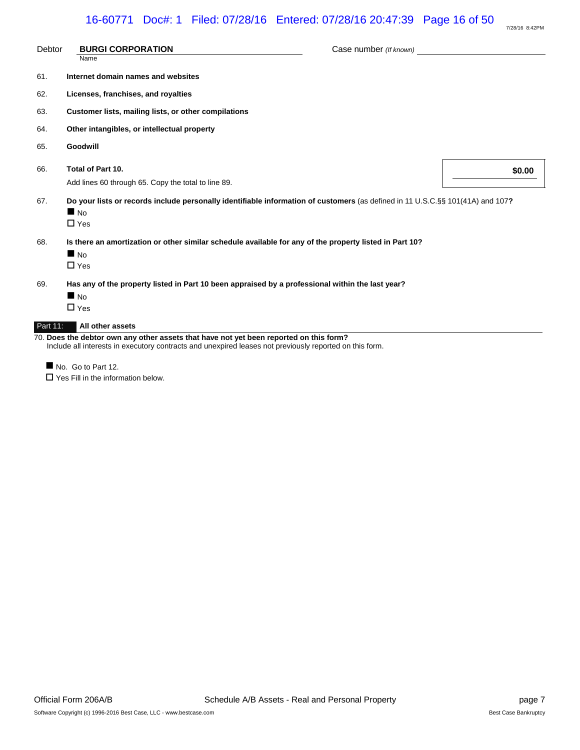| Debtor   | <b>BURGI CORPORATION</b><br>Name                                                                                                                               | Case number (If known) |        |
|----------|----------------------------------------------------------------------------------------------------------------------------------------------------------------|------------------------|--------|
| 61.      | Internet domain names and websites                                                                                                                             |                        |        |
| 62.      | Licenses, franchises, and royalties                                                                                                                            |                        |        |
| 63.      | Customer lists, mailing lists, or other compilations                                                                                                           |                        |        |
| 64.      | Other intangibles, or intellectual property                                                                                                                    |                        |        |
| 65.      | Goodwill                                                                                                                                                       |                        |        |
| 66.      | Total of Part 10.<br>Add lines 60 through 65. Copy the total to line 89.                                                                                       |                        | \$0.00 |
| 67.      | Do your lists or records include personally identifiable information of customers (as defined in 11 U.S.C.§§ 101(41A) and 107?<br>N <sub>0</sub><br>$\Box$ Yes |                        |        |
| 68.      | Is there an amortization or other similar schedule available for any of the property listed in Part 10?<br>$\blacksquare$ No<br>$\Box$ Yes                     |                        |        |
| 69.      | Has any of the property listed in Part 10 been appraised by a professional within the last year?<br>$\blacksquare$ No<br>$\Box$ Yes                            |                        |        |
| Part 11: | All other assets                                                                                                                                               |                        |        |

70. **Does the debtor own any other assets that have not yet been reported on this form?** Include all interests in executory contracts and unexpired leases not previously reported on this form.

No. Go to Part 12.

 $\Box$  Yes Fill in the information below.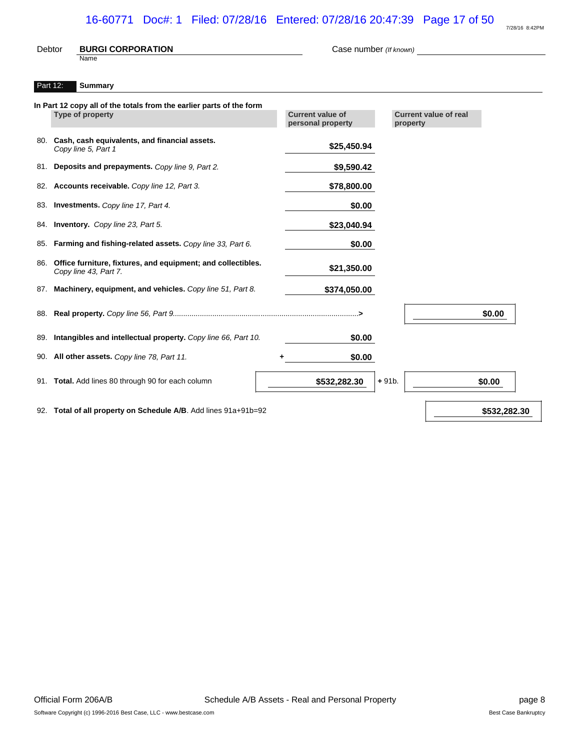# 16-60771 Doc#: 1 Filed: 07/28/16 Entered: 07/28/16 20:47:39 Page 17 of 50

| 7/28/16 8:42PM |
|----------------|

| <b>Current value of real</b><br>property |        |
|------------------------------------------|--------|
|                                          |        |
|                                          |        |
|                                          |        |
|                                          |        |
|                                          |        |
|                                          |        |
|                                          |        |
|                                          |        |
|                                          |        |
|                                          |        |
|                                          |        |
|                                          |        |
|                                          | \$0.00 |
|                                          |        |
|                                          |        |
| $+91b.$                                  | \$0.00 |
|                                          |        |

92. **Total of all property on Schedule A/B**. Add lines 91a+91b=92 **\$532,282.30 \$532,282.30** 

Official Form 206A/B **Schedule A/B Assets - Real and Personal Property** Page 8 Software Copyright (c) 1996-2016 Best Case, LLC - www.bestcase.com **Best Case Bankruptcy** Best Case Bankruptcy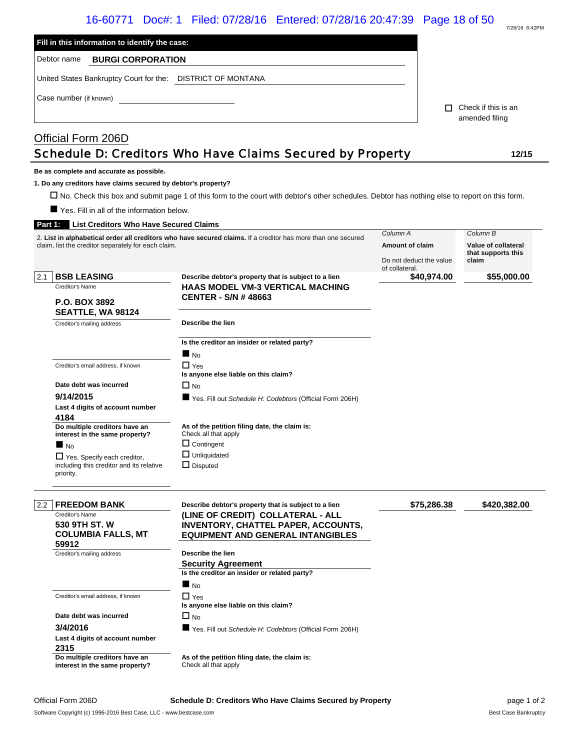| 7/28/16 8:42PM |
|----------------|

|               |                                                                 | 16-60771 Doc#: 1 Filed: 07/28/16 Entered: 07/28/16 20:47:39 Page 18 of 50                                                                       |                         |             |                                       | 7/28/16 8:42PM |
|---------------|-----------------------------------------------------------------|-------------------------------------------------------------------------------------------------------------------------------------------------|-------------------------|-------------|---------------------------------------|----------------|
|               | Fill in this information to identify the case:                  |                                                                                                                                                 |                         |             |                                       |                |
|               | Debtor name<br><b>BURGI CORPORATION</b>                         |                                                                                                                                                 |                         |             |                                       |                |
|               | United States Bankruptcy Court for the: DISTRICT OF MONTANA     |                                                                                                                                                 |                         |             |                                       |                |
|               | Case number (if known)                                          |                                                                                                                                                 |                         |             |                                       |                |
|               |                                                                 |                                                                                                                                                 |                         |             | Check if this is an<br>amended filing |                |
|               | Official Form 206D                                              |                                                                                                                                                 |                         |             |                                       |                |
|               |                                                                 | Schedule D: Creditors Who Have Claims Secured by Property                                                                                       |                         |             |                                       | 12/15          |
|               | Be as complete and accurate as possible.                        |                                                                                                                                                 |                         |             |                                       |                |
|               | 1. Do any creditors have claims secured by debtor's property?   |                                                                                                                                                 |                         |             |                                       |                |
|               |                                                                 | □ No. Check this box and submit page 1 of this form to the court with debtor's other schedules. Debtor has nothing else to report on this form. |                         |             |                                       |                |
|               | ■ Yes. Fill in all of the information below.                    |                                                                                                                                                 |                         |             |                                       |                |
| Part 1:       | <b>List Creditors Who Have Secured Claims</b>                   |                                                                                                                                                 |                         |             |                                       |                |
|               |                                                                 | 2. List in alphabetical order all creditors who have secured claims. If a creditor has more than one secured                                    | Column A                |             | Column B                              |                |
|               | claim, list the creditor separately for each claim.             |                                                                                                                                                 | Amount of claim         |             | Value of collateral                   |                |
|               |                                                                 |                                                                                                                                                 | Do not deduct the value |             | that supports this<br>claim           |                |
| 2.1           | <b>BSB LEASING</b>                                              | Describe debtor's property that is subject to a lien                                                                                            | of collateral.          | \$40,974.00 |                                       | \$55,000.00    |
|               | Creditor's Name                                                 | <b>HAAS MODEL VM-3 VERTICAL MACHING</b>                                                                                                         |                         |             |                                       |                |
|               |                                                                 | <b>CENTER - S/N # 48663</b>                                                                                                                     |                         |             |                                       |                |
|               | <b>P.O. BOX 3892</b><br>SEATTLE, WA 98124                       |                                                                                                                                                 |                         |             |                                       |                |
|               | Creditor's mailing address                                      | Describe the lien                                                                                                                               |                         |             |                                       |                |
|               |                                                                 |                                                                                                                                                 |                         |             |                                       |                |
|               |                                                                 | Is the creditor an insider or related party?                                                                                                    |                         |             |                                       |                |
|               |                                                                 | $\blacksquare$ No                                                                                                                               |                         |             |                                       |                |
|               | Creditor's email address, if known                              | $\Box$ Yes<br>Is anyone else liable on this claim?                                                                                              |                         |             |                                       |                |
|               | Date debt was incurred                                          | $\Box$ No                                                                                                                                       |                         |             |                                       |                |
|               | 9/14/2015                                                       | ■ Yes. Fill out Schedule H: Codebtors (Official Form 206H)                                                                                      |                         |             |                                       |                |
|               | Last 4 digits of account number                                 |                                                                                                                                                 |                         |             |                                       |                |
|               | 4184                                                            |                                                                                                                                                 |                         |             |                                       |                |
|               | Do multiple creditors have an<br>interest in the same property? | As of the petition filing date, the claim is:<br>Check all that apply                                                                           |                         |             |                                       |                |
|               | $\blacksquare$ No                                               | $\Box$ Contingent                                                                                                                               |                         |             |                                       |                |
|               | $\Box$ Yes. Specify each creditor,                              | $\Box$ Unliquidated                                                                                                                             |                         |             |                                       |                |
|               | including this creditor and its relative<br>priority.           | $\Box$ Disputed                                                                                                                                 |                         |             |                                       |                |
| $2.2^{\circ}$ | <b>FREEDOM BANK</b>                                             | Describe debtor's property that is subject to a lien                                                                                            |                         | \$75,286.38 |                                       | \$420,382.00   |
|               | Creditor's Name                                                 | (LINE OF CREDIT) COLLATERAL - ALL                                                                                                               |                         |             |                                       |                |
|               | 530 9TH ST. W                                                   | <b>INVENTORY, CHATTEL PAPER, ACCOUNTS,</b>                                                                                                      |                         |             |                                       |                |
|               | <b>COLUMBIA FALLS, MT</b><br>59912                              | <b>EQUIPMENT AND GENERAL INTANGIBLES</b>                                                                                                        |                         |             |                                       |                |
|               | Creditor's mailing address                                      | Describe the lien                                                                                                                               |                         |             |                                       |                |
|               |                                                                 | <b>Security Agreement</b>                                                                                                                       |                         |             |                                       |                |
|               |                                                                 | Is the creditor an insider or related party?                                                                                                    |                         |             |                                       |                |
|               |                                                                 | $\blacksquare$ No                                                                                                                               |                         |             |                                       |                |
|               | Creditor's email address, if known                              | $\Box$ Yes<br>Is anyone else liable on this claim?                                                                                              |                         |             |                                       |                |
|               | Date debt was incurred                                          | $\square$ No                                                                                                                                    |                         |             |                                       |                |
|               | 3/4/2016                                                        | Yes. Fill out Schedule H: Codebtors (Official Form 206H)                                                                                        |                         |             |                                       |                |
|               | Last 4 digits of account number                                 |                                                                                                                                                 |                         |             |                                       |                |
|               | 2315                                                            |                                                                                                                                                 |                         |             |                                       |                |
|               | Do multiple creditors have an<br>interest in the same property? | As of the petition filing date, the claim is:<br>Check all that apply                                                                           |                         |             |                                       |                |

Official Form 206D **Schedule D: Creditors Who Have Claims Secured by Property page 1 of 2** page 1 of 2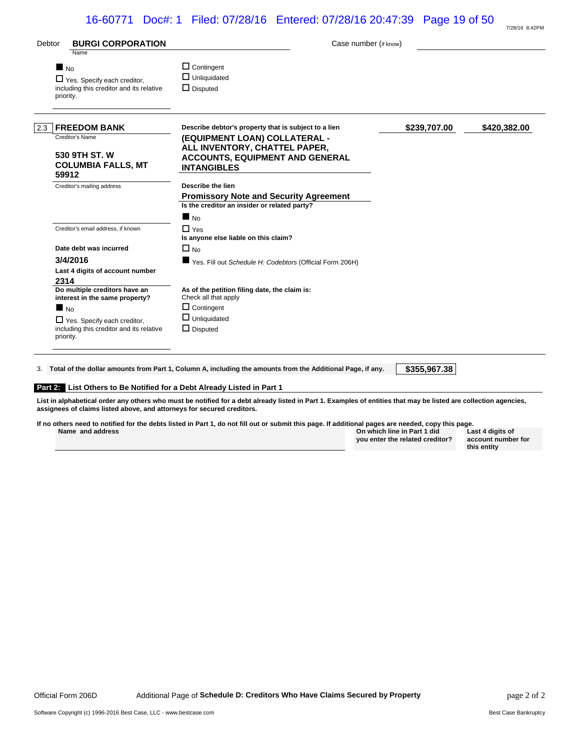| 16-60771 Doc#: 1 Filed: 07/28/16 Entered: 07/28/16 20:47:39 Page 19 of 50 |  |  |  |  |  |  |  |  |  |
|---------------------------------------------------------------------------|--|--|--|--|--|--|--|--|--|
|---------------------------------------------------------------------------|--|--|--|--|--|--|--|--|--|

| Debtor                         | <b>BURGI CORPORATION</b><br>Name                                               | Case number (if know)                                                                                                          |              |              |
|--------------------------------|--------------------------------------------------------------------------------|--------------------------------------------------------------------------------------------------------------------------------|--------------|--------------|
| $\blacksquare$ No<br>priority. | $\Box$ Yes. Specify each creditor,<br>including this creditor and its relative | $\Box$ Contingent<br>$\Box$ Unliquidated<br>$\Box$ Disputed                                                                    |              |              |
| 2.3                            | <b>FREEDOM BANK</b>                                                            | Describe debtor's property that is subject to a lien                                                                           | \$239,707.00 | \$420,382.00 |
|                                | Creditor's Name<br>530 9TH ST. W<br><b>COLUMBIA FALLS, MT</b><br>59912         | (EQUIPMENT LOAN) COLLATERAL -<br>ALL INVENTORY, CHATTEL PAPER,<br><b>ACCOUNTS, EQUIPMENT AND GENERAL</b><br><b>INTANGIBLES</b> |              |              |
|                                | Creditor's mailing address                                                     | Describe the lien                                                                                                              |              |              |
|                                |                                                                                | <b>Promissory Note and Security Agreement</b>                                                                                  |              |              |
|                                |                                                                                | Is the creditor an insider or related party?                                                                                   |              |              |
|                                |                                                                                | $\blacksquare$ No                                                                                                              |              |              |
|                                | Creditor's email address, if known                                             | $\Box$ Yes<br>Is anyone else liable on this claim?                                                                             |              |              |
|                                | Date debt was incurred                                                         | $\Box$ No                                                                                                                      |              |              |
|                                | 3/4/2016                                                                       | ■ Yes. Fill out Schedule H: Codebtors (Official Form 206H)                                                                     |              |              |
|                                | Last 4 digits of account number                                                |                                                                                                                                |              |              |
| 2314                           |                                                                                |                                                                                                                                |              |              |
|                                | Do multiple creditors have an<br>interest in the same property?                | As of the petition filing date, the claim is:<br>Check all that apply                                                          |              |              |
| $\blacksquare$ No              |                                                                                | $\Box$ Contingent                                                                                                              |              |              |
| priority.                      | $\Box$ Yes. Specify each creditor,<br>including this creditor and its relative | $\Box$ Unliquidated<br>$\Box$ Disputed                                                                                         |              |              |

#### **Part 2: List Others to Be Notified for a Debt Already Listed in Part 1**

**List in alphabetical order any others who must be notified for a debt already listed in Part 1. Examples of entities that may be listed are collection agencies, assignees of claims listed above, and attorneys for secured creditors.**

| If no others need to notified for the debts listed in Part 1, do not fill out or submit this page. If additional pages are needed, copy this page. |                                 |    |
|----------------------------------------------------------------------------------------------------------------------------------------------------|---------------------------------|----|
| Name and address                                                                                                                                   | On which line in Part 1 did     | La |
|                                                                                                                                                    | vou enter the related creditor? | ac |

**Last 4 digits of account number for this entity**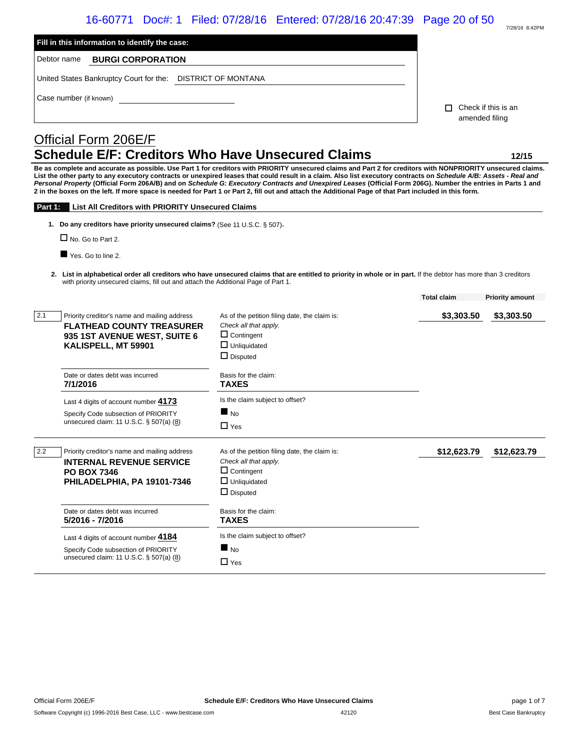# 16-60771 Doc#: 1 Filed: 07/28/16 Entered: 07/28/16 20:47:39 Page 20 of 50

| 7/28/16 8:42PM |
|----------------|

| Fill in this information to identify the case:                                                                                                 |                                                                                                                                                                                                                                                                                                                                                                                                                                                                                                                                                                                                                                                             |                                              |
|------------------------------------------------------------------------------------------------------------------------------------------------|-------------------------------------------------------------------------------------------------------------------------------------------------------------------------------------------------------------------------------------------------------------------------------------------------------------------------------------------------------------------------------------------------------------------------------------------------------------------------------------------------------------------------------------------------------------------------------------------------------------------------------------------------------------|----------------------------------------------|
| Debtor name<br><b>BURGI CORPORATION</b>                                                                                                        |                                                                                                                                                                                                                                                                                                                                                                                                                                                                                                                                                                                                                                                             |                                              |
| United States Bankruptcy Court for the: DISTRICT OF MONTANA                                                                                    |                                                                                                                                                                                                                                                                                                                                                                                                                                                                                                                                                                                                                                                             |                                              |
| Case number (if known)                                                                                                                         |                                                                                                                                                                                                                                                                                                                                                                                                                                                                                                                                                                                                                                                             |                                              |
|                                                                                                                                                |                                                                                                                                                                                                                                                                                                                                                                                                                                                                                                                                                                                                                                                             | Check if this is an<br>п<br>amended filing   |
| Official Form 206E/F                                                                                                                           |                                                                                                                                                                                                                                                                                                                                                                                                                                                                                                                                                                                                                                                             |                                              |
|                                                                                                                                                | <b>Schedule E/F: Creditors Who Have Unsecured Claims</b>                                                                                                                                                                                                                                                                                                                                                                                                                                                                                                                                                                                                    | 12/15                                        |
|                                                                                                                                                | Be as complete and accurate as possible. Use Part 1 for creditors with PRIORITY unsecured claims and Part 2 for creditors with NONPRIORITY unsecured claims.<br>List the other party to any executory contracts or unexpired leases that could result in a claim. Also list executory contracts on Schedule A/B: Assets - Real and<br>Personal Property (Official Form 206A/B) and on Schedule G: Executory Contracts and Unexpired Leases (Official Form 206G). Number the entries in Parts 1 and<br>2 in the boxes on the left. If more space is needed for Part 1 or Part 2, fill out and attach the Additional Page of that Part included in this form. |                                              |
| <b>List All Creditors with PRIORITY Unsecured Claims</b><br>Part 1:                                                                            |                                                                                                                                                                                                                                                                                                                                                                                                                                                                                                                                                                                                                                                             |                                              |
| 1. Do any creditors have priority unsecured claims? (See 11 U.S.C. § 507).                                                                     |                                                                                                                                                                                                                                                                                                                                                                                                                                                                                                                                                                                                                                                             |                                              |
| $\Box$ No. Go to Part 2.                                                                                                                       |                                                                                                                                                                                                                                                                                                                                                                                                                                                                                                                                                                                                                                                             |                                              |
| Yes. Go to line 2.                                                                                                                             |                                                                                                                                                                                                                                                                                                                                                                                                                                                                                                                                                                                                                                                             |                                              |
|                                                                                                                                                | 2. List in alphabetical order all creditors who have unsecured claims that are entitled to priority in whole or in part. If the debtor has more than 3 creditors<br>with priority unsecured claims, fill out and attach the Additional Page of Part 1.                                                                                                                                                                                                                                                                                                                                                                                                      |                                              |
|                                                                                                                                                |                                                                                                                                                                                                                                                                                                                                                                                                                                                                                                                                                                                                                                                             | <b>Total claim</b><br><b>Priority amount</b> |
| 2.1<br>Priority creditor's name and mailing address<br><b>FLATHEAD COUNTY TREASURER</b><br>935 1ST AVENUE WEST, SUITE 6<br>KALISPELL, MT 59901 | As of the petition filing date, the claim is:<br>Check all that apply.<br>$\Box$ Contingent<br>$\Box$ Unliquidated<br>$\Box$ Disputed                                                                                                                                                                                                                                                                                                                                                                                                                                                                                                                       | \$3,303.50<br>\$3,303.50                     |
| Date or dates debt was incurred<br>7/1/2016                                                                                                    | Basis for the claim:<br><b>TAXES</b>                                                                                                                                                                                                                                                                                                                                                                                                                                                                                                                                                                                                                        |                                              |
| Last 4 digits of account number 4173                                                                                                           | Is the claim subject to offset?                                                                                                                                                                                                                                                                                                                                                                                                                                                                                                                                                                                                                             |                                              |
| Specify Code subsection of PRIORITY<br>unsecured claim: 11 U.S.C. § 507(a) (8)                                                                 | $\blacksquare$ No<br>$\Box$ Yes                                                                                                                                                                                                                                                                                                                                                                                                                                                                                                                                                                                                                             |                                              |
| 2.2<br>Priority creditor's name and mailing address<br><b>INTERNAL REVENUE SERVICE</b>                                                         | As of the petition filing date, the claim is:<br>Check all that apply.                                                                                                                                                                                                                                                                                                                                                                                                                                                                                                                                                                                      | \$12,623.79<br>\$12,623.79                   |
| <b>PO BOX 7346</b>                                                                                                                             | $\Box$ Contingent                                                                                                                                                                                                                                                                                                                                                                                                                                                                                                                                                                                                                                           |                                              |
| PHILADELPHIA, PA 19101-7346                                                                                                                    | $\Box$ Unliquidated<br>$\Box$ Disputed                                                                                                                                                                                                                                                                                                                                                                                                                                                                                                                                                                                                                      |                                              |
| Date or dates debt was incurred<br>5/2016 - 7/2016                                                                                             | Basis for the claim:<br><b>TAXES</b>                                                                                                                                                                                                                                                                                                                                                                                                                                                                                                                                                                                                                        |                                              |
| Last 4 digits of account number 4184                                                                                                           | Is the claim subject to offset?                                                                                                                                                                                                                                                                                                                                                                                                                                                                                                                                                                                                                             |                                              |
| Specify Code subsection of PRIORITY<br>unsecured claim: 11 U.S.C. § 507(a) (8)                                                                 | $\blacksquare$ No<br>$\Box$ Yes                                                                                                                                                                                                                                                                                                                                                                                                                                                                                                                                                                                                                             |                                              |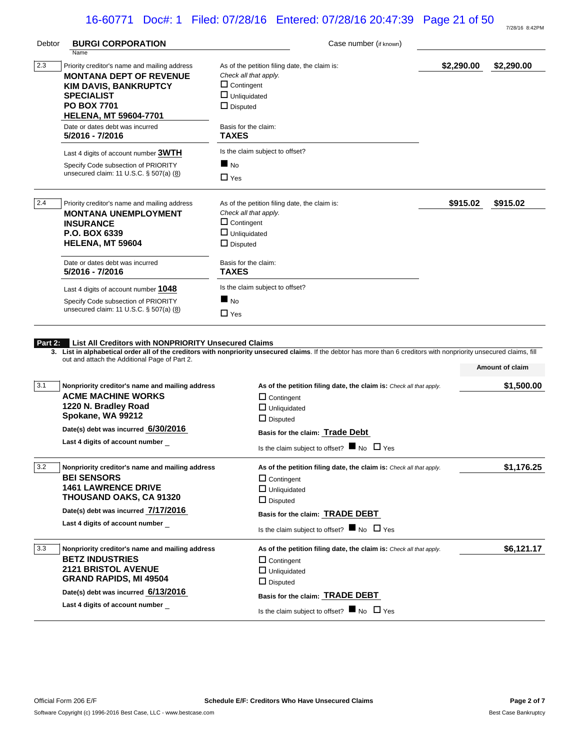# 16-60771 Doc#: 1 Filed: 07/28/16 Entered: 07/28/16 20:47:39 Page 21 of 50

|             |                                                                                                       |                                                                                                                                                                       |            | 7/28/16 8:42PM  |
|-------------|-------------------------------------------------------------------------------------------------------|-----------------------------------------------------------------------------------------------------------------------------------------------------------------------|------------|-----------------|
| Debtor      | <b>BURGI CORPORATION</b>                                                                              | Case number (if known)                                                                                                                                                |            |                 |
|             | Name                                                                                                  |                                                                                                                                                                       |            |                 |
| $\vert$ 2.3 | Priority creditor's name and mailing address<br><b>MONTANA DEPT OF REVENUE</b>                        | As of the petition filing date, the claim is:<br>Check all that apply.                                                                                                | \$2,290.00 | \$2,290.00      |
|             | <b>KIM DAVIS, BANKRUPTCY</b>                                                                          | $\Box$ Contingent                                                                                                                                                     |            |                 |
|             | SPECIALIST                                                                                            | $\Box$ Unliquidated                                                                                                                                                   |            |                 |
|             | <b>PO BOX 7701</b>                                                                                    | $\Box$ Disputed                                                                                                                                                       |            |                 |
|             | <b>HELENA, MT 59604-7701</b>                                                                          |                                                                                                                                                                       |            |                 |
|             | Date or dates debt was incurred                                                                       | Basis for the claim:                                                                                                                                                  |            |                 |
|             | 5/2016 - 7/2016                                                                                       | <b>TAXES</b>                                                                                                                                                          |            |                 |
|             | Last 4 digits of account number 3WTH                                                                  | Is the claim subject to offset?                                                                                                                                       |            |                 |
|             | Specify Code subsection of PRIORITY                                                                   | $\blacksquare$ No                                                                                                                                                     |            |                 |
|             | unsecured claim: 11 U.S.C. § 507(a) (8)                                                               | $\Box$ Yes                                                                                                                                                            |            |                 |
| 2.4         | Priority creditor's name and mailing address                                                          | As of the petition filing date, the claim is:                                                                                                                         | \$915.02   | \$915.02        |
|             | <b>MONTANA UNEMPLOYMENT</b>                                                                           | Check all that apply.                                                                                                                                                 |            |                 |
|             | <b>INSURANCE</b>                                                                                      | $\Box$ Contingent                                                                                                                                                     |            |                 |
|             | <b>P.O. BOX 6339</b>                                                                                  | $\Box$ Unliquidated                                                                                                                                                   |            |                 |
|             | <b>HELENA, MT 59604</b>                                                                               | $\Box$ Disputed                                                                                                                                                       |            |                 |
|             | Date or dates debt was incurred                                                                       | Basis for the claim:                                                                                                                                                  |            |                 |
|             | 5/2016 - 7/2016                                                                                       | TAXES                                                                                                                                                                 |            |                 |
|             | Last 4 digits of account number 1048                                                                  | Is the claim subject to offset?                                                                                                                                       |            |                 |
|             | Specify Code subsection of PRIORITY                                                                   | $\blacksquare$ No                                                                                                                                                     |            |                 |
|             | unsecured claim: 11 U.S.C. § 507(a) (8)                                                               | $\Box$ Yes                                                                                                                                                            |            |                 |
| Part 2:     | List All Creditors with NONPRIORITY Unsecured Claims<br>out and attach the Additional Page of Part 2. | 3. List in alphabetical order all of the creditors with nonpriority unsecured claims. If the debtor has more than 6 creditors with nonpriority unsecured claims, fill |            | Amount of claim |
| 3.1         |                                                                                                       |                                                                                                                                                                       |            |                 |
|             | Nonpriority creditor's name and mailing address<br><b>ACME MACHINE WORKS</b>                          | As of the petition filing date, the claim is: Check all that apply.                                                                                                   |            | \$1,500.00      |
|             | 1220 N. Bradley Road                                                                                  | $\Box$ Contingent                                                                                                                                                     |            |                 |
|             | Spokane, WA 99212                                                                                     | $\Box$ Unliquidated                                                                                                                                                   |            |                 |
|             |                                                                                                       | $\Box$ Disputed                                                                                                                                                       |            |                 |
|             | Date(s) debt was incurred 6/30/2016<br>Last 4 digits of account number                                | Basis for the claim: Trade Debt                                                                                                                                       |            |                 |
|             |                                                                                                       | Is the claim subject to offset? $\blacksquare$ No $\Box$ Yes                                                                                                          |            |                 |
| 3.2         | Nonpriority creditor's name and mailing address                                                       | As of the petition filing date, the claim is: Check all that apply.                                                                                                   |            | \$1,176.25      |
|             | <b>BEI SENSORS</b>                                                                                    | $\Box$ Contingent                                                                                                                                                     |            |                 |
|             | <b>1461 LAWRENCE DRIVE</b>                                                                            | $\Box$ Unliquidated                                                                                                                                                   |            |                 |
|             | <b>THOUSAND OAKS, CA 91320</b><br>Date(s) debt was incurred 7/17/2016                                 | $\Box$ Disputed                                                                                                                                                       |            |                 |
|             | Last 4 digits of account number                                                                       | Basis for the claim: <b>TRADE DEBT</b>                                                                                                                                |            |                 |
|             |                                                                                                       | Is the claim subject to offset? $\blacksquare$ No $\Box$ Yes                                                                                                          |            |                 |
| 3.3         | Nonpriority creditor's name and mailing address                                                       | As of the petition filing date, the claim is: Check all that apply.                                                                                                   |            | \$6,121.17      |
|             | <b>BETZ INDUSTRIES</b>                                                                                | $\Box$ Contingent                                                                                                                                                     |            |                 |
|             | <b>2121 BRISTOL AVENUE</b>                                                                            | $\Box$ Unliquidated                                                                                                                                                   |            |                 |
|             | GRAND RAPIDS, MI 49504                                                                                | $\Box$ Disputed                                                                                                                                                       |            |                 |
|             | Date(s) debt was incurred 6/13/2016                                                                   | Basis for the claim: TRADE DEBT                                                                                                                                       |            |                 |
|             | Last 4 digits of account number                                                                       | Is the claim subject to offset? $\blacksquare$ No $\Box$ Yes                                                                                                          |            |                 |
|             |                                                                                                       |                                                                                                                                                                       |            |                 |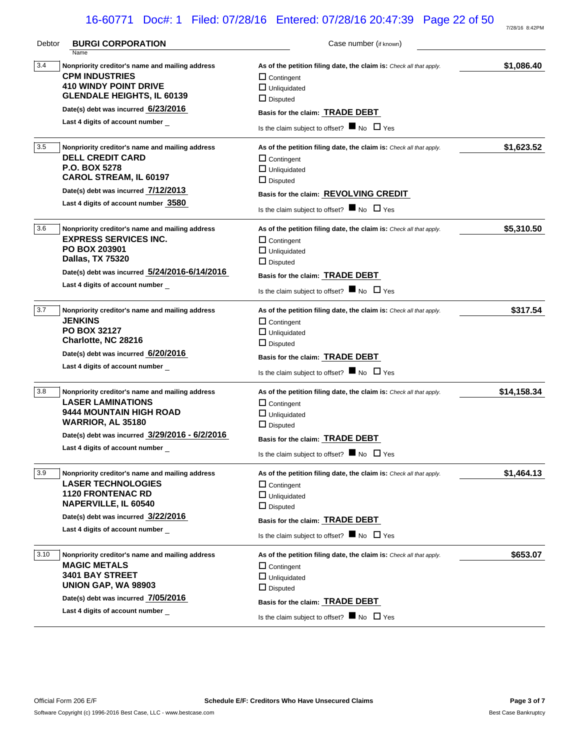# 16-60771 Doc#: 1 Filed: 07/28/16 Entered: 07/28/16 20:47:39 Page 22 of 50

| Debtor | <b>BURGI CORPORATION</b><br>Name                                                                                                                                                                                       | Case number (if known)                                                                                                                                                                                                                       |             |
|--------|------------------------------------------------------------------------------------------------------------------------------------------------------------------------------------------------------------------------|----------------------------------------------------------------------------------------------------------------------------------------------------------------------------------------------------------------------------------------------|-------------|
| 3.4    | Nonpriority creditor's name and mailing address<br><b>CPM INDUSTRIES</b><br><b>410 WINDY POINT DRIVE</b><br><b>GLENDALE HEIGHTS, IL 60139</b><br>Date(s) debt was incurred 6/23/2016                                   | As of the petition filing date, the claim is: Check all that apply.<br>$\Box$ Contingent<br>$\Box$ Unliquidated<br>$\Box$ Disputed                                                                                                           | \$1,086.40  |
|        | Last 4 digits of account number                                                                                                                                                                                        | Basis for the claim: <b>TRADE DEBT</b><br>Is the claim subject to offset? $\blacksquare$ No $\Box$ Yes                                                                                                                                       |             |
| 3.5    | Nonpriority creditor's name and mailing address<br><b>DELL CREDIT CARD</b><br>P.O. BOX 5278<br><b>CAROL STREAM, IL 60197</b><br>Date(s) debt was incurred 7/12/2013<br>Last 4 digits of account number 3580            | As of the petition filing date, the claim is: Check all that apply.<br>$\Box$ Contingent<br>$\Box$ Unliquidated<br>$\Box$ Disputed<br>Basis for the claim: REVOLVING CREDIT<br>Is the claim subject to offset? $\blacksquare$ No $\Box$ Yes  | \$1,623.52  |
| 3.6    | Nonpriority creditor's name and mailing address<br><b>EXPRESS SERVICES INC.</b><br><b>PO BOX 203901</b><br><b>Dallas, TX 75320</b><br>Date(s) debt was incurred 5/24/2016-6/14/2016<br>Last 4 digits of account number | As of the petition filing date, the claim is: Check all that apply.<br>$\Box$ Contingent<br>$\Box$ Unliquidated<br>$\Box$ Disputed<br>Basis for the claim: <b>TRADE DEBT</b><br>Is the claim subject to offset? $\blacksquare$ No $\Box$ Yes | \$5,310.50  |
| 3.7    | Nonpriority creditor's name and mailing address<br><b>JENKINS</b><br><b>PO BOX 32127</b><br>Charlotte, NC 28216<br>Date(s) debt was incurred 6/20/2016<br>Last 4 digits of account number                              | As of the petition filing date, the claim is: Check all that apply.<br>$\Box$ Contingent<br>$\Box$ Unliquidated<br>$\Box$ Disputed<br>Basis for the claim: <b>TRADE DEBT</b><br>Is the claim subject to offset? $\blacksquare$ No $\Box$ Yes | \$317.54    |
| 3.8    | Nonpriority creditor's name and mailing address<br><b>LASER LAMINATIONS</b><br>9444 MOUNTAIN HIGH ROAD<br>WARRIOR, AL 35180<br>Date(s) debt was incurred 3/29/2016 - 6/2/2016<br>Last 4 digits of account number       | As of the petition filing date, the claim is: Check all that apply.<br>$\Box$ Contingent<br>$\Box$ Unliquidated<br>$\Box$ Disputed<br>Basis for the claim: TRADE DEBT<br>Is the claim subject to offset? $\blacksquare$ No $\Box$ Yes        | \$14,158.34 |
| 3.9    | Nonpriority creditor's name and mailing address<br><b>LASER TECHNOLOGIES</b><br><b>1120 FRONTENAC RD</b><br><b>NAPERVILLE, IL 60540</b><br>Date(s) debt was incurred 3/22/2016<br>Last 4 digits of account number      | As of the petition filing date, the claim is: Check all that apply.<br>$\Box$ Contingent<br>$\Box$ Unliquidated<br>$\Box$ Disputed<br>Basis for the claim: TRADE DEBT<br>Is the claim subject to offset? $\blacksquare$ No $\Box$ Yes        | \$1,464.13  |
| 3.10   | Nonpriority creditor's name and mailing address<br><b>MAGIC METALS</b><br><b>3401 BAY STREET</b><br>UNION GAP, WA 98903<br>Date(s) debt was incurred 7/05/2016<br>Last 4 digits of account number                      | As of the petition filing date, the claim is: Check all that apply.<br>$\Box$ Contingent<br>$\Box$ Unliquidated<br>$\Box$ Disputed<br>Basis for the claim: TRADE DEBT<br>Is the claim subject to offset? $\blacksquare$ No $\Box$ Yes        | \$653.07    |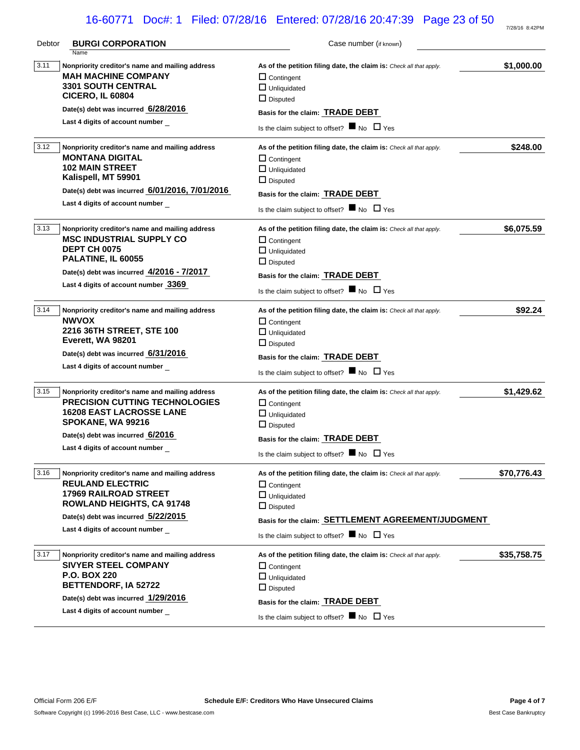# 16-60771 Doc#: 1 Filed: 07/28/16 Entered: 07/28/16 20:47:39 Page 23 of 50

| Debtor | <b>BURGI CORPORATION</b>                                                                                                                                                                                                | Case number (if known)                                                                                                                                                                                                                                   |             |
|--------|-------------------------------------------------------------------------------------------------------------------------------------------------------------------------------------------------------------------------|----------------------------------------------------------------------------------------------------------------------------------------------------------------------------------------------------------------------------------------------------------|-------------|
| 3.11   | Name<br>Nonpriority creditor's name and mailing address<br><b>MAH MACHINE COMPANY</b><br><b>3301 SOUTH CENTRAL</b><br><b>CICERO, IL 60804</b><br>Date(s) debt was incurred 6/28/2016<br>Last 4 digits of account number | As of the petition filing date, the claim is: Check all that apply.<br>$\Box$ Contingent<br>$\Box$ Unliquidated<br>$\Box$ Disputed<br>Basis for the claim: <b>TRADE DEBT</b><br>Is the claim subject to offset? $\blacksquare$ No $\Box$ Yes             | \$1,000.00  |
| 3.12   | Nonpriority creditor's name and mailing address<br><b>MONTANA DIGITAL</b><br><b>102 MAIN STREET</b><br>Kalispell, MT 59901<br>Date(s) debt was incurred 6/01/2016, 7/01/2016<br>Last 4 digits of account number         | As of the petition filing date, the claim is: Check all that apply.<br>$\Box$ Contingent<br>$\Box$ Unliquidated<br>$\Box$ Disputed<br>Basis for the claim: TRADE DEBT<br>Is the claim subject to offset? $\blacksquare$ No $\Box$ Yes                    | \$248.00    |
| 3.13   | Nonpriority creditor's name and mailing address<br><b>MSC INDUSTRIAL SUPPLY CO</b><br><b>DEPT CH 0075</b><br>PALATINE, IL 60055<br>Date(s) debt was incurred 4/2016 - 7/2017<br>Last 4 digits of account number 3369    | As of the petition filing date, the claim is: Check all that apply.<br>$\Box$ Contingent<br>$\Box$ Unliquidated<br>$\Box$ Disputed<br>Basis for the claim: <b>TRADE DEBT</b><br>Is the claim subject to offset? $\blacksquare$ No $\Box$ Yes             | \$6,075.59  |
| 3.14   | Nonpriority creditor's name and mailing address<br><b>NWVOX</b><br>2216 36TH STREET, STE 100<br>Everett, WA 98201<br>Date(s) debt was incurred 6/31/2016<br>Last 4 digits of account number                             | As of the petition filing date, the claim is: Check all that apply.<br>$\Box$ Contingent<br>$\Box$ Unliquidated<br>$\Box$ Disputed<br>Basis for the claim: <b>TRADE DEBT</b><br>Is the claim subject to offset? $\blacksquare$ No $\Box$ Yes             | \$92.24     |
| 3.15   | Nonpriority creditor's name and mailing address<br><b>PRECISION CUTTING TECHNOLOGIES</b><br><b>16208 EAST LACROSSE LANE</b><br>SPOKANE, WA 99216<br>Date(s) debt was incurred 6/2016<br>Last 4 digits of account number | As of the petition filing date, the claim is: Check all that apply.<br>$\Box$ Contingent<br>$\Box$ Unliquidated<br>$\Box$ Disputed<br>Basis for the claim: TRADE DEBT<br>Is the claim subject to offset? $\blacksquare$ No $\Box$ Yes                    | \$1,429.62  |
| 3.16   | Nonpriority creditor's name and mailing address<br><b>REULAND ELECTRIC</b><br>17969 RAILROAD STREET<br><b>ROWLAND HEIGHTS, CA 91748</b><br>Date(s) debt was incurred 5/22/2015<br>Last 4 digits of account number       | As of the petition filing date, the claim is: Check all that apply.<br>$\Box$ Contingent<br>$\Box$ Unliquidated<br>$\Box$ Disputed<br>Basis for the claim: SETTLEMENT AGREEMENT/JUDGMENT<br>Is the claim subject to offset? $\blacksquare$ No $\Box$ Yes | \$70,776.43 |
| 3.17   | Nonpriority creditor's name and mailing address<br><b>SIVYER STEEL COMPANY</b><br><b>P.O. BOX 220</b><br><b>BETTENDORF, IA 52722</b><br>Date(s) debt was incurred 1/29/2016<br>Last 4 digits of account number          | As of the petition filing date, the claim is: Check all that apply.<br>$\Box$ Contingent<br>$\Box$ Unliquidated<br>$\Box$ Disputed<br>Basis for the claim: TRADE DEBT<br>Is the claim subject to offset? $\blacksquare$ No $\Box$ Yes                    | \$35,758.75 |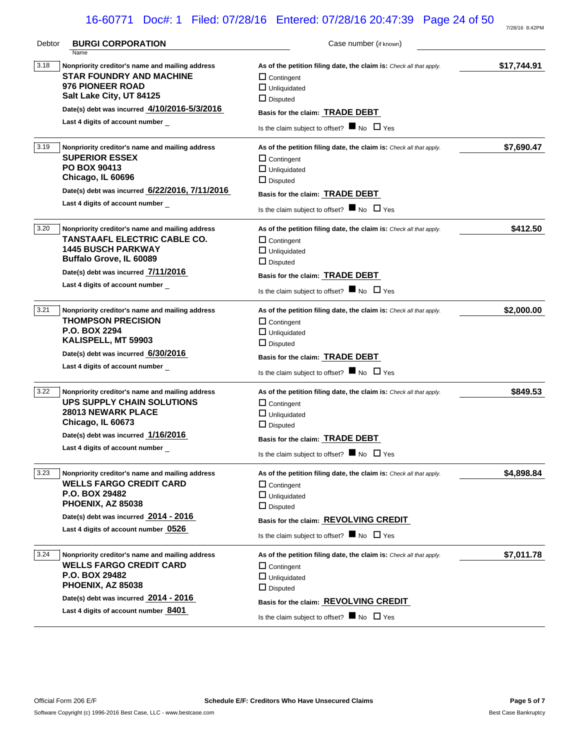# 16-60771 Doc#: 1 Filed: 07/28/16 Entered: 07/28/16 20:47:39 Page 24 of 50

| Debtor | <b>BURGI CORPORATION</b><br>Name                                                                                                                                                                                  | Case number (if known)                                                                                                                                                                                                                      |             |
|--------|-------------------------------------------------------------------------------------------------------------------------------------------------------------------------------------------------------------------|---------------------------------------------------------------------------------------------------------------------------------------------------------------------------------------------------------------------------------------------|-------------|
| 3.18   | Nonpriority creditor's name and mailing address<br><b>STAR FOUNDRY AND MACHINE</b><br>976 PIONEER ROAD<br>Salt Lake City, UT 84125                                                                                | As of the petition filing date, the claim is: Check all that apply.<br>$\Box$ Contingent<br>$\Box$ Unliquidated<br>$\Box$ Disputed                                                                                                          | \$17,744.91 |
|        | Date(s) debt was incurred 4/10/2016-5/3/2016                                                                                                                                                                      | Basis for the claim: <b>TRADE DEBT</b>                                                                                                                                                                                                      |             |
|        | Last 4 digits of account number                                                                                                                                                                                   | Is the claim subject to offset? $\blacksquare$ No $\Box$ Yes                                                                                                                                                                                |             |
| 3.19   | Nonpriority creditor's name and mailing address<br><b>SUPERIOR ESSEX</b><br><b>PO BOX 90413</b><br>Chicago, IL 60696<br>Date(s) debt was incurred 6/22/2016, 7/11/2016<br>Last 4 digits of account number         | As of the petition filing date, the claim is: Check all that apply.<br>$\Box$ Contingent<br>$\Box$ Unliquidated<br>$\Box$ Disputed<br>Basis for the claim: TRADE DEBT<br>Is the claim subject to offset? $\blacksquare$ No $\Box$ Yes       | \$7,690.47  |
| 3.20   | Nonpriority creditor's name and mailing address<br>TANSTAAFL ELECTRIC CABLE CO.<br><b>1445 BUSCH PARKWAY</b><br>Buffalo Grove, IL 60089<br>Date(s) debt was incurred 7/11/2016<br>Last 4 digits of account number | As of the petition filing date, the claim is: Check all that apply.<br>$\Box$ Contingent<br>$\Box$ Unliquidated<br>$\Box$ Disputed<br>Basis for the claim: TRADE DEBT<br>Is the claim subject to offset? $\blacksquare$ No $\Box$ Yes       | \$412.50    |
| 3.21   | Nonpriority creditor's name and mailing address<br><b>THOMPSON PRECISION</b><br><b>P.O. BOX 2294</b><br>KALISPELL, MT 59903<br>Date(s) debt was incurred 6/30/2016<br>Last 4 digits of account number             | As of the petition filing date, the claim is: Check all that apply.<br>$\Box$ Contingent<br>$\Box$ Unliquidated<br>$\Box$ Disputed<br>Basis for the claim: TRADE DEBT<br>Is the claim subject to offset? $\blacksquare$ No $\Box$ Yes       | \$2,000.00  |
| 3.22   | Nonpriority creditor's name and mailing address<br><b>UPS SUPPLY CHAIN SOLUTIONS</b><br><b>28013 NEWARK PLACE</b><br>Chicago, IL 60673<br>Date(s) debt was incurred 1/16/2016<br>Last 4 digits of account number  | As of the petition filing date, the claim is: Check all that apply.<br>$\Box$ Contingent<br>$\Box$ Unliquidated<br>$\Box$ Disputed<br>Basis for the claim: TRADE DEBT<br>Is the claim subject to offset? $\blacksquare$ No $\Box$ Yes       | \$849.53    |
| 3.23   | Nonpriority creditor's name and mailing address<br><b>WELLS FARGO CREDIT CARD</b><br><b>P.O. BOX 29482</b><br>PHOENIX, AZ 85038<br>Date(s) debt was incurred 2014 - 2016<br>Last 4 digits of account number 0526  | As of the petition filing date, the claim is: Check all that apply.<br>$\Box$ Contingent<br>$\Box$ Unliquidated<br>$\Box$ Disputed<br>Basis for the claim: REVOLVING CREDIT<br>Is the claim subject to offset? $\blacksquare$ No $\Box$ Yes | \$4,898.84  |
| 3.24   | Nonpriority creditor's name and mailing address<br><b>WELLS FARGO CREDIT CARD</b><br><b>P.O. BOX 29482</b><br>PHOENIX, AZ 85038<br>Date(s) debt was incurred 2014 - 2016<br>Last 4 digits of account number 8401  | As of the petition filing date, the claim is: Check all that apply.<br>$\Box$ Contingent<br>$\Box$ Unliquidated<br>$\Box$ Disputed<br>Basis for the claim: REVOLVING CREDIT<br>Is the claim subject to offset? $\blacksquare$ No $\Box$ Yes | \$7,011.78  |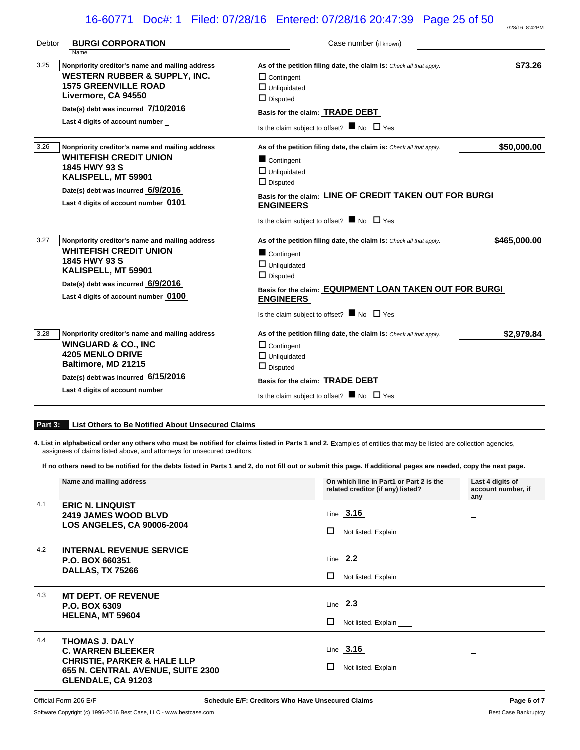# 16-60771 Doc#: 1 Filed: 07/28/16 Entered: 07/28/16 20:47:39 Page 25 of 50

| Debtor | <b>BURGI CORPORATION</b>                                                                                                                                                                                                 | Case number (if known)                                                                                                                                                                                                                                                                     |
|--------|--------------------------------------------------------------------------------------------------------------------------------------------------------------------------------------------------------------------------|--------------------------------------------------------------------------------------------------------------------------------------------------------------------------------------------------------------------------------------------------------------------------------------------|
| 3.25   | Name<br>Nonpriority creditor's name and mailing address<br>WESTERN RUBBER & SUPPLY, INC.<br><b>1575 GREENVILLE ROAD</b><br>Livermore, CA 94550<br>Date(s) debt was incurred 7/10/2016<br>Last 4 digits of account number | \$73.26<br>As of the petition filing date, the claim is: Check all that apply.<br>$\Box$ Contingent<br>$\Box$ Unliquidated<br>$\Box$ Disputed<br>Basis for the claim: TRADE DEBT<br>Is the claim subject to offset? $\blacksquare$ No $\Box$ Yes                                           |
| 3.26   | Nonpriority creditor's name and mailing address<br><b>WHITEFISH CREDIT UNION</b><br>1845 HWY 93 S<br>KALISPELL, MT 59901<br>Date(s) debt was incurred 6/9/2016<br>Last 4 digits of account number 0101                   | \$50,000.00<br>As of the petition filing date, the claim is: Check all that apply.<br>Contingent<br>$\Box$ Unliquidated<br>$\Box$ Disputed<br>Basis for the claim: LINE OF CREDIT TAKEN OUT FOR BURGI<br><b>ENGINEERS</b><br>Is the claim subject to offset? $\blacksquare$ No $\Box$ Yes  |
| 3.27   | Nonpriority creditor's name and mailing address<br><b>WHITEFISH CREDIT UNION</b><br>1845 HWY 93 S<br>KALISPELL, MT 59901<br>Date(s) debt was incurred 6/9/2016<br>Last 4 digits of account number 0100                   | \$465,000.00<br>As of the petition filing date, the claim is: Check all that apply.<br>Contingent<br>$\Box$ Unliquidated<br>$\Box$ Disputed<br>Basis for the claim: EQUIPMENT LOAN TAKEN OUT FOR BURGI<br><b>ENGINEERS</b><br>Is the claim subject to offset? $\blacksquare$ No $\Box$ Yes |
| 3.28   | Nonpriority creditor's name and mailing address<br><b>WINGUARD &amp; CO., INC</b><br><b>4205 MENLO DRIVE</b><br>Baltimore, MD 21215<br>Date(s) debt was incurred 6/15/2016<br>Last 4 digits of account number            | \$2,979.84<br>As of the petition filing date, the claim is: Check all that apply.<br>$\Box$ Contingent<br>$\Box$ Unliquidated<br>$\Box$ Disputed<br>Basis for the claim: TRADE DEBT<br>Is the claim subject to offset? $\blacksquare$ No $\Box$ Yes                                        |

#### **Part 3: List Others to Be Notified About Unsecured Claims**

4. List in alphabetical order any others who must be notified for claims listed in Parts 1 and 2. Examples of entities that may be listed are collection agencies, assignees of claims listed above, and attorneys for unsecured creditors.

**If no others need to be notified for the debts listed in Parts 1 and 2, do not fill out or submit this page. If additional pages are needed, copy the next page.**

|     | Name and mailing address                                                                                                                               | On which line in Part1 or Part 2 is the<br>related creditor (if any) listed? | Last 4 digits of<br>account number, if<br>any |
|-----|--------------------------------------------------------------------------------------------------------------------------------------------------------|------------------------------------------------------------------------------|-----------------------------------------------|
| 4.1 | <b>ERIC N. LINQUIST</b><br><b>2419 JAMES WOOD BLVD</b><br><b>LOS ANGELES, CA 90006-2004</b>                                                            | Line $3.16$<br>□<br>Not listed. Explain                                      |                                               |
| 4.2 | <b>INTERNAL REVENUE SERVICE</b><br>P.O. BOX 660351<br>DALLAS, TX 75266                                                                                 | Line $2.2$<br>□<br>Not listed. Explain                                       |                                               |
| 4.3 | <b>MT DEPT. OF REVENUE</b><br>P.O. BOX 6309<br><b>HELENA, MT 59604</b>                                                                                 | Line $2.3$<br>□<br>Not listed. Explain                                       |                                               |
| 4.4 | <b>THOMAS J. DALY</b><br><b>C. WARREN BLEEKER</b><br><b>CHRISTIE, PARKER &amp; HALE LLP</b><br>655 N. CENTRAL AVENUE, SUITE 2300<br>GLENDALE, CA 91203 | Line $3.16$<br>ш<br>Not listed. Explain                                      |                                               |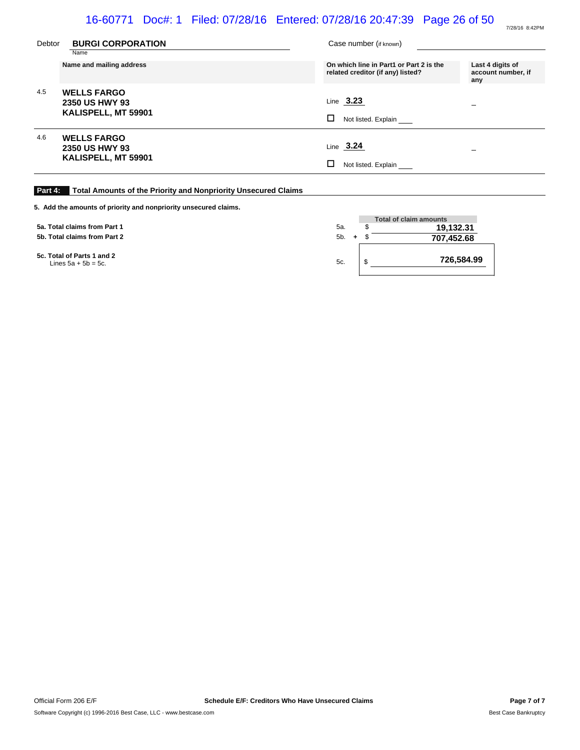# 16-60771 Doc#: 1 Filed: 07/28/16 Entered: 07/28/16 20:47:39 Page 26 of 50

| Debtor | <b>BURGI CORPORATION</b><br>Name                            | Case number (if known)                                                                                  |                    |
|--------|-------------------------------------------------------------|---------------------------------------------------------------------------------------------------------|--------------------|
|        | Name and mailing address                                    | On which line in Part1 or Part 2 is the<br>Last 4 digits of<br>related creditor (if any) listed?<br>any | account number, if |
| 4.5    | <b>WELLS FARGO</b><br>2350 US HWY 93<br>KALISPELL, MT 59901 | Line $3.23$<br>-<br>□<br>Not listed. Explain                                                            |                    |
| 4.6    | <b>WELLS FARGO</b><br>2350 US HWY 93<br>KALISPELL, MT 59901 | Line $3.24$<br>Not listed. Explain                                                                      |                    |

### **Part 4: Total Amounts of the Priority and Nonpriority Unsecured Claims**

| 5. Add the amounts of priority and nonpriority unsecured claims. |         |                               |
|------------------------------------------------------------------|---------|-------------------------------|
|                                                                  |         | <b>Total of claim amounts</b> |
| 5a. Total claims from Part 1                                     | 5а.     | 19,132.31                     |
| 5b. Total claims from Part 2                                     | $5b. +$ | 707,452.68                    |
| 5c. Total of Parts 1 and 2<br>Lines $5a + 5b = 5c$ .             | 5c.     | 726,584.99                    |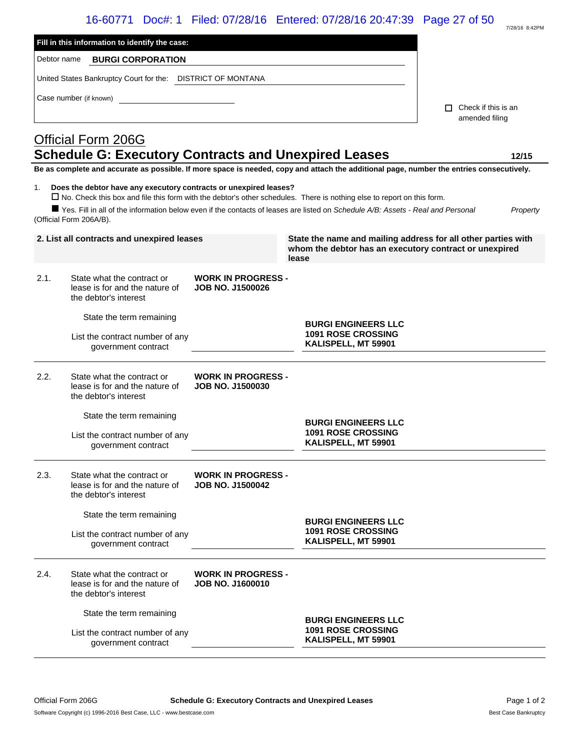# 16-60771 Doc#: 1 Filed: 07/28/16 Entered: 07/28/16 20:47:39 Page 27 of 50

|             |                                                                                              |                                                      | 16-60771 Doc#: 1 Filed: 07/28/16 Entered: 07/28/16 20:47:39 Page 27 of 50                                                                                                                                                                                          |                                              | 7/28/16 8:42PM |
|-------------|----------------------------------------------------------------------------------------------|------------------------------------------------------|--------------------------------------------------------------------------------------------------------------------------------------------------------------------------------------------------------------------------------------------------------------------|----------------------------------------------|----------------|
|             | Fill in this information to identify the case:                                               |                                                      |                                                                                                                                                                                                                                                                    |                                              |                |
| Debtor name | <b>BURGI CORPORATION</b>                                                                     |                                                      |                                                                                                                                                                                                                                                                    |                                              |                |
|             | United States Bankruptcy Court for the: DISTRICT OF MONTANA                                  |                                                      |                                                                                                                                                                                                                                                                    |                                              |                |
|             |                                                                                              |                                                      |                                                                                                                                                                                                                                                                    |                                              |                |
|             | Case number (if known)                                                                       |                                                      |                                                                                                                                                                                                                                                                    | $\Box$ Check if this is an<br>amended filing |                |
|             | <b>Official Form 206G</b>                                                                    |                                                      |                                                                                                                                                                                                                                                                    |                                              |                |
|             | <b>Schedule G: Executory Contracts and Unexpired Leases</b>                                  |                                                      |                                                                                                                                                                                                                                                                    |                                              | 12/15          |
|             |                                                                                              |                                                      | Be as complete and accurate as possible. If more space is needed, copy and attach the additional page, number the entries consecutively.                                                                                                                           |                                              |                |
| 1.          | Does the debtor have any executory contracts or unexpired leases?<br>(Official Form 206A/B). |                                                      | $\Box$ No. Check this box and file this form with the debtor's other schedules. There is nothing else to report on this form.<br>■ Yes. Fill in all of the information below even if the contacts of leases are listed on Schedule A/B: Assets - Real and Personal |                                              | Property       |
|             | 2. List all contracts and unexpired leases                                                   |                                                      | State the name and mailing address for all other parties with<br>whom the debtor has an executory contract or unexpired<br>lease                                                                                                                                   |                                              |                |
| 2.1.        | State what the contract or<br>lease is for and the nature of<br>the debtor's interest        | <b>WORK IN PROGRESS -</b><br><b>JOB NO. J1500026</b> |                                                                                                                                                                                                                                                                    |                                              |                |
|             | State the term remaining                                                                     |                                                      |                                                                                                                                                                                                                                                                    |                                              |                |
|             | List the contract number of any<br>government contract                                       |                                                      | <b>BURGI ENGINEERS LLC</b><br><b>1091 ROSE CROSSING</b><br>KALISPELL, MT 59901                                                                                                                                                                                     |                                              |                |
| 2.2.        | State what the contract or<br>lease is for and the nature of<br>the debtor's interest        | <b>WORK IN PROGRESS -</b><br><b>JOB NO. J1500030</b> |                                                                                                                                                                                                                                                                    |                                              |                |
|             | State the term remaining                                                                     |                                                      |                                                                                                                                                                                                                                                                    |                                              |                |
|             | List the contract number of any<br>government contract                                       |                                                      | <b>BURGI ENGINEERS LLC</b><br><b>1091 ROSE CROSSING</b><br>KALISPELL, MT 59901                                                                                                                                                                                     |                                              |                |
| 2.3.        | State what the contract or<br>lease is for and the nature of<br>the debtor's interest        | <b>WORK IN PROGRESS -</b><br><b>JOB NO. J1500042</b> |                                                                                                                                                                                                                                                                    |                                              |                |
|             | State the term remaining                                                                     |                                                      |                                                                                                                                                                                                                                                                    |                                              |                |
|             | List the contract number of any<br>government contract                                       |                                                      | <b>BURGI ENGINEERS LLC</b><br><b>1091 ROSE CROSSING</b><br>KALISPELL, MT 59901                                                                                                                                                                                     |                                              |                |
| 2.4.        | State what the contract or<br>lease is for and the nature of<br>the debtor's interest        | <b>WORK IN PROGRESS -</b><br><b>JOB NO. J1600010</b> |                                                                                                                                                                                                                                                                    |                                              |                |
|             | State the term remaining                                                                     |                                                      | <b>BURGI ENGINEERS LLC</b>                                                                                                                                                                                                                                         |                                              |                |

**1091 ROSE CROSSING KALISPELL, MT 59901**

List the contract number of any government contract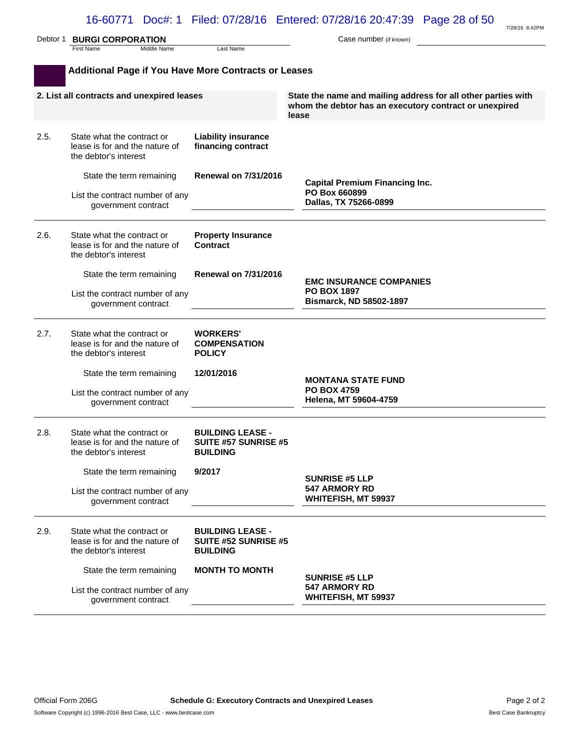|      | Debtor 1 BURGI CORPORATION                                                            |                                                                           | 7/28/16 8:42PM<br>Case number (if known)                                                                                         |
|------|---------------------------------------------------------------------------------------|---------------------------------------------------------------------------|----------------------------------------------------------------------------------------------------------------------------------|
|      | First Name<br>Middle Name                                                             | Last Name                                                                 |                                                                                                                                  |
|      | <b>Additional Page if You Have More Contracts or Leases</b>                           |                                                                           |                                                                                                                                  |
|      | 2. List all contracts and unexpired leases                                            |                                                                           | State the name and mailing address for all other parties with<br>whom the debtor has an executory contract or unexpired<br>lease |
| 2.5. | State what the contract or<br>lease is for and the nature of<br>the debtor's interest | <b>Liability insurance</b><br>financing contract                          |                                                                                                                                  |
|      | State the term remaining                                                              | <b>Renewal on 7/31/2016</b>                                               | <b>Capital Premium Financing Inc.</b>                                                                                            |
|      | List the contract number of any<br>government contract                                |                                                                           | PO Box 660899<br>Dallas, TX 75266-0899                                                                                           |
| 2.6. | State what the contract or<br>lease is for and the nature of<br>the debtor's interest | <b>Property Insurance</b><br><b>Contract</b>                              |                                                                                                                                  |
|      | State the term remaining                                                              | <b>Renewal on 7/31/2016</b>                                               | <b>EMC INSURANCE COMPANIES</b>                                                                                                   |
|      | List the contract number of any<br>government contract                                |                                                                           | <b>PO BOX 1897</b><br><b>Bismarck, ND 58502-1897</b>                                                                             |
| 2.7. | State what the contract or<br>lease is for and the nature of<br>the debtor's interest | <b>WORKERS'</b><br><b>COMPENSATION</b><br><b>POLICY</b>                   |                                                                                                                                  |
|      | State the term remaining                                                              | 12/01/2016                                                                | <b>MONTANA STATE FUND</b>                                                                                                        |
|      | List the contract number of any<br>government contract                                |                                                                           | <b>PO BOX 4759</b><br>Helena, MT 59604-4759                                                                                      |
| 2.8. | State what the contract or<br>lease is for and the nature of<br>the debtor's interest | <b>BUILDING LEASE -</b><br><b>SUITE #57 SUNRISE #5</b><br><b>BUILDING</b> |                                                                                                                                  |
|      | State the term remaining                                                              | 9/2017                                                                    | <b>SUNRISE #5 LLP</b>                                                                                                            |
|      | List the contract number of any<br>government contract                                |                                                                           | <b>547 ARMORY RD</b><br>WHITEFISH, MT 59937                                                                                      |
| 2.9. | State what the contract or<br>lease is for and the nature of<br>the debtor's interest | <b>BUILDING LEASE -</b><br>SUITE #52 SUNRISE #5<br><b>BUILDING</b>        |                                                                                                                                  |
|      | State the term remaining                                                              | <b>MONTH TO MONTH</b>                                                     | <b>SUNRISE #5 LLP</b>                                                                                                            |
|      | List the contract number of any<br>government contract                                |                                                                           | <b>547 ARMORY RD</b><br>WHITEFISH, MT 59937                                                                                      |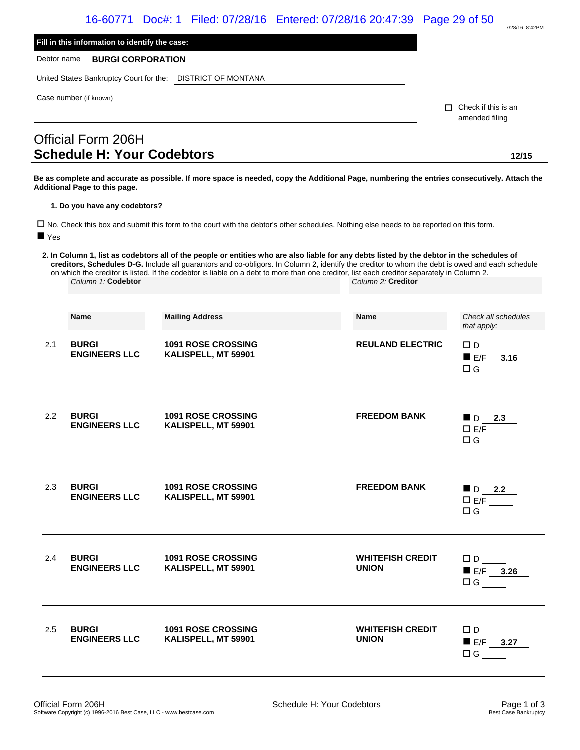|                    | Fill in this information to identify the case:              | 16-60771 Doc#: 1 Filed: 07/28/16 Entered: 07/28/16 20:47:39 Page 29 of 50                                                                                                                                                                                                                                                                                                                                                                   |                                              | 7/28/16 8:42PM                                            |
|--------------------|-------------------------------------------------------------|---------------------------------------------------------------------------------------------------------------------------------------------------------------------------------------------------------------------------------------------------------------------------------------------------------------------------------------------------------------------------------------------------------------------------------------------|----------------------------------------------|-----------------------------------------------------------|
| Debtor name        | <b>BURGI CORPORATION</b>                                    |                                                                                                                                                                                                                                                                                                                                                                                                                                             |                                              |                                                           |
|                    | United States Bankruptcy Court for the: DISTRICT OF MONTANA |                                                                                                                                                                                                                                                                                                                                                                                                                                             |                                              |                                                           |
|                    | Case number (if known)                                      |                                                                                                                                                                                                                                                                                                                                                                                                                                             | $\Box$ Check if this is an<br>amended filing |                                                           |
|                    | Official Form 206H                                          |                                                                                                                                                                                                                                                                                                                                                                                                                                             |                                              |                                                           |
|                    | <b>Schedule H: Your Codebtors</b>                           |                                                                                                                                                                                                                                                                                                                                                                                                                                             |                                              | 12/15                                                     |
|                    | Additional Page to this page.                               | Be as complete and accurate as possible. If more space is needed, copy the Additional Page, numbering the entries consecutively. Attach the                                                                                                                                                                                                                                                                                                 |                                              |                                                           |
|                    | 1. Do you have any codebtors?                               |                                                                                                                                                                                                                                                                                                                                                                                                                                             |                                              |                                                           |
|                    |                                                             | □ No. Check this box and submit this form to the court with the debtor's other schedules. Nothing else needs to be reported on this form.                                                                                                                                                                                                                                                                                                   |                                              |                                                           |
| $\blacksquare$ Yes |                                                             |                                                                                                                                                                                                                                                                                                                                                                                                                                             |                                              |                                                           |
|                    | Column 1: Codebtor                                          | 2. In Column 1, list as codebtors all of the people or entities who are also liable for any debts listed by the debtor in the schedules of<br>creditors, Schedules D-G. Include all guarantors and co-obligors. In Column 2, identify the creditor to whom the debt is owed and each schedule<br>on which the creditor is listed. If the codebtor is liable on a debt to more than one creditor, list each creditor separately in Column 2. | Column 2: Creditor                           |                                                           |
|                    |                                                             |                                                                                                                                                                                                                                                                                                                                                                                                                                             |                                              |                                                           |
|                    | <b>Name</b>                                                 | <b>Mailing Address</b>                                                                                                                                                                                                                                                                                                                                                                                                                      | <b>Name</b>                                  | Check all schedules<br>that apply:                        |
| 2.1                | <b>BURGI</b><br><b>ENGINEERS LLC</b>                        | <b>1091 ROSE CROSSING</b><br>KALISPELL, MT 59901                                                                                                                                                                                                                                                                                                                                                                                            | <b>REULAND ELECTRIC</b>                      | $\square$ D<br>$E/F$ 3.16<br>$\Box G$                     |
| 2.2                | <b>BURGI</b><br><b>ENGINEERS LLC</b>                        | <b>1091 ROSE CROSSING</b><br>KALISPELL, MT 59901                                                                                                                                                                                                                                                                                                                                                                                            | <b>FREEDOM BANK</b>                          | $\blacksquare$ D 2.3<br>$\square$ E/F ______<br>$\Box G$  |
| 2.3                | <b>BURGI</b><br><b>ENGINEERS LLC</b>                        | <b>1091 ROSE CROSSING</b><br>KALISPELL, MT 59901                                                                                                                                                                                                                                                                                                                                                                                            | <b>FREEDOM BANK</b>                          | $\blacksquare$ D 2.2<br>$\square$ E/F _______<br>$\Box G$ |
| 2.4                | <b>BURGI</b><br><b>ENGINEERS LLC</b>                        | <b>1091 ROSE CROSSING</b><br>KALISPELL, MT 59901                                                                                                                                                                                                                                                                                                                                                                                            | <b>WHITEFISH CREDIT</b><br><b>UNION</b>      | $\square$ D $\square$<br>$E/F$ 3.26<br>$\Box G$           |
| $2.5^{\circ}$      | <b>BURGI</b><br><b>ENGINEERS LLC</b>                        | <b>1091 ROSE CROSSING</b><br>KALISPELL, MT 59901                                                                                                                                                                                                                                                                                                                                                                                            | <b>WHITEFISH CREDIT</b><br><b>UNION</b>      | $\square$ D $\square$<br>$E/F$ 3.27<br>$\Box G$           |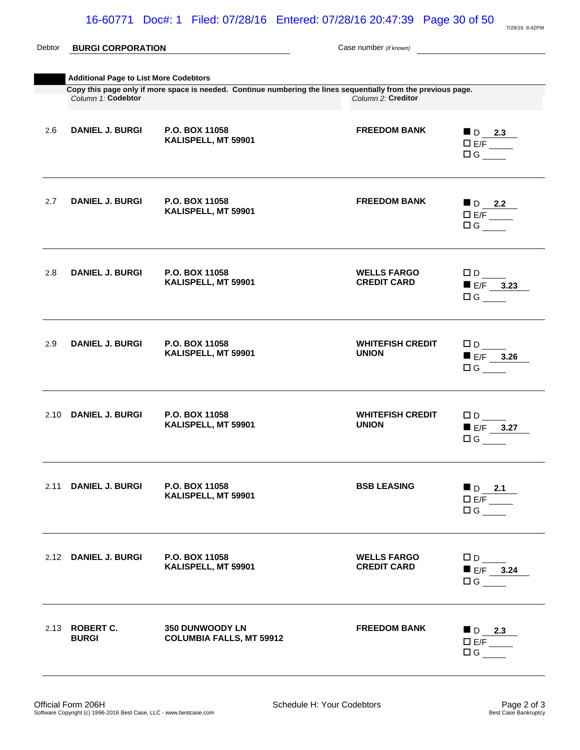| Debtor | <b>BURGI CORPORATION</b>                                                                                                                                        |                                                    | Case number (if known)                   |                                                                                                                       |  |  |
|--------|-----------------------------------------------------------------------------------------------------------------------------------------------------------------|----------------------------------------------------|------------------------------------------|-----------------------------------------------------------------------------------------------------------------------|--|--|
|        |                                                                                                                                                                 |                                                    |                                          |                                                                                                                       |  |  |
|        | <b>Additional Page to List More Codebtors</b><br>Copy this page only if more space is needed. Continue numbering the lines sequentially from the previous page. |                                                    |                                          |                                                                                                                       |  |  |
|        | Column 1: Codebtor                                                                                                                                              |                                                    | Column 2: Creditor                       |                                                                                                                       |  |  |
| 2.6    | <b>DANIEL J. BURGI</b>                                                                                                                                          | P.O. BOX 11058<br>KALISPELL, MT 59901              | <b>FREEDOM BANK</b>                      | $D_{2.3}$<br>$\overline{E/F}$<br>$\Box$ G                                                                             |  |  |
| 2.7    | <b>DANIEL J. BURGI</b>                                                                                                                                          | P.O. BOX 11058<br>KALISPELL, MT 59901              | <b>FREEDOM BANK</b>                      | $\begin{array}{c}\n\blacksquare \text{ D} \quad \text{2.2}\n\\ \square E/F \quad \text{---}\n\end{array}$<br>$\Box G$ |  |  |
| 2.8    | <b>DANIEL J. BURGI</b>                                                                                                                                          | P.O. BOX 11058<br>KALISPELL, MT 59901              | <b>WELLS FARGO</b><br><b>CREDIT CARD</b> | $\square$ D<br>$E/F$ 3.23<br>$\Box G$                                                                                 |  |  |
| 2.9    | <b>DANIEL J. BURGI</b>                                                                                                                                          | P.O. BOX 11058<br>KALISPELL, MT 59901              | <b>WHITEFISH CREDIT</b><br><b>UNION</b>  | $\square$ D<br>$E/F$ 3.26<br>$\Box G$                                                                                 |  |  |
|        | 2.10 DANIEL J. BURGI                                                                                                                                            | P.O. BOX 11058<br>KALISPELL, MT 59901              | <b>WHITEFISH CREDIT</b><br><b>UNION</b>  | $\square$ D<br>$E/F$ 3.27<br>$\Box G$                                                                                 |  |  |
|        | 2.11 DANIEL J. BURGI                                                                                                                                            | P.O. BOX 11058<br>KALISPELL, MT 59901              | <b>BSB LEASING</b>                       | $\blacksquare$ D 2.1<br>D E/F<br>$\Box G$                                                                             |  |  |
|        | 2.12 DANIEL J. BURGI                                                                                                                                            | P.O. BOX 11058<br>KALISPELL, MT 59901              | <b>WELLS FARGO</b><br><b>CREDIT CARD</b> | $\square$ D<br>$E/F$ 3.24<br>$\Box G$                                                                                 |  |  |
|        | 2.13 ROBERT C.<br><b>BURGI</b>                                                                                                                                  | 350 DUNWOODY LN<br><b>COLUMBIA FALLS, MT 59912</b> | <b>FREEDOM BANK</b>                      | $\blacksquare$ D 2.3<br>E/F<br>$\Box G$                                                                               |  |  |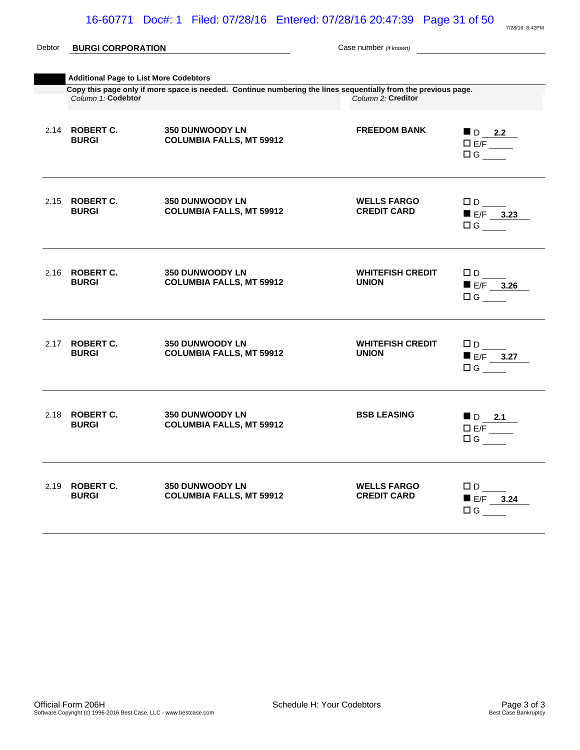| Debtor | <b>BURGI CORPORATION</b>              |                                                                                                                | Case number (if known)                   |                                                              |  |  |
|--------|---------------------------------------|----------------------------------------------------------------------------------------------------------------|------------------------------------------|--------------------------------------------------------------|--|--|
|        |                                       |                                                                                                                |                                          |                                                              |  |  |
|        |                                       | <b>Additional Page to List More Codebtors</b>                                                                  |                                          |                                                              |  |  |
|        | Column 1. Codebtor                    | Copy this page only if more space is needed. Continue numbering the lines sequentially from the previous page. | Column 2: Creditor                       |                                                              |  |  |
|        | 2.14 ROBERT C.<br><b>BURGI</b>        | <b>350 DUNWOODY LN</b><br><b>COLUMBIA FALLS, MT 59912</b>                                                      | <b>FREEDOM BANK</b>                      | $\blacksquare$ D 2.2<br>E/F<br>$\Box G$                      |  |  |
|        | 2.15 ROBERT C.<br><b>BURGI</b>        | <b>350 DUNWOODY LN</b><br><b>COLUMBIA FALLS, MT 59912</b>                                                      | <b>WELLS FARGO</b><br><b>CREDIT CARD</b> | $\Box$ D $\Box$<br>$E/F$ 3.23<br>$\Box$ G                    |  |  |
|        | 2.16 <b>ROBERT C.</b><br><b>BURGI</b> | <b>350 DUNWOODY LN</b><br><b>COLUMBIA FALLS, MT 59912</b>                                                      | <b>WHITEFISH CREDIT</b><br><b>UNION</b>  | $\square$ D<br>$E/F$ 3.26<br>$\Box G$                        |  |  |
|        | 2.17 <b>ROBERT C.</b><br><b>BURGI</b> | <b>350 DUNWOODY LN</b><br><b>COLUMBIA FALLS, MT 59912</b>                                                      | <b>WHITEFISH CREDIT</b><br><b>UNION</b>  | $\Box$ D $\Box$<br>$E/F$ 3.27<br>$\Box G$                    |  |  |
|        | 2.18 <b>ROBERT C.</b><br><b>BURGI</b> | <b>350 DUNWOODY LN</b><br><b>COLUMBIA FALLS, MT 59912</b>                                                      | <b>BSB LEASING</b>                       | $\blacksquare$ D 2.1<br>$D E/F$ <sub>_____</sub><br>$\Box G$ |  |  |
|        | 2.19 <b>ROBERT C.</b><br><b>BURGI</b> | <b>350 DUNWOODY LN</b><br><b>COLUMBIA FALLS, MT 59912</b>                                                      | <b>WELLS FARGO</b><br><b>CREDIT CARD</b> | $\Box D$<br>$E/F$ 3.24<br>$\Box$ G                           |  |  |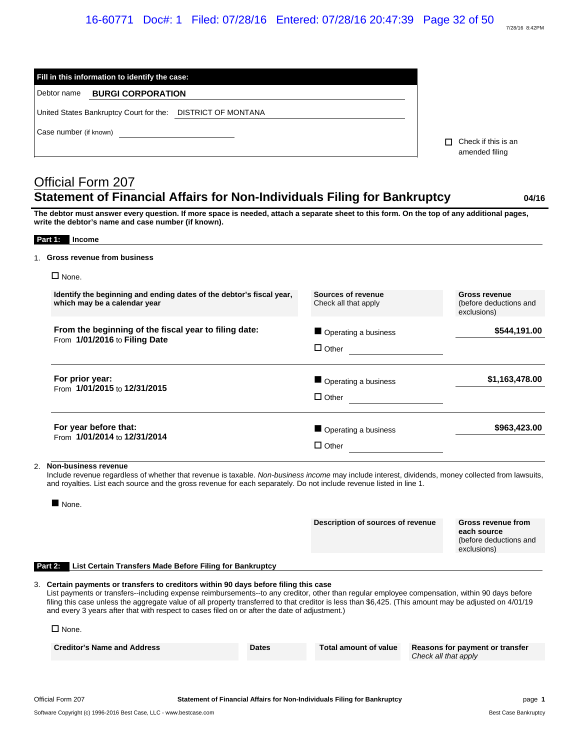|         | Fill in this information to identify the case:                                                                                                                                                                                                                                                                                                                                                                                                                                                 |              |                                                       |                      |                                                                            |
|---------|------------------------------------------------------------------------------------------------------------------------------------------------------------------------------------------------------------------------------------------------------------------------------------------------------------------------------------------------------------------------------------------------------------------------------------------------------------------------------------------------|--------------|-------------------------------------------------------|----------------------|----------------------------------------------------------------------------|
|         | <b>BURGI CORPORATION</b><br>Debtor name                                                                                                                                                                                                                                                                                                                                                                                                                                                        |              |                                                       |                      |                                                                            |
|         | United States Bankruptcy Court for the: DISTRICT OF MONTANA                                                                                                                                                                                                                                                                                                                                                                                                                                    |              |                                                       |                      |                                                                            |
|         | Case number (if known)                                                                                                                                                                                                                                                                                                                                                                                                                                                                         |              |                                                       |                      | $\Box$ Check if this is an<br>amended filing                               |
|         |                                                                                                                                                                                                                                                                                                                                                                                                                                                                                                |              |                                                       |                      |                                                                            |
|         | Official Form 207<br>Statement of Financial Affairs for Non-Individuals Filing for Bankruptcy                                                                                                                                                                                                                                                                                                                                                                                                  |              |                                                       |                      | 04/16                                                                      |
|         | The debtor must answer every question. If more space is needed, attach a separate sheet to this form. On the top of any additional pages,<br>write the debtor's name and case number (if known).                                                                                                                                                                                                                                                                                               |              |                                                       |                      |                                                                            |
|         | Part 1: Income                                                                                                                                                                                                                                                                                                                                                                                                                                                                                 |              |                                                       |                      |                                                                            |
|         | 1. Gross revenue from business                                                                                                                                                                                                                                                                                                                                                                                                                                                                 |              |                                                       |                      |                                                                            |
|         | $\square$ None.                                                                                                                                                                                                                                                                                                                                                                                                                                                                                |              |                                                       |                      |                                                                            |
|         | Identify the beginning and ending dates of the debtor's fiscal year,<br>which may be a calendar year                                                                                                                                                                                                                                                                                                                                                                                           |              | Sources of revenue<br>Check all that apply            |                      | <b>Gross revenue</b><br>(before deductions and<br>exclusions)              |
|         | From the beginning of the fiscal year to filing date:                                                                                                                                                                                                                                                                                                                                                                                                                                          |              | Operating a business                                  |                      | \$544,191.00                                                               |
|         | From 1/01/2016 to Filing Date                                                                                                                                                                                                                                                                                                                                                                                                                                                                  |              | $\Box$ Other                                          |                      |                                                                            |
|         | For prior year:<br>From 1/01/2015 to 12/31/2015                                                                                                                                                                                                                                                                                                                                                                                                                                                |              | Operating a business                                  |                      | \$1,163,478.00                                                             |
|         |                                                                                                                                                                                                                                                                                                                                                                                                                                                                                                |              | $\Box$ Other                                          |                      |                                                                            |
|         | For year before that:                                                                                                                                                                                                                                                                                                                                                                                                                                                                          |              | Operating a business                                  |                      | \$963,423.00                                                               |
|         | From 1/01/2014 to 12/31/2014                                                                                                                                                                                                                                                                                                                                                                                                                                                                   |              | $\Box$ Other<br><u> 1990 - Jan Barbara III, martx</u> |                      |                                                                            |
| 2.      | Non-business revenue<br>Include revenue regardless of whether that revenue is taxable. Non-business income may include interest, dividends, money collected from lawsuits,<br>and royalties. List each source and the gross revenue for each separately. Do not include revenue listed in line 1.                                                                                                                                                                                              |              |                                                       |                      |                                                                            |
|         | $\blacksquare$ None.                                                                                                                                                                                                                                                                                                                                                                                                                                                                           |              |                                                       |                      |                                                                            |
|         |                                                                                                                                                                                                                                                                                                                                                                                                                                                                                                |              | Description of sources of revenue                     |                      | Gross revenue from<br>each source<br>(before deductions and<br>exclusions) |
| Part 2: | List Certain Transfers Made Before Filing for Bankruptcy                                                                                                                                                                                                                                                                                                                                                                                                                                       |              |                                                       |                      |                                                                            |
| 3.      | Certain payments or transfers to creditors within 90 days before filing this case<br>List payments or transfers--including expense reimbursements--to any creditor, other than regular employee compensation, within 90 days before<br>filing this case unless the aggregate value of all property transferred to that creditor is less than \$6,425. (This amount may be adjusted on 4/01/19<br>and every 3 years after that with respect to cases filed on or after the date of adjustment.) |              |                                                       |                      |                                                                            |
|         | $\Box$ None.                                                                                                                                                                                                                                                                                                                                                                                                                                                                                   |              |                                                       |                      |                                                                            |
|         | <b>Creditor's Name and Address</b>                                                                                                                                                                                                                                                                                                                                                                                                                                                             | <b>Dates</b> | <b>Total amount of value</b>                          | Check all that apply | Reasons for payment or transfer                                            |
|         |                                                                                                                                                                                                                                                                                                                                                                                                                                                                                                |              |                                                       |                      |                                                                            |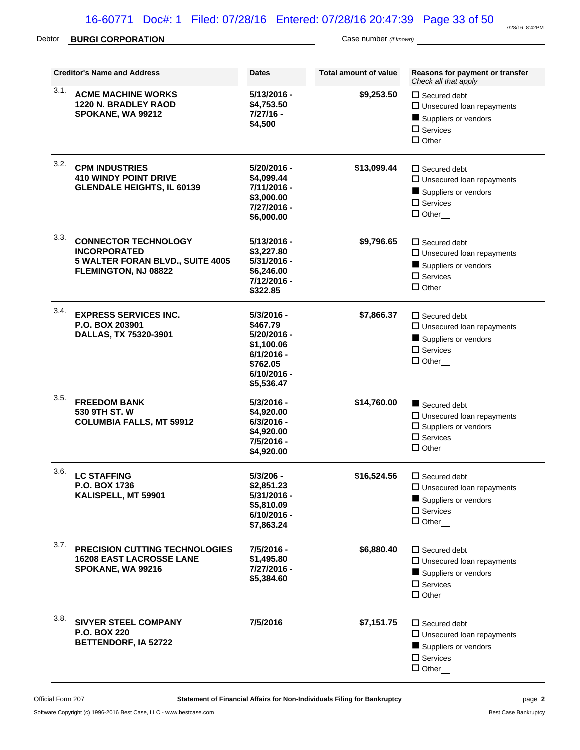# Debtor **BURGI CORPORATION** Case number *(if known)*

|      | <b>Creditor's Name and Address</b>                                                                             | <b>Dates</b>                                                                                                     | Total amount of value | Reasons for payment or transfer<br>Check all that apply                                                                  |
|------|----------------------------------------------------------------------------------------------------------------|------------------------------------------------------------------------------------------------------------------|-----------------------|--------------------------------------------------------------------------------------------------------------------------|
| 3.1. | <b>ACME MACHINE WORKS</b><br>1220 N. BRADLEY RAOD<br>SPOKANE, WA 99212                                         | $5/13/2016 -$<br>\$4,753.50<br>$7/27/16 -$<br>\$4,500                                                            | \$9,253.50            | $\Box$ Secured debt<br>$\square$ Unsecured loan repayments<br>Suppliers or vendors<br>$\square$ Services<br>$\Box$ Other |
| 3.2. | <b>CPM INDUSTRIES</b><br><b>410 WINDY POINT DRIVE</b><br><b>GLENDALE HEIGHTS, IL 60139</b>                     | 5/20/2016 -<br>\$4,099.44<br>7/11/2016 -<br>\$3,000.00<br>7/27/2016 -<br>\$6,000.00                              | \$13,099.44           | $\Box$ Secured debt<br>$\square$ Unsecured loan repayments<br>Suppliers or vendors<br>$\square$ Services<br>$\Box$ Other |
| 3.3. | <b>CONNECTOR TECHNOLOGY</b><br><b>INCORPORATED</b><br>5 WALTER FORAN BLVD., SUITE 4005<br>FLEMINGTON, NJ 08822 | 5/13/2016 -<br>\$3,227.80<br>5/31/2016 -<br>\$6,246.00<br>7/12/2016 -<br>\$322.85                                | \$9,796.65            | $\Box$ Secured debt<br>$\square$ Unsecured loan repayments<br>Suppliers or vendors<br>$\square$ Services<br>$\Box$ Other |
| 3.4. | <b>EXPRESS SERVICES INC.</b><br>P.O. BOX 203901<br>DALLAS, TX 75320-3901                                       | $5/3/2016 -$<br>\$467.79<br>5/20/2016 -<br>\$1,100.06<br>$6/1/2016 -$<br>\$762.05<br>$6/10/2016 -$<br>\$5,536.47 | \$7,866.37            | $\Box$ Secured debt<br>$\square$ Unsecured loan repayments<br>Suppliers or vendors<br>$\square$ Services<br>$\Box$ Other |
| 3.5. | <b>FREEDOM BANK</b><br>530 9TH ST. W<br><b>COLUMBIA FALLS, MT 59912</b>                                        | 5/3/2016 -<br>\$4,920.00<br>$6/3/2016 -$<br>\$4,920.00<br>7/5/2016 -<br>\$4,920.00                               | \$14,760.00           | Secured debt<br>$\Box$ Unsecured loan repayments<br>$\square$ Suppliers or vendors<br>$\square$ Services<br>$\Box$ Other |
| 3.6. | <b>LC STAFFING</b><br>P.O. BOX 1736<br>KALISPELL, MT 59901                                                     | $5/3/206 -$<br>\$2,851.23<br>5/31/2016 -<br>\$5,810.09<br>$6/10/2016 -$<br>\$7,863.24                            | \$16,524.56           | $\Box$ Secured debt<br>$\square$ Unsecured loan repayments<br>Suppliers or vendors<br>$\square$ Services<br>$\Box$ Other |
| 3.7. | PRECISION CUTTING TECHNOLOGIES<br><b>16208 EAST LACROSSE LANE</b><br>SPOKANE, WA 99216                         | 7/5/2016 -<br>\$1,495.80<br>7/27/2016 -<br>\$5,384.60                                                            | \$6,880.40            | $\Box$ Secured debt<br>$\Box$ Unsecured loan repayments<br>Suppliers or vendors<br>$\square$ Services<br>$\Box$ Other    |
| 3.8. | <b>SIVYER STEEL COMPANY</b><br><b>P.O. BOX 220</b><br><b>BETTENDORF, IA 52722</b>                              | 7/5/2016                                                                                                         | \$7,151.75            | $\Box$ Secured debt<br>$\square$ Unsecured loan repayments<br>Suppliers or vendors<br>$\square$ Services<br>$\Box$ Other |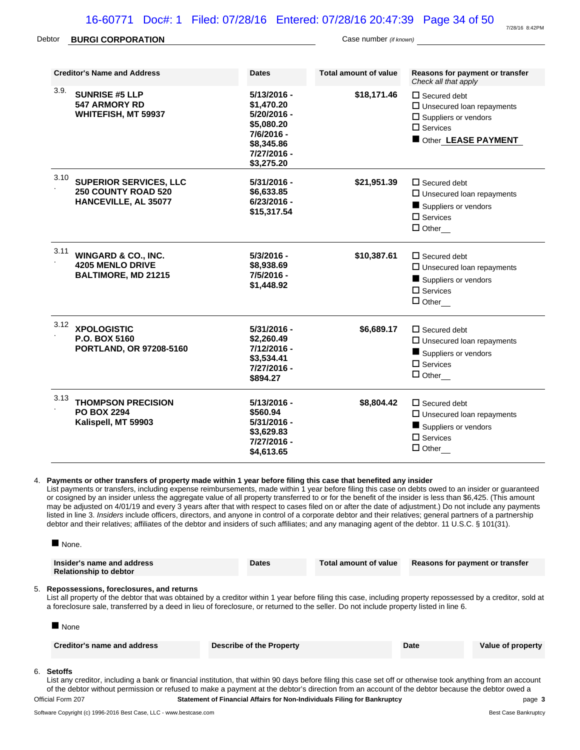| Debtor | <b>BURGI CORPORATION</b>                                                                   | Case number (if known)                                                                                              |                       |                                                                                                                                     |  |  |
|--------|--------------------------------------------------------------------------------------------|---------------------------------------------------------------------------------------------------------------------|-----------------------|-------------------------------------------------------------------------------------------------------------------------------------|--|--|
|        | <b>Creditor's Name and Address</b>                                                         | <b>Dates</b>                                                                                                        | Total amount of value | Reasons for payment or transfer<br>Check all that apply                                                                             |  |  |
| 3.9.   | <b>SUNRISE #5 LLP</b><br>547 ARMORY RD<br><b>WHITEFISH, MT 59937</b>                       | $5/13/2016 -$<br>\$1.470.20<br>$5/20/2016 -$<br>\$5,080,20<br>7/6/2016 -<br>\$8,345.86<br>7/27/2016 -<br>\$3,275.20 | \$18,171.46           | $\Box$ Secured debt<br>$\Box$ Unsecured loan repayments<br>$\Box$ Suppliers or vendors<br>$\square$ Services<br>Other LEASE PAYMENT |  |  |
| 3.10   | <b>SUPERIOR SERVICES, LLC</b><br><b>250 COUNTY ROAD 520</b><br><b>HANCEVILLE, AL 35077</b> | $5/31/2016 -$<br>\$6,633.85<br>$6/23/2016 -$                                                                        | \$21,951.39           | $\Box$ Secured debt<br>$\Box$ Unsecured loan repayments<br>$\blacksquare$ Cuppliere or vendere                                      |  |  |

|      | HANCEVILLE, AL 35077                                                                    | 6/23/2016 -<br>\$15,317.54                                                        |             | Suppliers or vendors<br>$\square$ Services<br>$\Box$ Other                                                            |
|------|-----------------------------------------------------------------------------------------|-----------------------------------------------------------------------------------|-------------|-----------------------------------------------------------------------------------------------------------------------|
| 3.11 | <b>WINGARD &amp; CO., INC.</b><br><b>4205 MENLO DRIVE</b><br><b>BALTIMORE, MD 21215</b> | $5/3/2016 -$<br>\$8,938.69<br>7/5/2016 -<br>\$1,448.92                            | \$10,387.61 | $\Box$ Secured debt<br>$\Box$ Unsecured loan repayments<br>Suppliers or vendors<br>$\Box$ Services<br>$\Box$ Other    |
| 3.12 | <b>XPOLOGISTIC</b><br>P.O. BOX 5160<br><b>PORTLAND, OR 97208-5160</b>                   | 5/31/2016 -<br>\$2,260.49<br>7/12/2016 -<br>\$3,534.41<br>7/27/2016 -<br>\$894.27 | \$6,689.17  | $\Box$ Secured debt<br>$\Box$ Unsecured loan repayments<br>Suppliers or vendors<br>$\square$ Services<br>$\Box$ Other |
| 3.13 | <b>THOMPSON PRECISION</b><br><b>PO BOX 2294</b><br>Kalispell, MT 59903                  | 5/13/2016 -<br>\$560.94<br>5/31/2016 -<br>\$3,629.83<br>7/27/2016 -<br>\$4,613.65 | \$8,804.42  | $\Box$ Secured debt<br>$\Box$ Unsecured loan repayments<br>Suppliers or vendors<br>$\square$ Services<br>$\Box$ Other |

#### 4. **Payments or other transfers of property made within 1 year before filing this case that benefited any insider**

List payments or transfers, including expense reimbursements, made within 1 year before filing this case on debts owed to an insider or guaranteed or cosigned by an insider unless the aggregate value of all property transferred to or for the benefit of the insider is less than \$6,425. (This amount may be adjusted on 4/01/19 and every 3 years after that with respect to cases filed on or after the date of adjustment.) Do not include any payments listed in line 3. *Insiders* include officers, directors, and anyone in control of a corporate debtor and their relatives; general partners of a partnership debtor and their relatives; affiliates of the debtor and insiders of such affiliates; and any managing agent of the debtor. 11 U.S.C. § 101(31).

|                                                                                                                                                                                                                                                                                                                                                                              | $\blacksquare$ None.                                                                                                                                                              |                          |                       |                                 |                   |
|------------------------------------------------------------------------------------------------------------------------------------------------------------------------------------------------------------------------------------------------------------------------------------------------------------------------------------------------------------------------------|-----------------------------------------------------------------------------------------------------------------------------------------------------------------------------------|--------------------------|-----------------------|---------------------------------|-------------------|
|                                                                                                                                                                                                                                                                                                                                                                              | Insider's name and address<br><b>Relationship to debtor</b>                                                                                                                       | <b>Dates</b>             | Total amount of value | Reasons for payment or transfer |                   |
| 5. Repossessions, foreclosures, and returns<br>List all property of the debtor that was obtained by a creditor within 1 year before filing this case, including property repossessed by a creditor, sold at<br>a foreclosure sale, transferred by a deed in lieu of foreclosure, or returned to the seller. Do not include property listed in line 6.<br>$\blacksquare$ None |                                                                                                                                                                                   |                          |                       |                                 |                   |
|                                                                                                                                                                                                                                                                                                                                                                              | Creditor's name and address                                                                                                                                                       | Describe of the Property |                       | Date                            | Value of property |
|                                                                                                                                                                                                                                                                                                                                                                              | 6. <b>Setoffs</b><br>The same seather hadmeliar a back of financial haddedies, that might 00 dam bafon filled this case are all as elemented to althoughbar from an approximation |                          |                       |                                 |                   |

List any creditor, including a bank or financial institution, that within 90 days before filing this case set off or otherwise took anything from an account of the debtor without permission or refused to make a payment at the debtor's direction from an account of the debtor because the debtor owed a Official Form 207 **Statement of Financial Affairs for Non-Individuals Filing for Bankruptcy** page **3**

6. **Setoffs**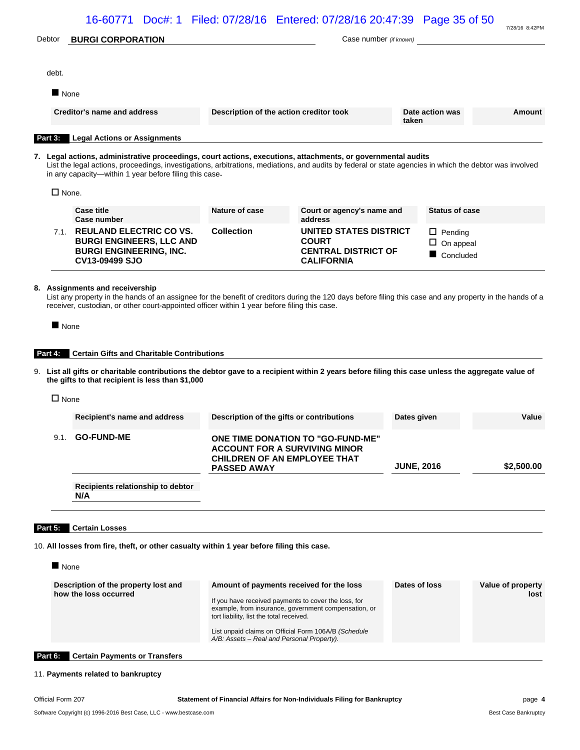|         |                     | 16-60771 Doc#: 1 Filed: 07/28/16 Entered: 07/28/16 20:47:39 Page 35 of 50                                                                                                                                                                                                                                                         |                                                                                                                                                                                                                                                    |                                                                                                  |                   |                                                 | 7/28/16 8:42PM            |
|---------|---------------------|-----------------------------------------------------------------------------------------------------------------------------------------------------------------------------------------------------------------------------------------------------------------------------------------------------------------------------------|----------------------------------------------------------------------------------------------------------------------------------------------------------------------------------------------------------------------------------------------------|--------------------------------------------------------------------------------------------------|-------------------|-------------------------------------------------|---------------------------|
| Debtor  |                     | <b>BURGI CORPORATION</b>                                                                                                                                                                                                                                                                                                          |                                                                                                                                                                                                                                                    | Case number (if known)                                                                           |                   |                                                 |                           |
|         |                     |                                                                                                                                                                                                                                                                                                                                   |                                                                                                                                                                                                                                                    |                                                                                                  |                   |                                                 |                           |
|         | debt.               |                                                                                                                                                                                                                                                                                                                                   |                                                                                                                                                                                                                                                    |                                                                                                  |                   |                                                 |                           |
|         | $\blacksquare$ None |                                                                                                                                                                                                                                                                                                                                   |                                                                                                                                                                                                                                                    |                                                                                                  |                   |                                                 |                           |
|         |                     | Creditor's name and address                                                                                                                                                                                                                                                                                                       | Description of the action creditor took                                                                                                                                                                                                            |                                                                                                  | taken             | Date action was                                 | Amount                    |
|         | Part 3:             | <b>Legal Actions or Assignments</b>                                                                                                                                                                                                                                                                                               |                                                                                                                                                                                                                                                    |                                                                                                  |                   |                                                 |                           |
|         |                     | 7. Legal actions, administrative proceedings, court actions, executions, attachments, or governmental audits<br>List the legal actions, proceedings, investigations, arbitrations, mediations, and audits by federal or state agencies in which the debtor was involved<br>in any capacity—within 1 year before filing this case. |                                                                                                                                                                                                                                                    |                                                                                                  |                   |                                                 |                           |
|         | $\Box$ None.        |                                                                                                                                                                                                                                                                                                                                   |                                                                                                                                                                                                                                                    |                                                                                                  |                   |                                                 |                           |
|         |                     | <b>Case title</b><br>Case number                                                                                                                                                                                                                                                                                                  | Nature of case                                                                                                                                                                                                                                     | Court or agency's name and<br>address                                                            |                   | <b>Status of case</b>                           |                           |
|         |                     | 7.1. REULAND ELECTRIC CO VS.<br><b>BURGI ENGINEERS, LLC AND</b><br><b>BURGI ENGINEERING, INC.</b><br>CV13-09499 SJO                                                                                                                                                                                                               | <b>Collection</b>                                                                                                                                                                                                                                  | <b>UNITED STATES DISTRICT</b><br><b>COURT</b><br><b>CENTRAL DISTRICT OF</b><br><b>CALIFORNIA</b> |                   | $\Box$ Pending<br>$\Box$ On appeal<br>Concluded |                           |
| Part 4: |                     | <b>Certain Gifts and Charitable Contributions</b><br>9. List all gifts or charitable contributions the debtor gave to a recipient within 2 years before filing this case unless the aggregate value of<br>the gifts to that recipient is less than \$1,000                                                                        |                                                                                                                                                                                                                                                    |                                                                                                  |                   |                                                 |                           |
|         | $\Box$ None         |                                                                                                                                                                                                                                                                                                                                   |                                                                                                                                                                                                                                                    |                                                                                                  |                   |                                                 |                           |
|         |                     | Recipient's name and address                                                                                                                                                                                                                                                                                                      | Description of the gifts or contributions                                                                                                                                                                                                          |                                                                                                  | Dates given       |                                                 | Value                     |
|         | 9.1.                | <b>GO-FUND-ME</b>                                                                                                                                                                                                                                                                                                                 | <b>ACCOUNT FOR A SURVIVING MINOR</b><br><b>CHILDREN OF AN EMPLOYEE THAT</b><br><b>PASSED AWAY</b>                                                                                                                                                  | ONE TIME DONATION TO "GO-FUND-ME                                                                 | <b>JUNE, 2016</b> |                                                 | \$2,500.00                |
|         |                     | Recipients relationship to debtor<br>N/A                                                                                                                                                                                                                                                                                          |                                                                                                                                                                                                                                                    |                                                                                                  |                   |                                                 |                           |
|         |                     |                                                                                                                                                                                                                                                                                                                                   |                                                                                                                                                                                                                                                    |                                                                                                  |                   |                                                 |                           |
| Part 5: |                     | <b>Certain Losses</b>                                                                                                                                                                                                                                                                                                             |                                                                                                                                                                                                                                                    |                                                                                                  |                   |                                                 |                           |
|         |                     | 10. All losses from fire, theft, or other casualty within 1 year before filing this case.                                                                                                                                                                                                                                         |                                                                                                                                                                                                                                                    |                                                                                                  |                   |                                                 |                           |
|         | $\blacksquare$ None |                                                                                                                                                                                                                                                                                                                                   |                                                                                                                                                                                                                                                    |                                                                                                  |                   |                                                 |                           |
|         |                     | Description of the property lost and<br>how the loss occurred                                                                                                                                                                                                                                                                     | Amount of payments received for the loss<br>If you have received payments to cover the loss, for<br>tort liability, list the total received.<br>List unpaid claims on Official Form 106A/B (Schedule<br>A/B: Assets - Real and Personal Property). | example, from insurance, government compensation, or                                             | Dates of loss     |                                                 | Value of property<br>lost |
| Part 6: |                     | <b>Certain Payments or Transfers</b>                                                                                                                                                                                                                                                                                              |                                                                                                                                                                                                                                                    |                                                                                                  |                   |                                                 |                           |
|         |                     |                                                                                                                                                                                                                                                                                                                                   |                                                                                                                                                                                                                                                    |                                                                                                  |                   |                                                 |                           |

# 11. **Payments related to bankruptcy**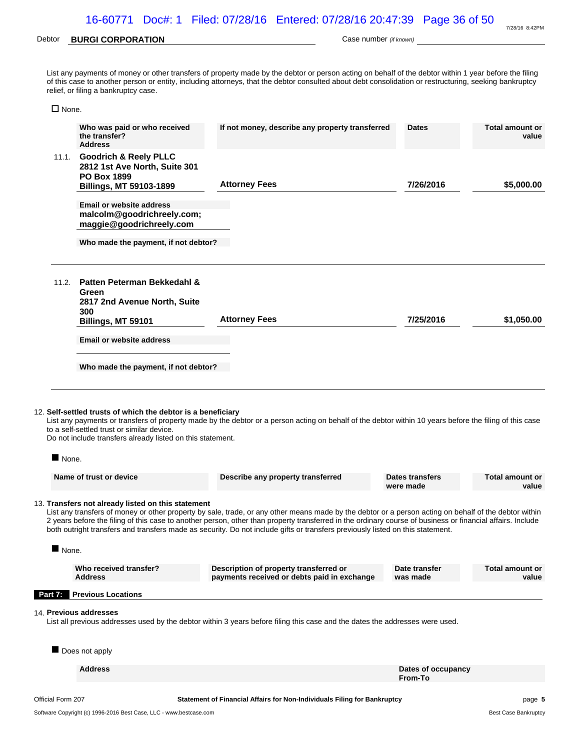### Debtor **BURGI CORPORATION Case number** *(if known)* Case number *(if known)*

|              | relief, or filing a bankruptcy case.                            | List any payments of money or other transfers of property made by the debtor or person acting on behalf of the debtor within 1 year before the filing<br>of this case to another person or entity, including attorneys, that the debtor consulted about debt consolidation or restructuring, seeking bankruptcy |              |                          |
|--------------|-----------------------------------------------------------------|-----------------------------------------------------------------------------------------------------------------------------------------------------------------------------------------------------------------------------------------------------------------------------------------------------------------|--------------|--------------------------|
| $\Box$ None. |                                                                 |                                                                                                                                                                                                                                                                                                                 |              |                          |
|              | Who was paid or who received<br>the transfer?<br><b>Address</b> | If not money, describe any property transferred                                                                                                                                                                                                                                                                 | <b>Dates</b> | Total amount or<br>value |
| 11.1.        | <b>Goodrich &amp; Reely PLLC</b>                                |                                                                                                                                                                                                                                                                                                                 |              |                          |

|       | 2812 1st Ave North, Suite 301<br><b>PO Box 1899</b><br>Billings, MT 59103-1899 | <b>Attorney Fees</b> | 7/26/2016 | \$5,000.00 |
|-------|--------------------------------------------------------------------------------|----------------------|-----------|------------|
|       | <b>Email or website address</b>                                                |                      |           |            |
|       | malcolm@goodrichreely.com;<br>maggie@goodrichreely.com                         |                      |           |            |
|       | Who made the payment, if not debtor?                                           |                      |           |            |
| 11.2. | Patten Peterman Bekkedahl &<br>Green<br>2817 2nd Avenue North, Suite           |                      |           |            |
|       | 300<br>Billings, MT 59101                                                      | <b>Attorney Fees</b> | 7/25/2016 | \$1,050.00 |
|       | <b>Email or website address</b>                                                |                      |           |            |
|       | Who made the payment, if not debtor?                                           |                      |           |            |

#### 12. **Self-settled trusts of which the debtor is a beneficiary**

List any payments or transfers of property made by the debtor or a person acting on behalf of the debtor within 10 years before the filing of this case to a self-settled trust or similar device.

Do not include transfers already listed on this statement.

None.

| Name of trust or device                            | Describe any property transferred | Dates transfers<br>were made | Total amount or<br>value |
|----------------------------------------------------|-----------------------------------|------------------------------|--------------------------|
| 13. Transfers not already listed on this statement |                                   |                              |                          |

List any transfers of money or other property by sale, trade, or any other means made by the debtor or a person acting on behalf of the debtor within 2 years before the filing of this case to another person, other than property transferred in the ordinary course of business or financial affairs. Include both outright transfers and transfers made as security. Do not include gifts or transfers previously listed on this statement.

```
None.
```

| Who received transfer? | Description of property transferred or      | Date transfer | <b>Total amount or</b> |
|------------------------|---------------------------------------------|---------------|------------------------|
| <b>Address</b>         | payments received or debts paid in exchange | was made      | value                  |

#### **Part 7: Previous Locations**

#### 14. **Previous addresses**

List all previous addresses used by the debtor within 3 years before filing this case and the dates the addresses were used.

Does not apply

| <b>Address</b> | Dates of occupancy<br>From-To |
|----------------|-------------------------------|
|                |                               |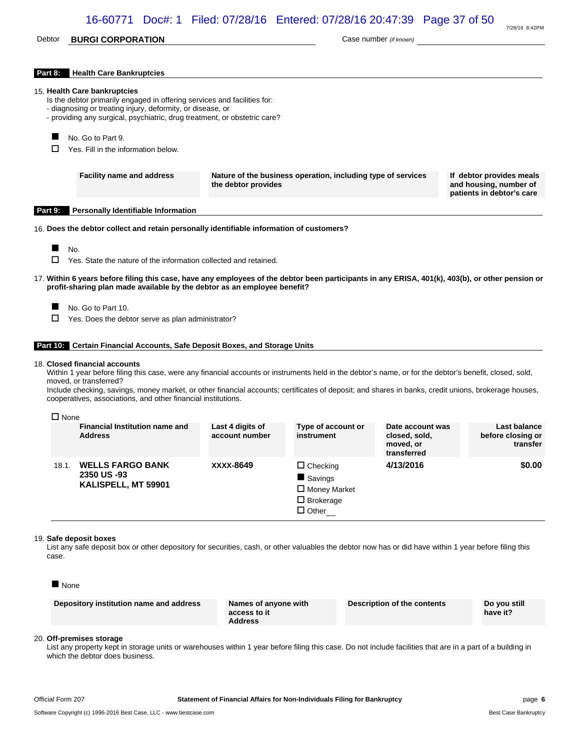## Debtor **BURGI CORPORATION** Case number *(if known)*

7/28/16 8:42PM

| Part 8: | <b>Health Care Bankruptcies</b>                                                                                                                                                                                                                                                                                                                                                                                                             |                                                                                     |                                                                                |                                                               |                                                                                 |          |
|---------|---------------------------------------------------------------------------------------------------------------------------------------------------------------------------------------------------------------------------------------------------------------------------------------------------------------------------------------------------------------------------------------------------------------------------------------------|-------------------------------------------------------------------------------------|--------------------------------------------------------------------------------|---------------------------------------------------------------|---------------------------------------------------------------------------------|----------|
|         | 15. Health Care bankruptcies<br>Is the debtor primarily engaged in offering services and facilities for:<br>- diagnosing or treating injury, deformity, or disease, or<br>- providing any surgical, psychiatric, drug treatment, or obstetric care?                                                                                                                                                                                         |                                                                                     |                                                                                |                                                               |                                                                                 |          |
| $\Box$  | No. Go to Part 9.<br>Yes. Fill in the information below.                                                                                                                                                                                                                                                                                                                                                                                    |                                                                                     |                                                                                |                                                               |                                                                                 |          |
|         | <b>Facility name and address</b>                                                                                                                                                                                                                                                                                                                                                                                                            | Nature of the business operation, including type of services<br>the debtor provides |                                                                                |                                                               | If debtor provides meals<br>and housing, number of<br>patients in debtor's care |          |
| Part 9: | <b>Personally Identifiable Information</b>                                                                                                                                                                                                                                                                                                                                                                                                  |                                                                                     |                                                                                |                                                               |                                                                                 |          |
|         | 16. Does the debtor collect and retain personally identifiable information of customers?                                                                                                                                                                                                                                                                                                                                                    |                                                                                     |                                                                                |                                                               |                                                                                 |          |
|         |                                                                                                                                                                                                                                                                                                                                                                                                                                             |                                                                                     |                                                                                |                                                               |                                                                                 |          |
| □       | No.<br>Yes. State the nature of the information collected and retained.                                                                                                                                                                                                                                                                                                                                                                     |                                                                                     |                                                                                |                                                               |                                                                                 |          |
|         | 17. Within 6 years before filing this case, have any employees of the debtor been participants in any ERISA, 401(k), 403(b), or other pension or<br>profit-sharing plan made available by the debtor as an employee benefit?                                                                                                                                                                                                                |                                                                                     |                                                                                |                                                               |                                                                                 |          |
|         | No. Go to Part 10.                                                                                                                                                                                                                                                                                                                                                                                                                          |                                                                                     |                                                                                |                                                               |                                                                                 |          |
| □       | Yes. Does the debtor serve as plan administrator?                                                                                                                                                                                                                                                                                                                                                                                           |                                                                                     |                                                                                |                                                               |                                                                                 |          |
|         |                                                                                                                                                                                                                                                                                                                                                                                                                                             |                                                                                     |                                                                                |                                                               |                                                                                 |          |
|         | <b>Part 10.</b> Certain Financial Accounts, Safe Deposit Boxes, and Storage Units                                                                                                                                                                                                                                                                                                                                                           |                                                                                     |                                                                                |                                                               |                                                                                 |          |
|         | 18. Closed financial accounts<br>Within 1 year before filing this case, were any financial accounts or instruments held in the debtor's name, or for the debtor's benefit, closed, sold,<br>moved, or transferred?<br>Include checking, savings, money market, or other financial accounts; certificates of deposit; and shares in banks, credit unions, brokerage houses,<br>cooperatives, associations, and other financial institutions. |                                                                                     |                                                                                |                                                               |                                                                                 |          |
|         |                                                                                                                                                                                                                                                                                                                                                                                                                                             |                                                                                     |                                                                                |                                                               |                                                                                 |          |
|         | $\Box$ None<br><b>Financial Institution name and</b><br><b>Address</b>                                                                                                                                                                                                                                                                                                                                                                      | Last 4 digits of<br>account number                                                  | Type of account or<br>instrument                                               | Date account was<br>closed, sold,<br>moved, or<br>transferred | Last balance<br>before closing or                                               | transfer |
|         | <b>WELLS FARGO BANK</b><br>18.1.<br>2350 US-93<br>KALISPELL, MT 59901                                                                                                                                                                                                                                                                                                                                                                       | XXXX-8649                                                                           | $\Box$ Checking<br>Savings<br>Money Market<br>$\Box$ Brokerage<br>$\Box$ Other | 4/13/2016                                                     |                                                                                 | \$0.00   |
| case.   | 19. Safe deposit boxes<br>List any safe deposit box or other depository for securities, cash, or other valuables the debtor now has or did have within 1 year before filing this                                                                                                                                                                                                                                                            |                                                                                     |                                                                                |                                                               |                                                                                 |          |
|         | $\blacksquare$ None                                                                                                                                                                                                                                                                                                                                                                                                                         |                                                                                     |                                                                                |                                                               |                                                                                 |          |
|         | Depository institution name and address                                                                                                                                                                                                                                                                                                                                                                                                     | Names of anyone with<br>access to it<br><b>Address</b>                              |                                                                                | <b>Description of the contents</b>                            | Do you still<br>have it?                                                        |          |
|         | 20. Off-premises storage                                                                                                                                                                                                                                                                                                                                                                                                                    |                                                                                     |                                                                                |                                                               |                                                                                 |          |

List any property kept in storage units or warehouses within 1 year before filing this case. Do not include facilities that are in a part of a building in which the debtor does business.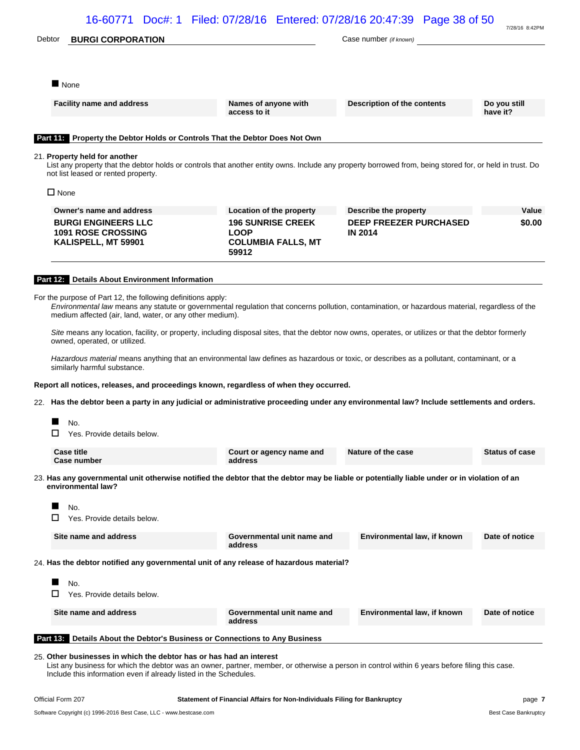| Debtor         | <b>BURGI CORPORATION</b>                                                                                                                                                                                                                                                                                                                                                                                                                                                                                                                                                                                                                           |                                                                               | Case number (if known)                          |                          |
|----------------|----------------------------------------------------------------------------------------------------------------------------------------------------------------------------------------------------------------------------------------------------------------------------------------------------------------------------------------------------------------------------------------------------------------------------------------------------------------------------------------------------------------------------------------------------------------------------------------------------------------------------------------------------|-------------------------------------------------------------------------------|-------------------------------------------------|--------------------------|
|                | None                                                                                                                                                                                                                                                                                                                                                                                                                                                                                                                                                                                                                                               |                                                                               |                                                 |                          |
|                | <b>Facility name and address</b>                                                                                                                                                                                                                                                                                                                                                                                                                                                                                                                                                                                                                   | Names of anyone with<br>access to it                                          | Description of the contents                     | Do you still<br>have it? |
|                | Part 11: Property the Debtor Holds or Controls That the Debtor Does Not Own                                                                                                                                                                                                                                                                                                                                                                                                                                                                                                                                                                        |                                                                               |                                                 |                          |
|                | 21. Property held for another<br>List any property that the debtor holds or controls that another entity owns. Include any property borrowed from, being stored for, or held in trust. Do<br>not list leased or rented property.                                                                                                                                                                                                                                                                                                                                                                                                                   |                                                                               |                                                 |                          |
| $\square$ None |                                                                                                                                                                                                                                                                                                                                                                                                                                                                                                                                                                                                                                                    |                                                                               |                                                 |                          |
|                | Owner's name and address                                                                                                                                                                                                                                                                                                                                                                                                                                                                                                                                                                                                                           | Location of the property                                                      | Describe the property                           | Value                    |
|                | <b>BURGI ENGINEERS LLC</b><br><b>1091 ROSE CROSSING</b><br>KALISPELL, MT 59901                                                                                                                                                                                                                                                                                                                                                                                                                                                                                                                                                                     | <b>196 SUNRISE CREEK</b><br><b>LOOP</b><br><b>COLUMBIA FALLS, MT</b><br>59912 | <b>DEEP FREEZER PURCHASED</b><br><b>IN 2014</b> | \$0.00                   |
|                | Part 12: Details About Environment Information                                                                                                                                                                                                                                                                                                                                                                                                                                                                                                                                                                                                     |                                                                               |                                                 |                          |
|                | For the purpose of Part 12, the following definitions apply:<br>Environmental law means any statute or governmental regulation that concerns pollution, contamination, or hazardous material, regardless of the<br>medium affected (air, land, water, or any other medium).<br>Site means any location, facility, or property, including disposal sites, that the debtor now owns, operates, or utilizes or that the debtor formerly<br>owned, operated, or utilized.<br>Hazardous material means anything that an environmental law defines as hazardous or toxic, or describes as a pollutant, contaminant, or a<br>similarly harmful substance. |                                                                               |                                                 |                          |
|                | Report all notices, releases, and proceedings known, regardless of when they occurred.                                                                                                                                                                                                                                                                                                                                                                                                                                                                                                                                                             |                                                                               |                                                 |                          |
|                | 22. Has the debtor been a party in any judicial or administrative proceeding under any environmental law? Include settlements and orders.                                                                                                                                                                                                                                                                                                                                                                                                                                                                                                          |                                                                               |                                                 |                          |
|                | No.                                                                                                                                                                                                                                                                                                                                                                                                                                                                                                                                                                                                                                                |                                                                               |                                                 |                          |
| П              | Yes. Provide details below.                                                                                                                                                                                                                                                                                                                                                                                                                                                                                                                                                                                                                        |                                                                               |                                                 |                          |
|                | <b>Case title</b><br>Case number                                                                                                                                                                                                                                                                                                                                                                                                                                                                                                                                                                                                                   | Court or agency name and<br>address                                           | Nature of the case                              | <b>Status of case</b>    |
|                | 23. Has any governmental unit otherwise notified the debtor that the debtor may be liable or potentially liable under or in violation of an<br>environmental law?                                                                                                                                                                                                                                                                                                                                                                                                                                                                                  |                                                                               |                                                 |                          |
| П              | No.<br>Yes. Provide details below.                                                                                                                                                                                                                                                                                                                                                                                                                                                                                                                                                                                                                 |                                                                               |                                                 |                          |
|                | Site name and address                                                                                                                                                                                                                                                                                                                                                                                                                                                                                                                                                                                                                              | Governmental unit name and<br>address                                         | Environmental law, if known                     | Date of notice           |
|                | 24. Has the debtor notified any governmental unit of any release of hazardous material?                                                                                                                                                                                                                                                                                                                                                                                                                                                                                                                                                            |                                                                               |                                                 |                          |
| □              | No.<br>Yes. Provide details below.                                                                                                                                                                                                                                                                                                                                                                                                                                                                                                                                                                                                                 |                                                                               |                                                 |                          |
|                | Site name and address                                                                                                                                                                                                                                                                                                                                                                                                                                                                                                                                                                                                                              | Governmental unit name and<br>address                                         | Environmental law, if known                     | Date of notice           |
| Part 13:       | Details About the Debtor's Business or Connections to Any Business                                                                                                                                                                                                                                                                                                                                                                                                                                                                                                                                                                                 |                                                                               |                                                 |                          |
|                | 25. Other businesses in which the debtor has or has had an interest<br>List any business for which the debtor was an owner, partner, member, or otherwise a person in control within 6 years before filing this case.<br>Include this information even if already listed in the Schedules.                                                                                                                                                                                                                                                                                                                                                         |                                                                               |                                                 |                          |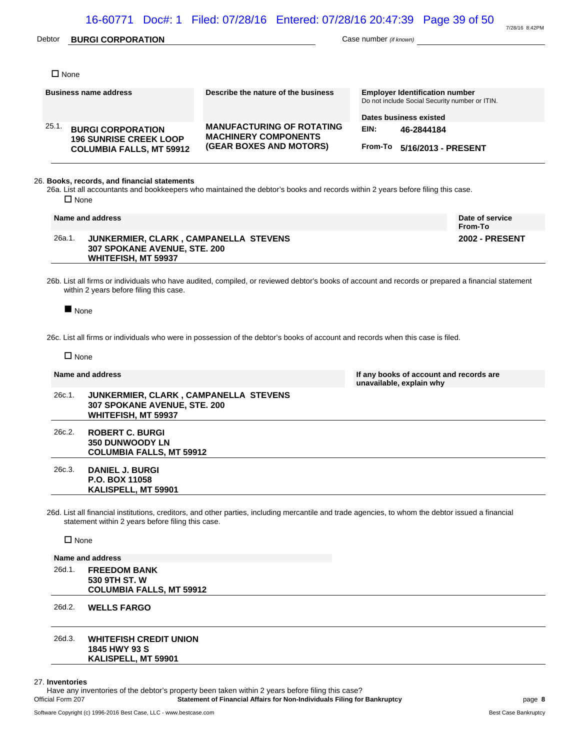## Debtor **BURGI CORPORATION** Case number *(if known)*

7/28/16 8:42PM

| $\Box$ None    |                                                                                                     |                                                                                                                                                    |                          |                                                                                         |
|----------------|-----------------------------------------------------------------------------------------------------|----------------------------------------------------------------------------------------------------------------------------------------------------|--------------------------|-----------------------------------------------------------------------------------------|
|                | <b>Business name address</b>                                                                        | Describe the nature of the business                                                                                                                |                          | <b>Employer Identification number</b><br>Do not include Social Security number or ITIN. |
|                |                                                                                                     |                                                                                                                                                    |                          | Dates business existed                                                                  |
| 25.1.          | <b>BURGI CORPORATION</b><br><b>196 SUNRISE CREEK LOOP</b>                                           | <b>MANUFACTURING OF ROTATING</b><br><b>MACHINERY COMPONENTS</b>                                                                                    | EIN:                     | 46-2844184                                                                              |
|                | <b>COLUMBIA FALLS, MT 59912</b>                                                                     | (GEAR BOXES AND MOTORS)                                                                                                                            | From-To                  | 5/16/2013 - PRESENT                                                                     |
| $\Box$ None    | 26. Books, records, and financial statements                                                        | 26a. List all accountants and bookkeepers who maintained the debtor's books and records within 2 years before filing this case.                    |                          |                                                                                         |
|                | Name and address                                                                                    |                                                                                                                                                    |                          | Date of service<br>From-To                                                              |
| 26a.1.         | JUNKERMIER, CLARK, CAMPANELLA STEVENS<br>307 SPOKANE AVENUE, STE. 200<br>WHITEFISH, MT 59937        |                                                                                                                                                    |                          | <b>2002 - PRESENT</b>                                                                   |
|                | within 2 years before filing this case.                                                             | 26b. List all firms or individuals who have audited, compiled, or reviewed debtor's books of account and records or prepared a financial statement |                          |                                                                                         |
| None           |                                                                                                     | 26c. List all firms or individuals who were in possession of the debtor's books of account and records when this case is filed.                    |                          |                                                                                         |
| $\Box$ None    |                                                                                                     |                                                                                                                                                    |                          |                                                                                         |
|                | Name and address                                                                                    |                                                                                                                                                    | unavailable, explain why | If any books of account and records are                                                 |
| 26c.1.         | JUNKERMIER, CLARK, CAMPANELLA STEVENS<br>307 SPOKANE AVENUE, STE. 200<br><b>WHITEFISH, MT 59937</b> |                                                                                                                                                    |                          |                                                                                         |
| 26c.2.         | <b>ROBERT C. BURGI</b><br><b>350 DUNWOODY LN</b><br><b>COLUMBIA FALLS, MT 59912</b>                 |                                                                                                                                                    |                          |                                                                                         |
| 26c.3.         | <b>DANIEL J. BURGI</b><br><b>P.O. BOX 11058</b><br>KALISPELL, MT 59901                              |                                                                                                                                                    |                          |                                                                                         |
|                | statement within 2 years before filing this case.                                                   | 26d. List all financial institutions, creditors, and other parties, including mercantile and trade agencies, to whom the debtor issued a financial |                          |                                                                                         |
| $\square$ None |                                                                                                     |                                                                                                                                                    |                          |                                                                                         |
|                | Name and address                                                                                    |                                                                                                                                                    |                          |                                                                                         |
| 26d.1.         | <b>FREEDOM BANK</b>                                                                                 |                                                                                                                                                    |                          |                                                                                         |

26d.3. **WHITEFISH CREDIT UNION 1845 HWY 93 S KALISPELL, MT 59901**

#### 27. **Inventories**

Have any inventories of the debtor's property been taken within 2 years before filing this case?<br>Official Form 207 Statement of Financial Affairs for Non-Individuals Filing for **Statement of Financial Affairs for Non-Individuals Filing for Bankruptcy page 8** page 8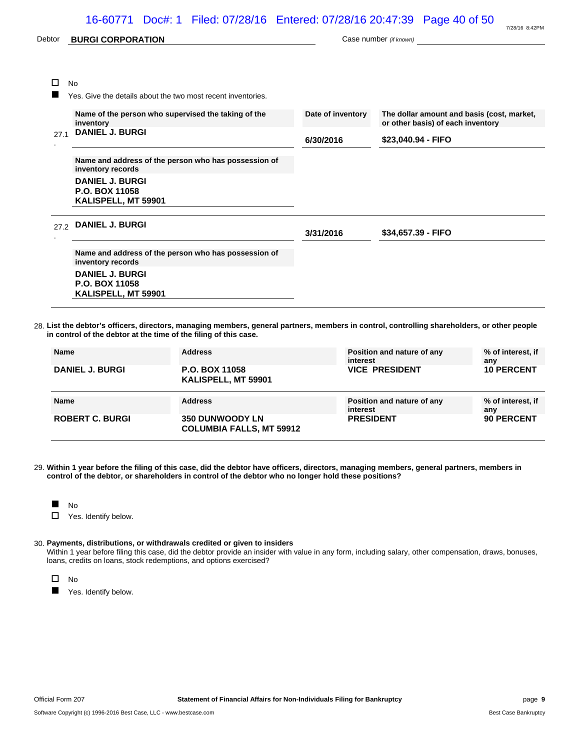# 16-60771 Doc#: 1 Filed: 07/28/16 Entered: 07/28/16 20:47:39 Page 40 of 50

| Debtor | <b>BURGI CORPORATION</b>                                                  |                   | Case number (if known)                                                          |
|--------|---------------------------------------------------------------------------|-------------------|---------------------------------------------------------------------------------|
|        |                                                                           |                   |                                                                                 |
| П      | <b>No</b>                                                                 |                   |                                                                                 |
|        | Yes. Give the details about the two most recent inventories.              |                   |                                                                                 |
|        | Name of the person who supervised the taking of the<br>inventory          | Date of inventory | The dollar amount and basis (cost, market,<br>or other basis) of each inventory |
| 27.1   | <b>DANIEL J. BURGI</b>                                                    | 6/30/2016         | \$23,040.94 - FIFO                                                              |
|        | Name and address of the person who has possession of<br>inventory records |                   |                                                                                 |
|        | <b>DANIEL J. BURGI</b><br>P.O. BOX 11058<br>KALISPELL, MT 59901           |                   |                                                                                 |
| 27.2   | <b>DANIEL J. BURGI</b>                                                    | 3/31/2016         | \$34,657.39 - FIFO                                                              |
|        | Name and address of the person who has possession of<br>inventory records |                   |                                                                                 |
|        | <b>DANIEL J. BURGI</b><br>P.O. BOX 11058<br>KALISPELL, MT 59901           |                   |                                                                                 |

28. **List the debtor's officers, directors, managing members, general partners, members in control, controlling shareholders, or other people in control of the debtor at the time of the filing of this case.**

| <b>Name</b>            | <b>Address</b>                        | Position and nature of any<br>interest | % of interest, if<br>any |
|------------------------|---------------------------------------|----------------------------------------|--------------------------|
| <b>DANIEL J. BURGI</b> | P.O. BOX 11058<br>KALISPELL, MT 59901 | <b>VICE PRESIDENT</b>                  | <b>10 PERCENT</b>        |
| <b>Name</b>            | <b>Address</b>                        | Position and nature of any             | % of interest, if        |
|                        |                                       | interest                               | any                      |

29. **Within 1 year before the filing of this case, did the debtor have officers, directors, managing members, general partners, members in control of the debtor, or shareholders in control of the debtor who no longer hold these positions?**

**No** 

□ Yes. Identify below.

#### 30. **Payments, distributions, or withdrawals credited or given to insiders**

Within 1 year before filing this case, did the debtor provide an insider with value in any form, including salary, other compensation, draws, bonuses, loans, credits on loans, stock redemptions, and options exercised?

 $\square$  No

**Now Yes. Identify below.**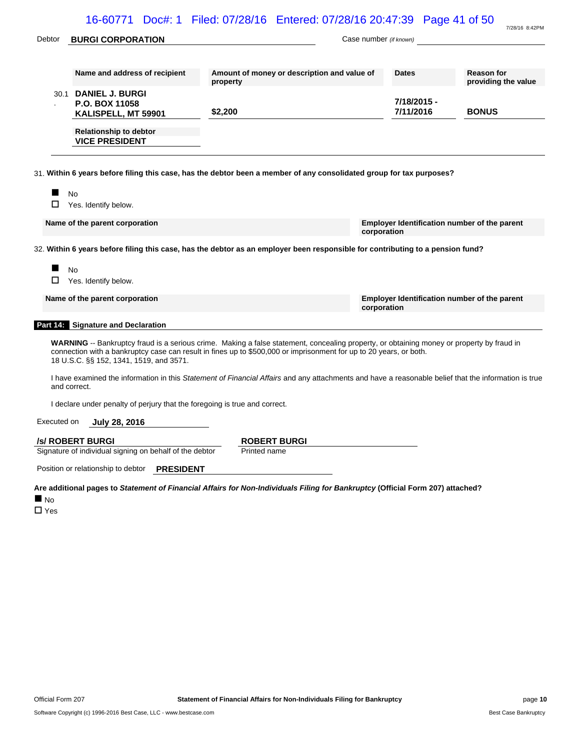|             |                                                                             | 16-60771 Doc#: 1 Filed: 07/28/16 Entered: 07/28/16 20:47:39 Page 41 of 50                                                                                                                                                                                       |                                                             | 7/28/16 8:42PM                      |
|-------------|-----------------------------------------------------------------------------|-----------------------------------------------------------------------------------------------------------------------------------------------------------------------------------------------------------------------------------------------------------------|-------------------------------------------------------------|-------------------------------------|
| Debtor      | <b>BURGI CORPORATION</b>                                                    |                                                                                                                                                                                                                                                                 | Case number (if known)                                      |                                     |
|             | Name and address of recipient                                               | Amount of money or description and value of                                                                                                                                                                                                                     | <b>Dates</b>                                                | <b>Reason for</b>                   |
|             | 30.1 DANIEL J. BURGI<br>P.O. BOX 11058<br>KALISPELL, MT 59901               | property<br>\$2,200                                                                                                                                                                                                                                             | 7/18/2015 -<br>7/11/2016                                    | providing the value<br><b>BONUS</b> |
|             | <b>Relationship to debtor</b><br><b>VICE PRESIDENT</b>                      |                                                                                                                                                                                                                                                                 |                                                             |                                     |
|             |                                                                             | 31. Within 6 years before filing this case, has the debtor been a member of any consolidated group for tax purposes?                                                                                                                                            |                                                             |                                     |
| □           | <b>No</b><br>Yes. Identify below.                                           |                                                                                                                                                                                                                                                                 |                                                             |                                     |
|             | Name of the parent corporation                                              |                                                                                                                                                                                                                                                                 | Employer Identification number of the parent<br>corporation |                                     |
|             |                                                                             | 32. Within 6 years before filing this case, has the debtor as an employer been responsible for contributing to a pension fund?                                                                                                                                  |                                                             |                                     |
|             | <b>No</b><br>Yes. Identify below.                                           |                                                                                                                                                                                                                                                                 |                                                             |                                     |
|             | Name of the parent corporation                                              |                                                                                                                                                                                                                                                                 | Employer Identification number of the parent<br>corporation |                                     |
|             | Part 14: Signature and Declaration                                          |                                                                                                                                                                                                                                                                 |                                                             |                                     |
|             | 18 U.S.C. §§ 152, 1341, 1519, and 3571.                                     | WARNING -- Bankruptcy fraud is a serious crime. Making a false statement, concealing property, or obtaining money or property by fraud in<br>connection with a bankruptcy case can result in fines up to \$500,000 or imprisonment for up to 20 years, or both. |                                                             |                                     |
|             | and correct.                                                                | I have examined the information in this Statement of Financial Affairs and any attachments and have a reasonable belief that the information is true                                                                                                            |                                                             |                                     |
|             | I declare under penalty of perjury that the foregoing is true and correct.  |                                                                                                                                                                                                                                                                 |                                                             |                                     |
| Executed on | July 28, 2016                                                               |                                                                                                                                                                                                                                                                 |                                                             |                                     |
|             | /s/ ROBERT BURGI<br>Signature of individual signing on behalf of the debtor | <b>ROBERT BURGI</b><br>Printed name                                                                                                                                                                                                                             |                                                             |                                     |

Position or relationship to debtor **PRESIDENT**

**Are additional pages to** *Statement of Financial Affairs for Non-Individuals Filing for Bankruptcy* **(Official Form 207) attached?**

**No** 

□ Yes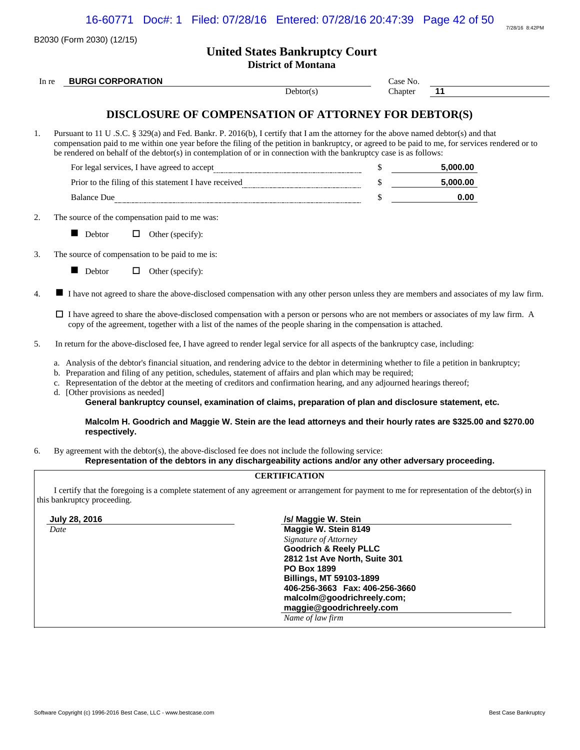| $7/28/16$ $8.42$ PM |
|---------------------|

|       | B2030 (Form 2030) (12/15)       |                                                                                                                                                                                                                                                                                                                                                                                                                |                                                                                                                                                                                                                                                                                                                                                                                                                                                                                                  |          | 7/28/16 8:42PM |  |  |  |
|-------|---------------------------------|----------------------------------------------------------------------------------------------------------------------------------------------------------------------------------------------------------------------------------------------------------------------------------------------------------------------------------------------------------------------------------------------------------------|--------------------------------------------------------------------------------------------------------------------------------------------------------------------------------------------------------------------------------------------------------------------------------------------------------------------------------------------------------------------------------------------------------------------------------------------------------------------------------------------------|----------|----------------|--|--|--|
|       |                                 |                                                                                                                                                                                                                                                                                                                                                                                                                | <b>United States Bankruptcy Court</b><br><b>District of Montana</b>                                                                                                                                                                                                                                                                                                                                                                                                                              |          |                |  |  |  |
| In re | <b>BURGI CORPORATION</b>        |                                                                                                                                                                                                                                                                                                                                                                                                                |                                                                                                                                                                                                                                                                                                                                                                                                                                                                                                  | Case No. |                |  |  |  |
|       |                                 |                                                                                                                                                                                                                                                                                                                                                                                                                | Debtor(s)                                                                                                                                                                                                                                                                                                                                                                                                                                                                                        | Chapter  | 11             |  |  |  |
|       |                                 |                                                                                                                                                                                                                                                                                                                                                                                                                | <b>DISCLOSURE OF COMPENSATION OF ATTORNEY FOR DEBTOR(S)</b>                                                                                                                                                                                                                                                                                                                                                                                                                                      |          |                |  |  |  |
| 1.    |                                 | Pursuant to 11 U .S.C. § 329(a) and Fed. Bankr. P. 2016(b), I certify that I am the attorney for the above named debtor(s) and that<br>compensation paid to me within one year before the filing of the petition in bankruptcy, or agreed to be paid to me, for services rendered or to<br>be rendered on behalf of the debtor(s) in contemplation of or in connection with the bankruptcy case is as follows: |                                                                                                                                                                                                                                                                                                                                                                                                                                                                                                  |          |                |  |  |  |
|       |                                 |                                                                                                                                                                                                                                                                                                                                                                                                                |                                                                                                                                                                                                                                                                                                                                                                                                                                                                                                  | \$       | 5,000.00       |  |  |  |
|       |                                 |                                                                                                                                                                                                                                                                                                                                                                                                                |                                                                                                                                                                                                                                                                                                                                                                                                                                                                                                  | \$       | 5,000.00       |  |  |  |
|       |                                 |                                                                                                                                                                                                                                                                                                                                                                                                                | Balance Due                                                                                                                                                                                                                                                                                                                                                                                                                                                                                      | \$       | 0.00           |  |  |  |
| 2.    |                                 | The source of the compensation paid to me was:                                                                                                                                                                                                                                                                                                                                                                 |                                                                                                                                                                                                                                                                                                                                                                                                                                                                                                  |          |                |  |  |  |
|       | $\blacksquare$ Debtor           | $\Box$ Other (specify):                                                                                                                                                                                                                                                                                                                                                                                        |                                                                                                                                                                                                                                                                                                                                                                                                                                                                                                  |          |                |  |  |  |
|       |                                 | The source of compensation to be paid to me is:                                                                                                                                                                                                                                                                                                                                                                |                                                                                                                                                                                                                                                                                                                                                                                                                                                                                                  |          |                |  |  |  |
|       | Debtor                          | $\Box$ Other (specify):                                                                                                                                                                                                                                                                                                                                                                                        |                                                                                                                                                                                                                                                                                                                                                                                                                                                                                                  |          |                |  |  |  |
| 4.    |                                 |                                                                                                                                                                                                                                                                                                                                                                                                                | I have not agreed to share the above-disclosed compensation with any other person unless they are members and associates of my law firm.                                                                                                                                                                                                                                                                                                                                                         |          |                |  |  |  |
|       |                                 |                                                                                                                                                                                                                                                                                                                                                                                                                | $\Box$ I have agreed to share the above-disclosed compensation with a person or persons who are not members or associates of my law firm. A<br>copy of the agreement, together with a list of the names of the people sharing in the compensation is attached.                                                                                                                                                                                                                                   |          |                |  |  |  |
| 5.    |                                 |                                                                                                                                                                                                                                                                                                                                                                                                                | In return for the above-disclosed fee, I have agreed to render legal service for all aspects of the bankruptcy case, including:                                                                                                                                                                                                                                                                                                                                                                  |          |                |  |  |  |
|       | d. [Other provisions as needed] |                                                                                                                                                                                                                                                                                                                                                                                                                | a. Analysis of the debtor's financial situation, and rendering advice to the debtor in determining whether to file a petition in bankruptcy;<br>b. Preparation and filing of any petition, schedules, statement of affairs and plan which may be required;<br>c. Representation of the debtor at the meeting of creditors and confirmation hearing, and any adjourned hearings thereof;<br>General bankruptcy counsel, examination of claims, preparation of plan and disclosure statement, etc. |          |                |  |  |  |
|       | respectively.                   |                                                                                                                                                                                                                                                                                                                                                                                                                | Malcolm H. Goodrich and Maggie W. Stein are the lead attorneys and their hourly rates are \$325.00 and \$270.00                                                                                                                                                                                                                                                                                                                                                                                  |          |                |  |  |  |
|       |                                 |                                                                                                                                                                                                                                                                                                                                                                                                                | By agreement with the debtor(s), the above-disclosed fee does not include the following service:<br>Representation of the debtors in any dischargeability actions and/or any other adversary proceeding.                                                                                                                                                                                                                                                                                         |          |                |  |  |  |
|       |                                 |                                                                                                                                                                                                                                                                                                                                                                                                                | <b>CERTIFICATION</b>                                                                                                                                                                                                                                                                                                                                                                                                                                                                             |          |                |  |  |  |
|       | this bankruptcy proceeding.     |                                                                                                                                                                                                                                                                                                                                                                                                                | I certify that the foregoing is a complete statement of any agreement or arrangement for payment to me for representation of the debtor(s) in                                                                                                                                                                                                                                                                                                                                                    |          |                |  |  |  |
|       | July 28, 2016                   |                                                                                                                                                                                                                                                                                                                                                                                                                | /s/ Maggie W. Stein                                                                                                                                                                                                                                                                                                                                                                                                                                                                              |          |                |  |  |  |

*Date* **Maggie W. Stein 8149** *Signature of Attorney* **Goodrich & Reely PLLC 2812 1st Ave North, Suite 301 PO Box 1899 Billings, MT 59103-1899 406-256-3663 Fax: 406-256-3660 malcolm@goodrichreely.com; maggie@goodrichreely.com** *Name of law firm*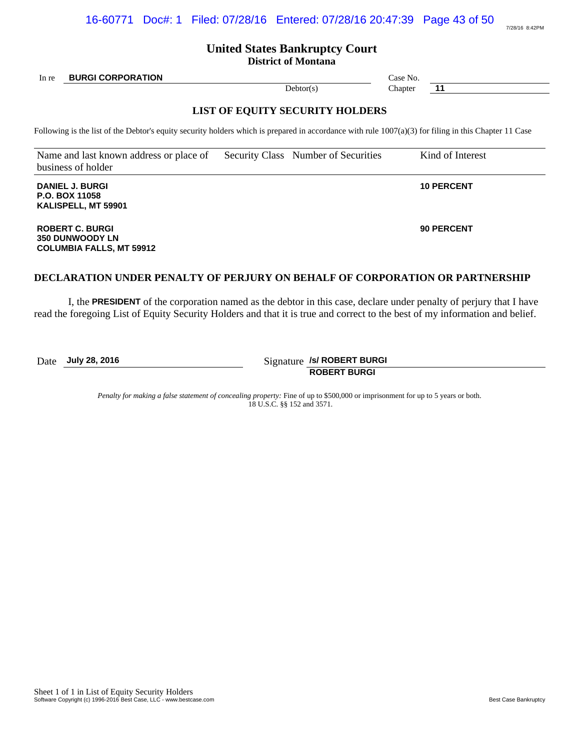# **United States Bankruptcy Court**

**District of Montana**

In re **BURGI CORPORATION Case No. Case No. Case No. Case No.** 

# **LIST OF EQUITY SECURITY HOLDERS**

Following is the list of the Debtor's equity security holders which is prepared in accordance with rule  $1007(a)(3)$  for filing in this Chapter 11 Case

Name and last known address or place of business of holder Security Class Number of Securities Kind of Interest

**DANIEL J. BURGI P.O. BOX 11058 KALISPELL, MT 59901**

**ROBERT C. BURGI 350 DUNWOODY LN COLUMBIA FALLS, MT 59912**

## **DECLARATION UNDER PENALTY OF PERJURY ON BEHALF OF CORPORATION OR PARTNERSHIP**

I, the **PRESIDENT** of the corporation named as the debtor in this case, declare under penalty of perjury that I have read the foregoing List of Equity Security Holders and that it is true and correct to the best of my information and belief.

Date **July 28, 2016** Signature **/s/ ROBERT BURGI ROBERT BURGI**

> *Penalty for making a false statement of concealing property:* Fine of up to \$500,000 or imprisonment for up to 5 years or both. 18 U.S.C. §§ 152 and 3571.

# Debtor(s) Chapter **11**

**10 PERCENT**

**90 PERCENT**

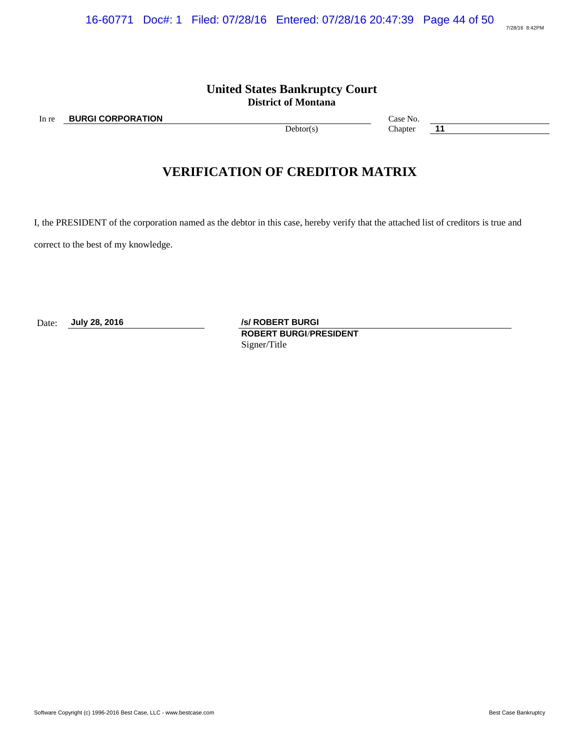# **United States Bankruptcy Court District of Montana**

In re **BURGI CORPORATION** Case No.

Debtor(s) Chapter **11** 

# **VERIFICATION OF CREDITOR MATRIX**

I, the PRESIDENT of the corporation named as the debtor in this case, hereby verify that the attached list of creditors is true and

correct to the best of my knowledge.

Date: **July 28, 2016** */s/ ROBERT BURGI* **ROBERT BURGI**/**PRESIDENT** Signer/Title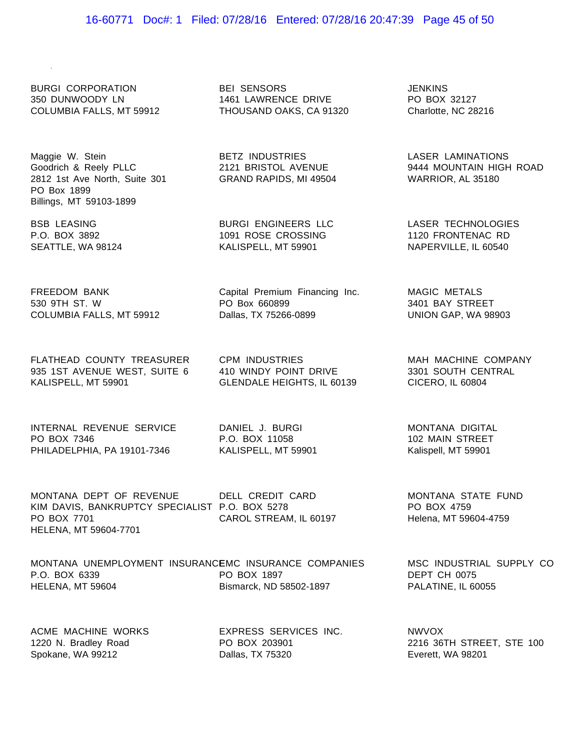### 16-60771 Doc#: 1 Filed: 07/28/16 Entered: 07/28/16 20:47:39 Page 45 of 50

BEI SENSORS 1461 LAWRENCE DRIVE THOUSAND OAKS, CA 91320

BETZ INDUSTRIES

PO Box 660899 Dallas, TX 75266-0899

CPM INDUSTRIES

בשורה כספרות 2121 BRISTOL<br>2121 BRISTOL AVENUE

BURGI ENGINEERS LLC 1091 ROSE CROSSING KALISPELL, MT 59901

Capital Premium Financing Inc.

410 WINDY POINT DRIVE

BURGI CORPORATION 350 DUNWOODY LN COLUMBIA FALLS, MT 59912

Maggie W. Stein wayyie w. Stein<br>Goodrich & Reely PLLC 2812 1st Ave North, Suite 301 GRAND RAPIDS, MI 49504 PO Box 1899 Billings, MT 59103-1899

BSB LEASING P.O. BOX 3892 SEATTLE, WA 98124

FREEDOM BANK 530 9TH ST. W COLUMBIA FALLS, MT 59912

FLATHEAD COUNTY TREASURER 935 1ST AVENUE WEST, SUITE 6 KALISPELL, MT 59901

INTERNAL REVENUE SERVICE PO BOX 7346 PHILADELPHIA, PA 19101-7346

DANIEL J. BURGI P.O. BOX 11058 KALISPELL, MT 59901

MONTANA DEPT OF REVENUE DELL CREDIT CARD KIM DAVIS, BANKRUPTCY SPECIALIST P.O. BOX 5278 PO BOX 7701 HELENA, MT 59604-7701 CAROL STREAM, IL 60197

MONTANA UNEMPLOYMENT INSURANCEMC INSURANCE COMPANIES P.O. BOX 6339 HELENA, MT 59604 PO BOX 1897 Bismarck, ND 58502-1897

ACME MACHINE WORKS 1220 N. Bradley Road Spokane, WA 99212

EXPRESS SERVICES INC. PO BOX 203901 Dallas, TX 75320

JENKINS PO BOX 32127 Charlotte, NC 28216

> LASER LAMINATIONS 9444 MOUNTAIN HIGH ROAD WARRIOR, AL 35180

LASER TECHNOLOGIES 1120 FRONTENAC RD NAPERVILLE, IL 60540

> MAGIC METALS 3401 BAY STREET UNION GAP, WA 98903

GLENDALE HEIGHTS, IL 60139 CICERO, IL 60804 MAH MACHINE COMPANY 3301 SOUTH CENTRAL

> MONTANA DIGITAL 102 MAIN STREET Kalispell, MT 59901

MONTANA STATE FUND PO BOX 4759 Helena, MT 59604-4759

MSC INDUSTRIAL SUPPLY CO DEPT CH 0075 PALATINE, IL 60055

NWVOX 2216 36TH STREET, STE 100 Everett, WA 98201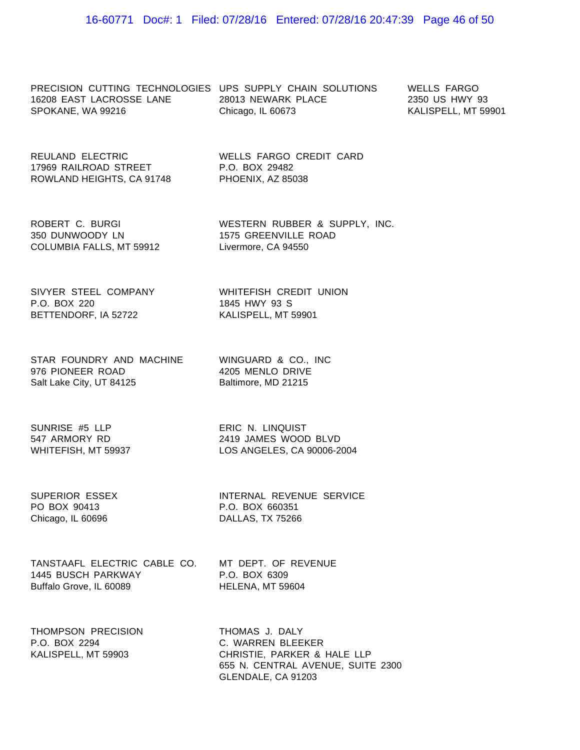PRECISION CUTTING TECHNOLOGIES UPS SUPPLY CHAIN SOLUTIONS WELLS FARGO 16208 EAST LACROSSE LANE 28013 NEWARK PLACE SPOKANE, WA 99216

Chicago, IL 60673

WELLS FARGO CREDIT CARD

2350 US HWY 93 KALISPELL, MT 59901

REULAND ELECTRIC 17969 RAILROAD STREET ROWLAND HEIGHTS, CA 91748

P.O. BOX 29482 PHOENIX, AZ 85038

ROBERT C. BURGI 350 DUNWOODY LN COLUMBIA FALLS, MT 59912 WESTERN RUBBER & SUPPLY, INC. 1575 GREENVILLE ROAD Livermore, CA 94550

SIVYER STEEL COMPANY P.O. BOX 220 BETTENDORF, IA 52722

WHITEFISH CREDIT UNION 1845 HWY 93 S KALISPELL, MT 59901

STAR FOUNDRY AND MACHINE WINGUARD & CO., INC 976 PIONEER ROAD Salt Lake City, UT 84125

4205 MENLO DRIVE Baltimore, MD 21215

SUNRISE #5 LLP<br>543 ABMOBY BB 547 ARMORY RD WHITEFISH, MT 59937

ERIC N. LINQUIST 2419 JAMES WOOD BLVD LOS ANGELES, CA 90006-2004

SUPERIOR ESSEX PO BOX 90413 Chicago, IL 60696

INTERNAL REVENUE SERVICE P.O. BOX 660351 DALLAS, TX 75266

TANSTAAFL ELECTRIC CABLE CO. MT DEPT. OF REVENUE 1445 BUSCH PARKWAY Buffalo Grove, IL 60089

P.O. BOX 6309 HELENA, MT 59604

THOMPSON PRECISION P.O. BOX 2294 KALISPELL, MT 59903

THOMAS J. DALY C. WARREN BLEEKER CHRISTIE, PARKER & HALE LLP 655 N. CENTRAL AVENUE, SUITE 2300 GLENDALE, CA 91203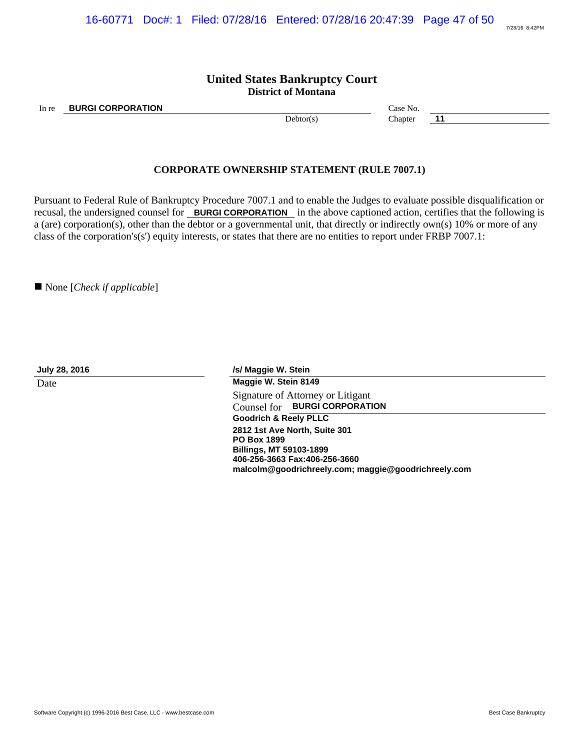## **United States Bankruptcy Court District of Montana**

In re **BURGI CORPORATION Case No. Case No. Case No.** 

Debtor(s) Chapter **11** 

### **CORPORATE OWNERSHIP STATEMENT (RULE 7007.1)**

Pursuant to Federal Rule of Bankruptcy Procedure 7007.1 and to enable the Judges to evaluate possible disqualification or recusal, the undersigned counsel for **BURGI CORPORATION** in the above captioned action, certifies that the following is a (are) corporation(s), other than the debtor or a governmental unit, that directly or indirectly own(s) 10% or more of any class of the corporation's(s') equity interests, or states that there are no entities to report under FRBP 7007.1:

■ None [*Check if applicable*]

**July 28, 2016 /s/ Maggie W. Stein** Date **Maggie W. Stein 8149** Signature of Attorney or Litigant Counsel for **BURGI CORPORATION Goodrich & Reely PLLC 2812 1st Ave North, Suite 301 PO Box 1899 Billings, MT 59103-1899 406-256-3663 Fax:406-256-3660 malcolm@goodrichreely.com; maggie@goodrichreely.com**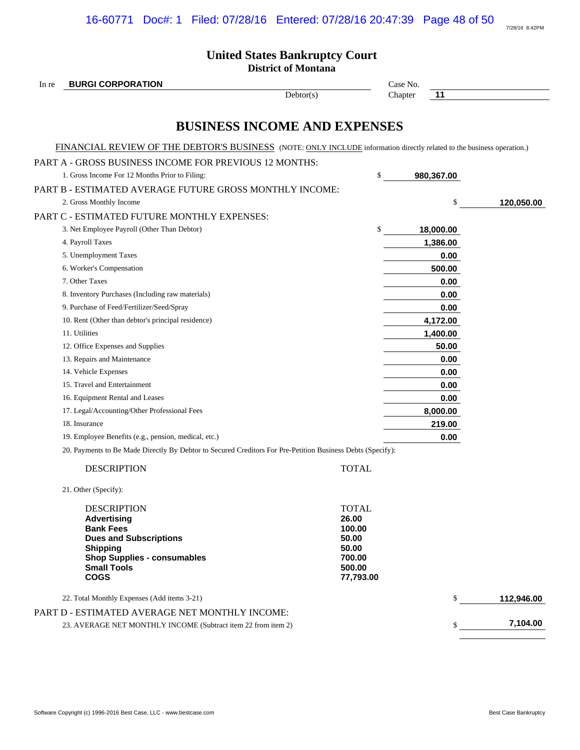Software Copyright (c) 1996-2016 Best Case, LLC - www.bestcase.com **Best Case Bankruptcy** Best Case Bankruptcy

7/28/16 8:42PM

# **United States Bankruptcy Court**

**District of Montana**

| In re | <b>BURGI CORPORATION</b>                                                                                                                                                                    |                                                                                    |         | Case No.   |            |  |
|-------|---------------------------------------------------------------------------------------------------------------------------------------------------------------------------------------------|------------------------------------------------------------------------------------|---------|------------|------------|--|
|       |                                                                                                                                                                                             | Dektor(s)                                                                          | Chapter | 11         |            |  |
|       | <b>BUSINESS INCOME AND EXPENSES</b>                                                                                                                                                         |                                                                                    |         |            |            |  |
|       | FINANCIAL REVIEW OF THE DEBTOR'S BUSINESS (NOTE: ONLY INCLUDE information directly related to the business operation.)                                                                      |                                                                                    |         |            |            |  |
|       | PART A - GROSS BUSINESS INCOME FOR PREVIOUS 12 MONTHS:                                                                                                                                      |                                                                                    |         |            |            |  |
|       | 1. Gross Income For 12 Months Prior to Filing:                                                                                                                                              | \$                                                                                 |         | 980,367.00 |            |  |
|       | PART B - ESTIMATED AVERAGE FUTURE GROSS MONTHLY INCOME:                                                                                                                                     |                                                                                    |         |            |            |  |
|       | 2. Gross Monthly Income                                                                                                                                                                     |                                                                                    |         | \$         | 120,050.00 |  |
|       | PART C - ESTIMATED FUTURE MONTHLY EXPENSES:                                                                                                                                                 |                                                                                    |         |            |            |  |
|       | 3. Net Employee Payroll (Other Than Debtor)                                                                                                                                                 | \$                                                                                 |         | 18,000.00  |            |  |
|       | 4. Payroll Taxes                                                                                                                                                                            |                                                                                    |         | 1,386.00   |            |  |
|       | 5. Unemployment Taxes                                                                                                                                                                       |                                                                                    |         | 0.00       |            |  |
|       | 6. Worker's Compensation                                                                                                                                                                    |                                                                                    |         | 500.00     |            |  |
|       | 7. Other Taxes                                                                                                                                                                              |                                                                                    |         | 0.00       |            |  |
|       | 8. Inventory Purchases (Including raw materials)                                                                                                                                            |                                                                                    |         | 0.00       |            |  |
|       | 9. Purchase of Feed/Fertilizer/Seed/Spray                                                                                                                                                   |                                                                                    |         | 0.00       |            |  |
|       | 10. Rent (Other than debtor's principal residence)                                                                                                                                          |                                                                                    |         | 4,172.00   |            |  |
|       | 11. Utilities                                                                                                                                                                               |                                                                                    |         | 1,400.00   |            |  |
|       | 12. Office Expenses and Supplies                                                                                                                                                            |                                                                                    |         | 50.00      |            |  |
|       | 13. Repairs and Maintenance                                                                                                                                                                 |                                                                                    |         | 0.00       |            |  |
|       | 14. Vehicle Expenses                                                                                                                                                                        |                                                                                    |         | 0.00       |            |  |
|       | 15. Travel and Entertainment                                                                                                                                                                |                                                                                    |         | 0.00       |            |  |
|       | 16. Equipment Rental and Leases                                                                                                                                                             |                                                                                    |         | 0.00       |            |  |
|       | 17. Legal/Accounting/Other Professional Fees                                                                                                                                                |                                                                                    |         | 8,000.00   |            |  |
|       | 18. Insurance                                                                                                                                                                               |                                                                                    |         | 219.00     |            |  |
|       | 19. Employee Benefits (e.g., pension, medical, etc.)                                                                                                                                        |                                                                                    |         | 0.00       |            |  |
|       | 20. Payments to Be Made Directly By Debtor to Secured Creditors For Pre-Petition Business Debts (Specify):                                                                                  |                                                                                    |         |            |            |  |
|       | <b>DESCRIPTION</b>                                                                                                                                                                          | <b>TOTAL</b>                                                                       |         |            |            |  |
|       | 21. Other (Specify):                                                                                                                                                                        |                                                                                    |         |            |            |  |
|       | <b>DESCRIPTION</b><br><b>Advertising</b><br><b>Bank Fees</b><br><b>Dues and Subscriptions</b><br><b>Shipping</b><br><b>Shop Supplies - consumables</b><br><b>Small Tools</b><br><b>COGS</b> | <b>TOTAL</b><br>26.00<br>100.00<br>50.00<br>50.00<br>700.00<br>500.00<br>77,793.00 |         |            |            |  |
|       | 22. Total Monthly Expenses (Add items 3-21)                                                                                                                                                 |                                                                                    |         | \$         | 112,946.00 |  |
|       | PART D - ESTIMATED AVERAGE NET MONTHLY INCOME:                                                                                                                                              |                                                                                    |         |            |            |  |
|       | 23. AVERAGE NET MONTHLY INCOME (Subtract item 22 from item 2)                                                                                                                               |                                                                                    |         | $S_{-}$    | 7,104.00   |  |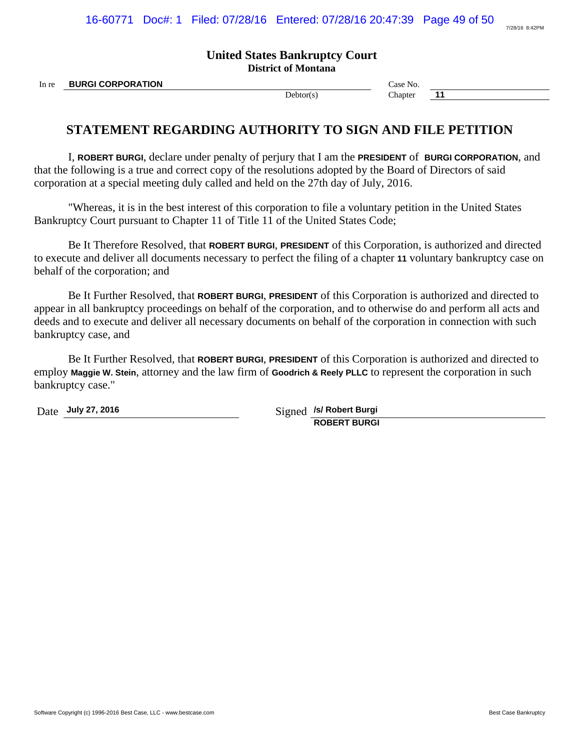7/28/16 8:42PM

# **United States Bankruptcy Court District of Montana**

In re **BURGI CORPORATION Case No. Case No. Case No.** 

Debtor(s) Chapter **11** 

# **STATEMENT REGARDING AUTHORITY TO SIGN AND FILE PETITION**

I, **ROBERT BURGI**, declare under penalty of perjury that I am the **PRESIDENT** of **BURGI CORPORATION**, and that the following is a true and correct copy of the resolutions adopted by the Board of Directors of said corporation at a special meeting duly called and held on the 27th day of July, 2016.

"Whereas, it is in the best interest of this corporation to file a voluntary petition in the United States Bankruptcy Court pursuant to Chapter 11 of Title 11 of the United States Code;

Be It Therefore Resolved, that **ROBERT BURGI**, **PRESIDENT** of this Corporation, is authorized and directed to execute and deliver all documents necessary to perfect the filing of a chapter **11** voluntary bankruptcy case on behalf of the corporation; and

Be It Further Resolved, that **ROBERT BURGI**, **PRESIDENT** of this Corporation is authorized and directed to appear in all bankruptcy proceedings on behalf of the corporation, and to otherwise do and perform all acts and deeds and to execute and deliver all necessary documents on behalf of the corporation in connection with such bankruptcy case, and

Be It Further Resolved, that **ROBERT BURGI**, **PRESIDENT** of this Corporation is authorized and directed to employ **Maggie W. Stein**, attorney and the law firm of **Goodrich & Reely PLLC** to represent the corporation in such bankruptcy case."

Date **July 27, 2016** Signed */s/ Robert Burgi* **ROBERT BURGI**